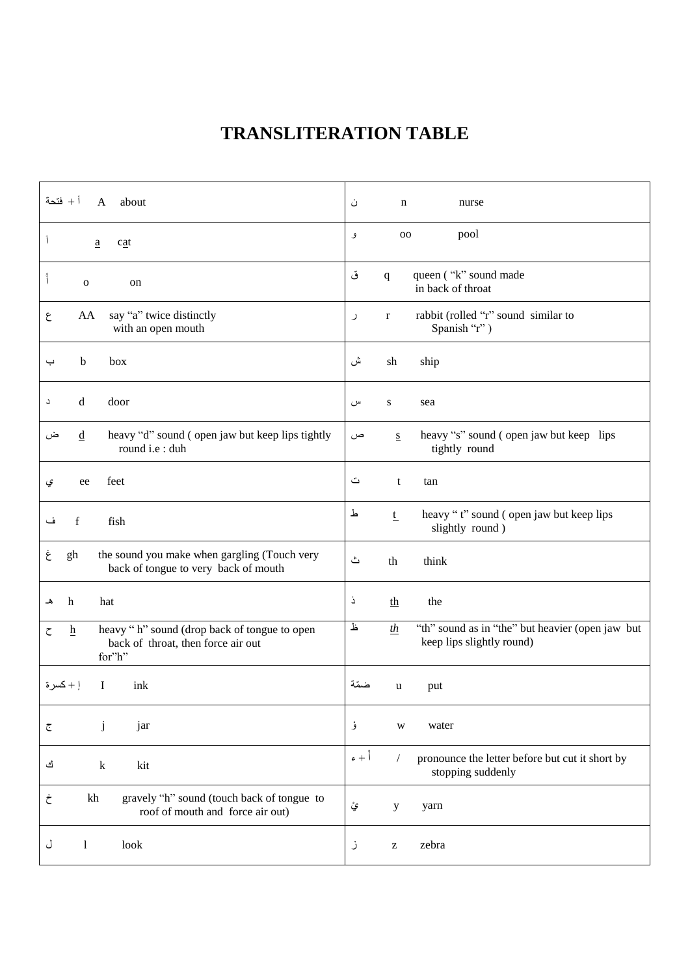# **TRANSLITERATION TABLE**

| أ + فتحة                                                                                                             | ن                                                                                                          |
|----------------------------------------------------------------------------------------------------------------------|------------------------------------------------------------------------------------------------------------|
| about                                                                                                                | n                                                                                                          |
| $\mathsf{A}$                                                                                                         | nurse                                                                                                      |
| $\overline{\phantom{a}}$                                                                                             | pool                                                                                                       |
| cat                                                                                                                  | 00                                                                                                         |
| $\mathbf{a}$                                                                                                         | و                                                                                                          |
| $\mathbf{I}$<br>$\mathbf 0$<br>on                                                                                    | queen ("k" sound made<br>ق<br>$\mathbf{q}$<br>in back of throat                                            |
| AA                                                                                                                   | rabbit (rolled "r" sound similar to                                                                        |
| say "a" twice distinctly                                                                                             | $\bf r$                                                                                                    |
| ع                                                                                                                    | ر                                                                                                          |
| with an open mouth                                                                                                   | Spanish "r")                                                                                               |
| b                                                                                                                    | ش                                                                                                          |
| box                                                                                                                  | sh                                                                                                         |
| ب                                                                                                                    | ship                                                                                                       |
| d                                                                                                                    | ${\bf S}$                                                                                                  |
| door                                                                                                                 | س                                                                                                          |
| د                                                                                                                    | sea                                                                                                        |
| heavy "d" sound (open jaw but keep lips tightly                                                                      | heavy "s" sound (open jaw but keep lips                                                                    |
| $\underline{d}$                                                                                                      | ص                                                                                                          |
| ض                                                                                                                    | $S_{\rm}$                                                                                                  |
| round i.e : duh                                                                                                      | tightly round                                                                                              |
| feet                                                                                                                 | ت                                                                                                          |
| ee                                                                                                                   | t                                                                                                          |
| ي                                                                                                                    | tan                                                                                                        |
| f<br>fish<br>ف                                                                                                       | 上<br>heavy "t" sound (open jaw but keep lips<br>$1$<br>slightly round)                                     |
| the sound you make when gargling (Touch very<br>gh<br>ع<br>back of tongue to very back of mouth                      | ٽ<br>th<br>think                                                                                           |
| hat                                                                                                                  | Ċ,                                                                                                         |
| h                                                                                                                    | the                                                                                                        |
| هـ                                                                                                                   | th                                                                                                         |
| heavy "h" sound (drop back of tongue to open<br>$\underline{h}$<br>ح<br>back of throat, then force air out<br>for"h" | Ŀ<br>"th" sound as in "the" but heavier (open jaw but<br>th<br>keep lips slightly round)                   |
| إ + كسرة                                                                                                             | ضمّة                                                                                                       |
| 1                                                                                                                    | put                                                                                                        |
| ink                                                                                                                  | u                                                                                                          |
| j                                                                                                                    | ۇ                                                                                                          |
| jar                                                                                                                  | water                                                                                                      |
| ج                                                                                                                    | W                                                                                                          |
| ك<br>$\mathbf k$<br>kit                                                                                              | $\epsilon + \dot{ }$<br>pronounce the letter before but cut it short by<br>$\sqrt{2}$<br>stopping suddenly |
| gravely "h" sound (touch back of tongue to<br>kh<br>خ<br>roof of mouth and force air out)                            | ۑٛٞ<br>y<br>yarn                                                                                           |
| look                                                                                                                 | zebra                                                                                                      |
| J                                                                                                                    | ز                                                                                                          |
| 1                                                                                                                    | $\mathbf{Z}% ^{T}=\mathbf{Z}^{T}\times\mathbf{Z}^{T}$                                                      |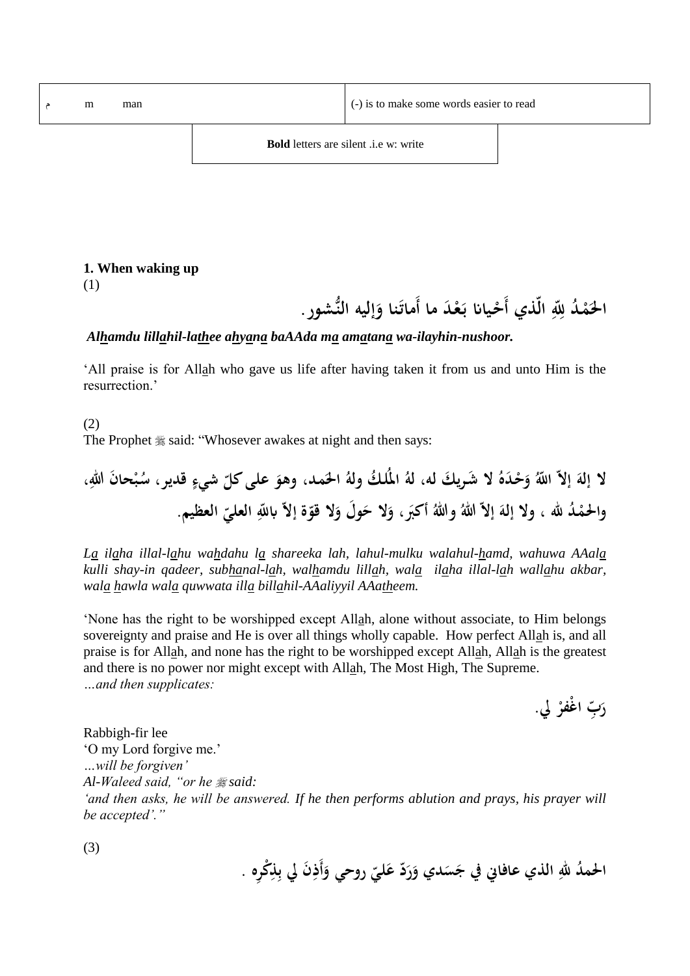م m man (-) is to make some words easier to read

#### **1. When waking up**

(1)

الحَمْدُ لِلّهِ الّذي أَحْيانا بَعْدَ ما أَماتَنا وَإليه النُّشور .<br>. **ـ ْ ل ْ َ َ**

#### *Alhamdu lillahil-lathee ahyana baAAda ma amatana wa-ilayhin-nushoor.*

'All praise is for Allah who gave us life after having taken it from us and unto Him is the resurrection.'

(2) The Prophet  $\frac{4}{36}$  said: "Whosever awakes at night and then says:

**إالّ َ ِّل ال إله ا َده ـ ْ َح َك و ال َشـري له، ك له امل لـ وله مـد، َ احل َ وهو علىُُ ّ كل َن ْ شيء قدير، حا ـب لهللا س ، د ـ ْ َ واحلم هلل ، وال لِل إالّ إله وة إالّ اب ّ ّ وال ق َ َحوَل وال َ ََب، أك ّ هللا وهللا العلي العظيمُ.**

*La ilaha illal-lahu wahdahu la shareeka lah, lahul-mulku walahul-hamd, wahuwa AAala kulli shay-in qadeer, subhanal-lah, walhamdu lillah, wala ilaha illal-lah wallahu akbar, wala hawla wala quwwata illa billahil-AAaliyyil AAatheem.*

'None has the right to be worshipped except Allah, alone without associate, to Him belongs sovereignty and praise and He is over all things wholly capable. How perfect Allah is, and all praise is for Allah, and none has the right to be worshipped except Allah, Allah is the greatest and there is no power nor might except with Allah, The Most High, The Supreme. *…and then supplicates:*

> **َ ّبل ر ا ْغفر يل. ْ**

Rabbigh-fir lee 'O my Lord forgive me.' *…will be forgiven' Al-Waleed said, "or he said: 'and then asks, he will be answered. If he then performs ablution and prays, his prayer will be accepted'."*

(3)

الحمدُ للهِ الذي عافاني في جَسَدي وَرَدّ عَليّ روحي وَأَذِنَ لِي بِلْكُرِهِ . **َ َ َ**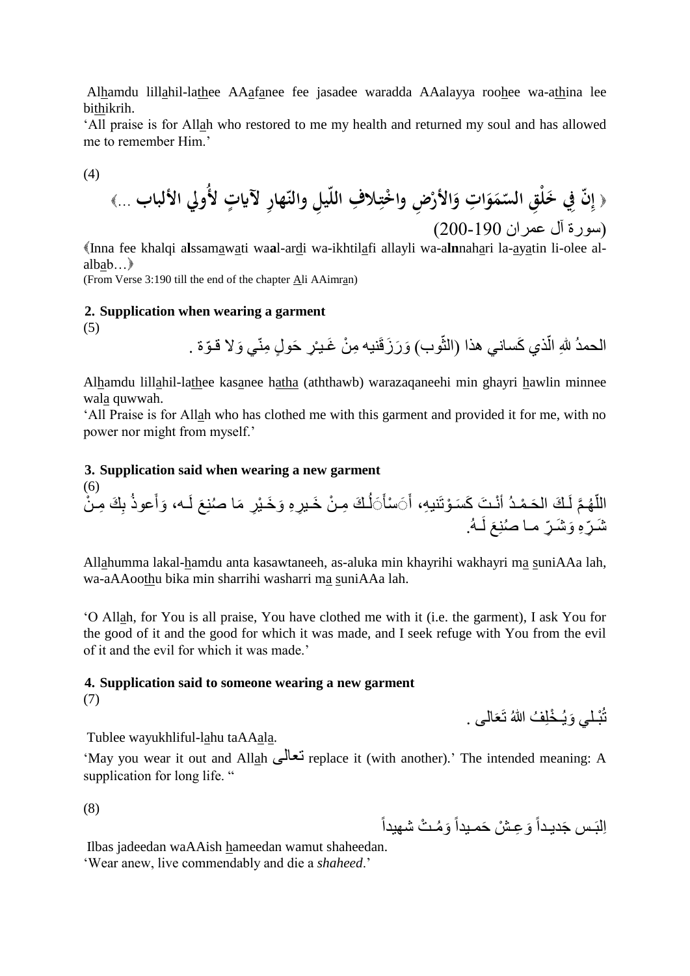Alhamdu lillahil-lathee AAafanee fee jasadee waradda AAalayya roohee wa-athina lee bithikrih.

'All praise is for Allah who restored to me my health and returned my soul and has allowed me to remember Him.'

(4)

( إِنَّ في خَلُقِ السَمَوَاتِ وَالأَرُضِ واخُتِلافِ اللّيلِ والنّهارِ لآياتِ لأُولِ الألباب ...
$$
(\mu_{\rm u})
$$

Inna fee khalqi a**l**ssamawati wa**a**l-ardi wa-ikhtilafi allayli wa-a**ln**nahari la-ayatin li-olee alalbab…

(From Verse 3:190 till the end of the chapter Ali AAimran)

#### **2. Supplication when wearing a garment**

(5)

الحمدُ للهِ الّذي كَساني هذا (الثّوب) وَرَزَقَنيه مِنْ غَـيـْرِ حَولٍ مِنّي وَلا قـوّة . j

Alhamdu lillahil-lathee kasanee hatha (aththawb) warazaqaneehi min ghayri hawlin minnee wala quwwah.

'All Praise is for Allah who has clothed me with this garment and provided it for me, with no power nor might from myself.'

#### **3. Supplication said when wearing a new garment**

(6) اللَّهُمَّ لَكَ الحَمْدُ أَنْتَ كَسَوْتَنيهِ، أَ $\sim$ سْأَيَأُكَ مِنْ خَيرٍهِ وَخَيْرٍ مَا صُنِعَ لَـه، وَأَعوذُ بِكَ مِنْ  $\overline{1}$ َ َ ڑ<br>ا شَرِّهِ وَشَرِّ ما صُنِعَ لَـهُ.

Allahumma lakal-hamdu anta kasawtaneeh, as-aluka min khayrihi wakhayri ma suniAAa lah, wa-aAAoothu bika min sharrihi washarri ma suniAAa lah.

'O Allah, for You is all praise, You have clothed me with it (i.e. the garment), I ask You for the good of it and the good for which it was made, and I seek refuge with You from the evil of it and the evil for which it was made.'

# **4. Supplication said to someone wearing a new garment**

(7)

تُبْلِّي وَيُخْلِفُ اللَّهُ تَعَالَى .

Tublee wayukhliful-lahu taAAala.

'May you wear it out and Allah تعالى replace it (with another).' The intended meaning: A supplication for long life. "

(8)

اِلْبَـس جَديـداً وَعِـشْ حَمـيداً وَمُـتْ شهيداً

Ilbas jadeedan waAAish hameedan wamut shaheedan. 'Wear anew, live commendably and die a *shaheed*.'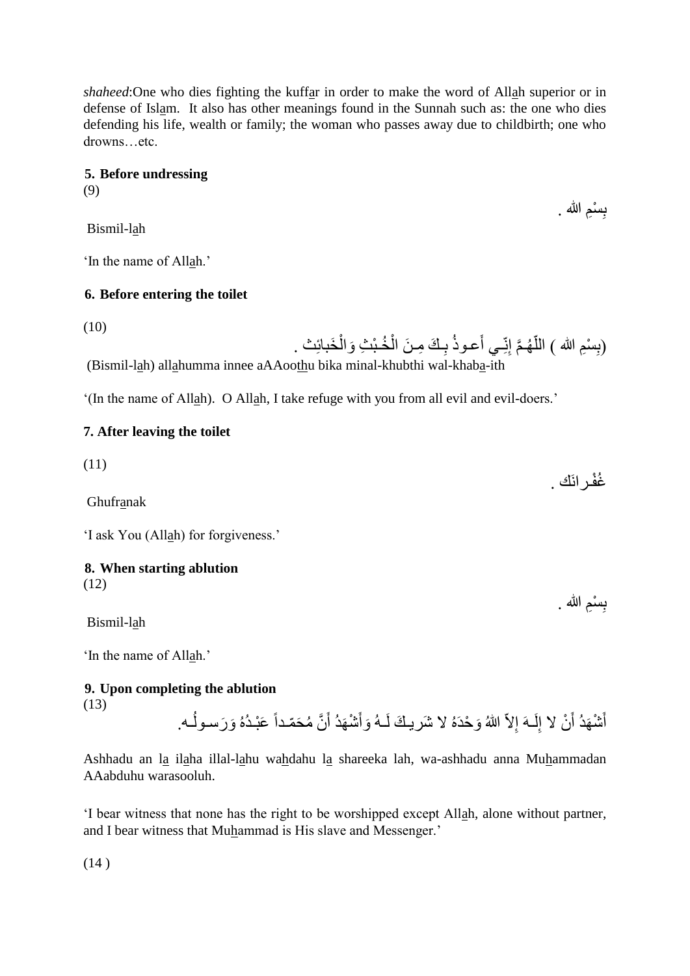*shaheed*:One who dies fighting the kuffar in order to make the word of Allah superior or in defense of Islam. It also has other meanings found in the Sunnah such as: the one who dies defending his life, wealth or family; the woman who passes away due to childbirth; one who drowns…etc.

> بِسْمِ الله . **ِ**

> بِسْمِ الله . **∣**

### **5. Before undressing**

(9)

Bismil-lah

'In the name of Allah.'

### **6. Before entering the toilet**

(10)

(بِسْمِ الله ) اللَّهُمَّ إِنِّـي أَعوذُ بِكَ مِنَ الْخُبْثِ وَالْخَبائِث . **∣** ĺ į **∶** اً (Bismil-lah) allahumma innee aAAoothu bika minal-khubthi wal-khaba-ith

'(In the name of Allah). O Allah, I take refuge with you from all evil and evil-doers.'

### **7. After leaving the toilet**

(11) غُفْرِ انَك . Ghufranak

'I ask You (Allah) for forgiveness.'

# **8. When starting ablution**

(12)

Bismil-lah

'In the name of Allah.'

# **9. Upon completing the ablution**

(13)

أَشْهَدُ أَنْ لا إِلَـهَ إِلاّ اللهُ وَحْدَهُ لا شَريكَ لَـهُ وَأَشْهَدُ أَنَّ مُحَمّداً عَبْـدُهُ وَرَسـوكُـه. لَ ِ ِ<br>ا ֪֦֞֝֝֝֝֝֝֝֝֬֝֝֬֝  $\overline{1}$ َ َ لَ

Ashhadu an la ilaha illal-lahu wahdahu la shareeka lah, wa-ashhadu anna Muhammadan AAabduhu warasooluh.

'I bear witness that none has the right to be worshipped except Allah, alone without partner, and I bear witness that Muhammad is His slave and Messenger.'

(14 )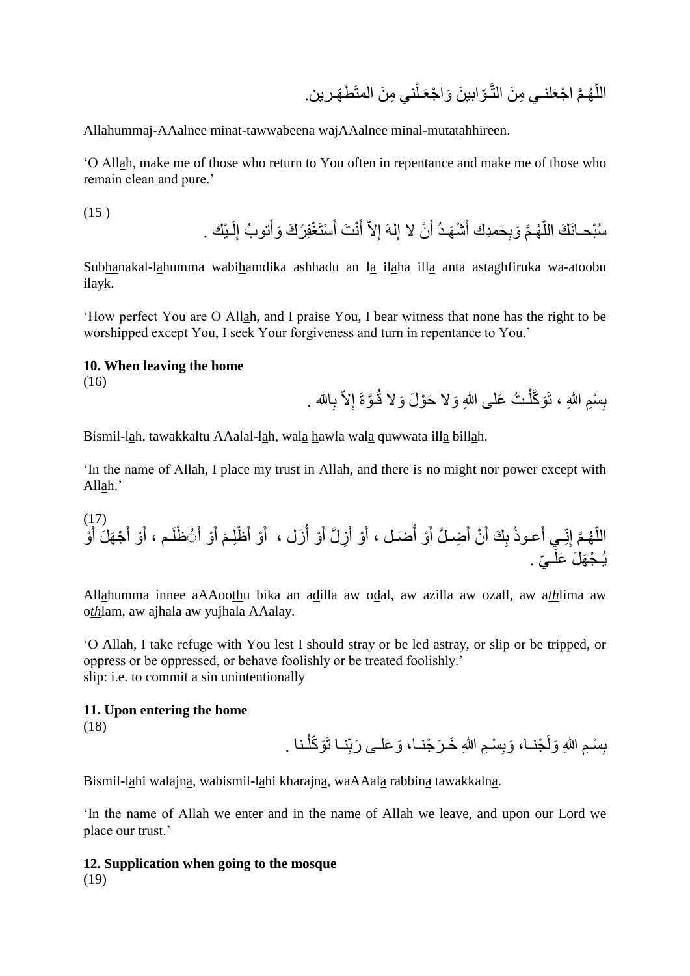اللَّهُمَّ اجْعَلْنـي مِنَ النَّـوّابينَ وَاجْعَـلْنـي مِنَ المتَطَهّرين. j اً

Allahummaj-AAalnee minat-tawwabeena wajAAalnee minal-mutatahhireen.

'O Allah, make me of those who return to You often in repentance and make me of those who remain clean and pure.'

(15 ) ـ يك . لَ ِ تو ب إ َ ستَ غِف ر َك َوأ َ ن َت أ َ أ ِالّ لهَ إ ِ ن ال إ َ ش َهـد أ َ ِ َحمِدك أ َوب َّم هـ ّ س بحـانَ َك الل

Subhanakal-lahumma wabihamdika ashhadu an la ilaha illa anta astaghfiruka wa-atoobu ilayk.

'How perfect You are O Allah, and I praise You, I bear witness that none has the right to be worshipped except You, I seek Your forgiveness and turn in repentance to You.'

#### **10. When leaving the home**

(16)

 $(1, 1)$ 

بِسْمِ اللهِ ، تَوَكَّلْتُ عَلى اللهِ وَلا حَوْلَ وَلا قُـوَّةَ إلاّ بِالله . Ĺ **∣** 

Bismil-lah, tawakkaltu AAalal-lah, wala hawla wala quwwata illa billah.

'In the name of Allah, I place my trust in Allah, and there is no might nor power except with Allah.'

َعـوذ ِـي أ ِنّ َّم إ هـ ّ و الل َ ج َه َل أ َ و أ َ ـم ، أ َ ظلَ َ و أ َ أ َ َ ظِلـم و أ َ َزل ، أ و أ َ ِز َّل أ َ و أ َ َضـل ، أ و أ َ ِضـ َّل أ َ ن أ َ ِ َك أ ب ّي . ـ ي ـ ج َه َل َعلَ

Allahumma innee aAAoothu bika an adilla aw odal, aw azilla aw ozall, aw a*th*lima aw o*th*lam, aw ajhala aw yujhala AAalay.

'O Allah, I take refuge with You lest I should stray or be led astray, or slip or be tripped, or oppress or be oppressed, or behave foolishly or be treated foolishly.' slip: i.e. to commit a sin unintentionally

#### **11. Upon entering the home** (18)

بِسْـمِ اللهِ وَلَجْنــا، وَبِسْـمِ اللهِ خَـرَجْنــا، وَعَلــى رَبِّنــا تَوَكَّلْـنـا . **∣** ĺ **∣** 

Bismil-lahi walajna, wabismil-lahi kharajna, waAAala rabbina tawakkalna.

'In the name of Allah we enter and in the name of Allah we leave, and upon our Lord we place our trust.'

#### **12. Supplication when going to the mosque** (19)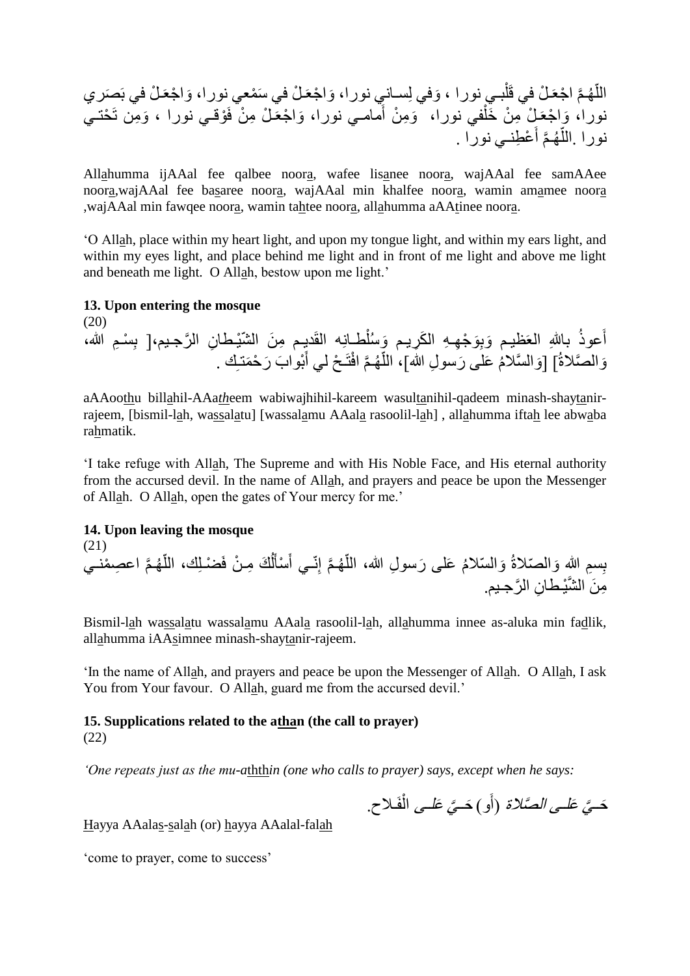ـ ل في بَ َصري َوا جعَ ـ ل في َس معي نورا، َوا جعَ َوفي ِلسـاني نورا، بـي نورا ، ـ ل في قَل َّم ا جعَ هـ ّ الل َو ِمن تَ حتـي وقـي نورا ، ـ ل ِم ن فَ َوا جعَ مامـي نورا، َ َو ِم ن أ في نورا، ـ ل ِم ن َخل َوا جعَ نورا، نو ع ِطنـي نورا . َّم أ هـ ّ را .الل

Allahumma ijAAal fee qalbee noora, wafee lisanee noora, wajAAal fee samAAee noora,wajAAal fee basaree noora, wajAAal min khalfee noora, wamin amamee noora ,wajAAal min fawqee noora, wamin tahtee noora, allahumma aAAtinee noora.

'O Allah, place within my heart light, and upon my tongue light, and within my ears light, and within my eyes light, and place behind me light and in front of me light and above me light and beneath me light. O Allah, bestow upon me light.'

#### **13. Upon entering the mosque**

(20) أعوذُ باللهِ العَظيم وَبِوَجْهِهِ الكَرِيمِ وَسُلْطانِه القَديِمِ مِنَ الشّيْطانِ الرَّجيمِ،[ بِسْمِ الله، ِ وَالصَّلاةُ] [وَالسَّلامُ عَلَى رَسولِ الله]، اللَّهُمَّ افْتَحْ لي أَبْوابَ رَحْمَتَـكِ . َ <u>اً</u>

aAAoothu billahil-AAa*th*eem wabiwajhihil-kareem wasultanihil-qadeem minash-shaytanirrajeem, [bismil-lah, wassalatu] [wassalamu AAala rasoolil-lah] , allahumma iftah lee abwaba rahmatik.

'I take refuge with Allah, The Supreme and with His Noble Face, and His eternal authority from the accursed devil. In the name of Allah, and prayers and peace be upon the Messenger of Allah. O Allah, open the gates of Your mercy for me.'

#### **14. Upon leaving the mosque**

(21)

بِسمِ اللهِ وَالمُتلاةُ وَالسّلامُ عَلَى رَسولِ الله، اللَّهُمَّ إِنّـي أَسْأَلُكَ مِـنْ فَضْـلِكَ، اللَّهُمَّ اعصِمْنـي َ أ<br>أ أ ĺ َ مِنَ الشَّيْطانِ الرَّجيمِ.

Bismil-lah wassalatu wassalamu AAala rasoolil-lah, allahumma innee as-aluka min fadlik, allahumma iAAsimnee minash-shaytanir-rajeem.

'In the name of Allah, and prayers and peace be upon the Messenger of Allah. O Allah, I ask You from Your favour. O Allah, guard me from the accursed devil.'

#### **15. Supplications related to the athan (the call to prayer)** (22)

*'One repeats just as the mu-a*thth*in (one who calls to prayer) says, except when he says:*

حَ*ّيَّ عَلـى الصَّلاة* (أَو) حَ*ّيَّ عَلـى* الْفَلاح. ĺ

Hayya AAalas-salah (or) hayya AAalal-falah

'come to prayer, come to success'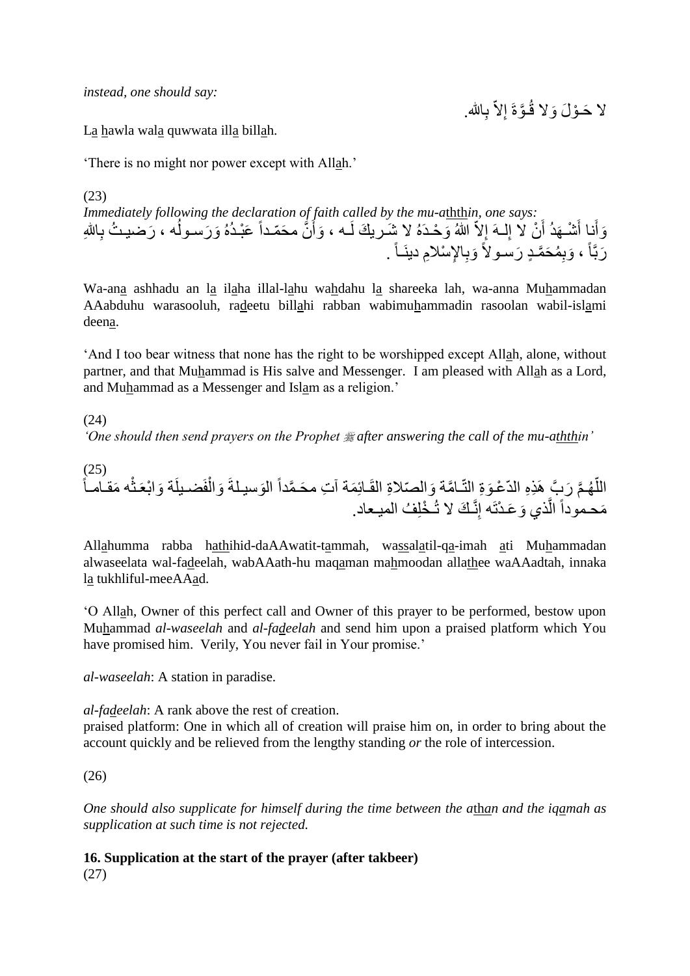*instead, one should say:*

لا حَـوْلَ وَلا قُـوَّةَ إِلاَّ بِالله.

La hawla wala quwwata illa billah.

'There is no might nor power except with Allah.'

(23) *Immediately following the declaration of faith called by the mu-a*thth*in, one says:* وَأَنا أَشْـهَدُ أَنْ لا إِلـهَ إِلاّ اللهُ وَحْدَهُ لا شَـريكَ لَـه ، وَأَنَّ محَمّداً عَبْـدُهُ وَرَسـولُه ، رَضيبـثُ بِاللهِ أَ ِ َ َ َ  $\overline{1}$ رَبَّاً ، وَبِمُحَمَّدٍ رَسـولاً وَبِالإِسْلامِ دينَـاً <sub>.</sub>

Wa-ana ashhadu an la ilaha illal-lahu wahdahu la shareeka lah, wa-anna Muhammadan AAabduhu warasooluh, radeetu billahi rabban wabimuhammadin rasoolan wabil-islami deena.

'And I too bear witness that none has the right to be worshipped except Allah, alone, without partner, and that Muhammad is His salve and Messenger. I am pleased with Allah as a Lord, and Muhammad as a Messenger and Islam as a religion.'

### (24)

*'One should then send prayers on the Prophet # after answering the call of the mu-aththin'* 

(25) اللَّهُمَّ رَبَّ هَذِهِ الدَّعْوَةِ النَّـامَّة وَالصّلاةِ القَـائِمَة آتِ محَمَّداً الوَسيـلةَ وَالْفَضـيلَة وَابْعَنْه مَقـامـاً اً  $\ddot{\phantom{a}}$ ĺ مَحموداً الَّذي وَعَدْتَه إِنَّـكَ لا تُـخْلِفُ الميـعاد. اُ

Allahumma rabba hathihid-daAAwatit-tammah, wassalatil-qa-imah ati Muhammadan alwaseelata wal-fadeelah, wabAAath-hu maqaman mahmoodan allathee waAAadtah, innaka la tukhliful-meeAAad.

'O Allah, Owner of this perfect call and Owner of this prayer to be performed, bestow upon Muhammad *al-waseelah* and *al-fadeelah* and send him upon a praised platform which You have promised him. Verily, You never fail in Your promise.'

*al-waseelah*: A station in paradise.

*al-fadeelah*: A rank above the rest of creation.

praised platform: One in which all of creation will praise him on, in order to bring about the account quickly and be relieved from the lengthy standing *or* the role of intercession.

### (26)

*One should also supplicate for himself during the time between the a*th*an and the iqamah as supplication at such time is not rejected.*

**16. Supplication at the start of the prayer (after takbeer)** (27)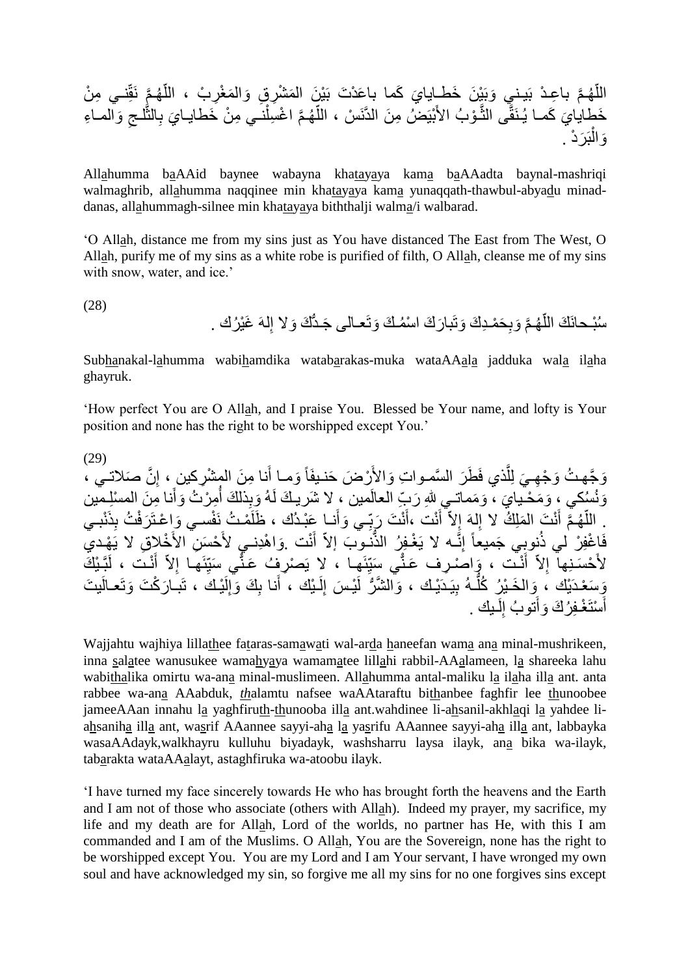َّم هـ الل ِنـي ِم ن ّ َّم نَقّ هـ ّ َم غِر ب ، الل َم شِر ِق َوال َي َكما با َع د َت بَ ي َن ال با ِعـ د بَيـني َوبَ ي َن َخطـايا ِ َوالمـا ِء لـج َّ ِالث َي ب نـي ِم ن َخطايـا َّم ا غ ِسل هـ ّ بيَ ض ِم َن الدَّنَ س ، الل و ب األَ ـ َّ َي َكمـا ي ـنَقَّى الث َخطايا بَ َر د . َوال

Allahumma baAAid baynee wabayna khatayaya kama baAAadta baynal-mashriqi walmaghrib, allahumma naqqinee min khatayaya kama yunaqqath-thawbul-abyadu minaddanas, allahummagh-silnee min khatayaya biththalji walma/i walbarad.

'O Allah, distance me from my sins just as You have distanced The East from The West, O Allah, purify me of my sins as a white robe is purified of filth, O Allah, cleanse me of my sins with snow, water, and ice.'

(28)

سُبْحانَكَ اللَّهُمَّ وَبِحَمْدِكَ وَتَبارَكَ اسْمُكَ وَتَعـالَى جَدَّكَ وَلا إِلهَ غَيْرُك . اً

Subhanakal-lahumma wabihamdika watabarakas-muka wataAAala jadduka wala ilaha ghayruk.

'How perfect You are O Allah, and I praise You. Blessed be Your name, and lofty is Your position and none has the right to be worshipped except You.'

(29) وَجَّهتُ وَجْهِيَ لِلَّذِي فَطَرَ السَّمـواتِ وَالأَرْضَ حَنـيفَاً وَمـا أَنـا مِنَ المشْرِكينِ ، إِنَّ صَلاتـي ،<br>. ا<br>ءِ َ اُ وَنُسُكي ، وَمَحْـيايَ ، وَمَماتـي للهِ رَبِّ العالَمين ، لا شَرِيكَ لَـهُ وَبِذلكَ أَمِرْتُ وَأَنا مِنَ المسلمين َ ĺ . اللّهُمَّ أَنْتَ المَلِكُ لا إِلهَ إِلاّ أَنْت ،أَنْتَ رَبِّي وَأَنـا عَبْدُك ، ظَلَمْتُ نَفْسـي وَاعْتَرَفْتُ بِذَنْبـي َ َ ;<br>; َ َ ِ فَاغْفِرْ لَمِي ذُنِوبِي جَميعاً إِنَّـه لا يَغْفِرُ الذَّنـوَبَ إلاّ أَنْت .وَاهْدِنــيِ لأَحْسَنِ الأَخْلاقِ لا يَهْديَ َ ُمُّ لأَحْسَنِهاۤ إِلاّ أَنْت ، وَاصْرِف عَنّْي سَيِّئَهِا ، لا يَصْرِفُ عَنّْي سَيِّئَها إِلاّ أَنْت ، لَبَّبْكَ َ َ ِ  $\ddot{\cdot}$ ِ  $\ddot{\phantom{0}}$ وَسَعْدَيْكَ ، وَالْخَـيْرُِ كُلُّـهُ بِيَـدَيْـكَ ، وَالشَّرُّ لَيْـسَ إِلَـيْكَ ، أَنا بِكَ وَإِلَيْـك ، تَبـارَكْتَ وَتَعـالَيتَ لَ ا<br>ءِ َ لَ ا<br>ءِ اُ<br>ا أَسْتَغْفِرُكَ وَأَتوبُ إِلَـٰبِك ِ لَ ِ َ َ

Wajjahtu wajhiya lillathee fataras-samawati wal-arda haneefan wama ana minal-mushrikeen, inna salatee wanusukee wamahyaya wamamatee lillahi rabbil-AAalameen, la shareeka lahu wabithalika omirtu wa-ana minal-muslimeen. Allahumma antal-maliku la ilaha illa ant. anta rabbee wa-ana AAabduk, *th*alamtu nafsee waAAtaraftu bithanbee faghfir lee thunoobee jameeAAan innahu la yaghfiruth-thunooba illa ant.wahdinee li-ahsanil-akhlaqi la yahdee liahsaniha illa ant, wasrif AAannee sayyi-aha la yasrifu AAannee sayyi-aha illa ant, labbayka wasaAAdayk,walkhayru kulluhu biyadayk, washsharru laysa ilayk, ana bika wa-ilayk, tabarakta wataAAalayt, astaghfiruka wa-atoobu ilayk.

'I have turned my face sincerely towards He who has brought forth the heavens and the Earth and I am not of those who associate (others with Allah). Indeed my prayer, my sacrifice, my life and my death are for Allah, Lord of the worlds, no partner has He, with this I am commanded and I am of the Muslims. O Allah, You are the Sovereign, none has the right to be worshipped except You. You are my Lord and I am Your servant, I have wronged my own soul and have acknowledged my sin, so forgive me all my sins for no one forgives sins except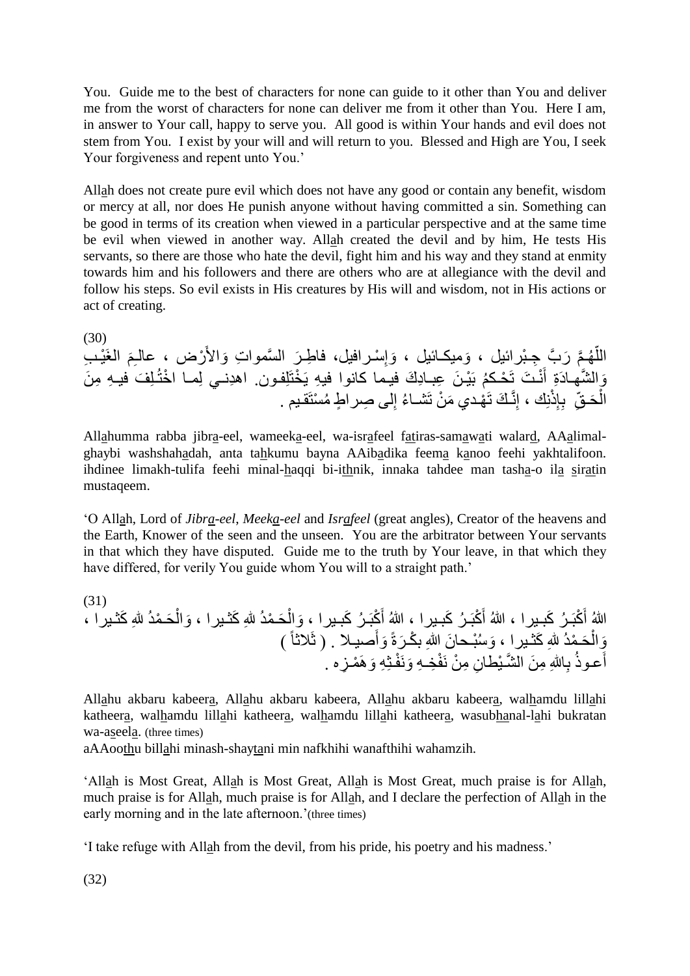You. Guide me to the best of characters for none can guide to it other than You and deliver me from the worst of characters for none can deliver me from it other than You. Here I am, in answer to Your call, happy to serve you. All good is within Your hands and evil does not stem from You. I exist by your will and will return to you. Blessed and High are You, I seek Your forgiveness and repent unto You.'

Allah does not create pure evil which does not have any good or contain any benefit, wisdom or mercy at all, nor does He punish anyone without having committed a sin. Something can be good in terms of its creation when viewed in a particular perspective and at the same time be evil when viewed in another way. Allah created the devil and by him, He tests His servants, so there are those who hate the devil, fight him and his way and they stand at enmity towards him and his followers and there are others who are at allegiance with the devil and follow his steps. So evil exists in His creatures by His will and wisdom, not in His actions or act of creating.

(30) اللَّهُمَّ رَبَّ جِبْرائِيل ، وَميكـائيل ، وَإِسْرافيل، فاطِـرَ السَّمواتِ وَالأَرْض ، عالـِمَ الغَيْـب َ ِ وَالشَّهادَةِ أَنْـتَ تَحْكمُ بَيْـنَ عِبـادِكَ فيـما كانوا فيهِ يَخْتَلِفون. اهدِنــي لِمـا اخْتُـلِفَ فيـهِ مِنَ َ الْحَقِّ ۚ بِإِذْنِكَ ، إِنَّكَ تَهْدي مَنْ تَشْـاءُ إِلَى صِراطٍ مُسْتَقيم . Ĺ ِ

Allahumma rabba jibra-eel, wameeka-eel, wa-israfeel fatiras-samawati walard, AAalimalghaybi washshahadah, anta tahkumu bayna AAibadika feema kanoo feehi yakhtalifoon. ihdinee limakh-tulifa feehi minal-haqqi bi-ithnik, innaka tahdee man tasha-o ila siratin mustaqeem.

'O Allah, Lord of *Jibra-eel*, *Meeka-eel* and *Israfeel* (great angles), Creator of the heavens and the Earth, Knower of the seen and the unseen. You are the arbitrator between Your servants in that which they have disputed. Guide me to the truth by Your leave, in that which they have differed, for verily You guide whom You will to a straight path.'

(31) َحـ َوال َكثـيرا ، َحـ مد هللِ َوال َ كبَـ ر َكبـيرا ، َ كبَـ ر َكبـيرا ، هللا أ َكثـيرا ، َ كبَـ ر َكبـيرا ، هللا أ هللا أ مد هللِ َصيـال . ) ثَالثاً ( َوأ َرةً َو س بـحا َن هللاِ ب كـ َكثـيرا ، َحـ مد هللِ َوال ِزه . َو َه مـ فـثِ ِه َونَ ف ِخـ ِه ِن ِم ن نَ ِاهللِ ِم َن ال َّشـ يطا ب َعـوذ أ

Allahu akbaru kabeera, Allahu akbaru kabeera, Allahu akbaru kabeera, walhamdu lillahi katheera, walhamdu lillahi katheera, walhamdu lillahi katheera, wasubhanal-lahi bukratan wa-aseela. (three times)

aAAoothu billahi minash-shaytani min nafkhihi wanafthihi wahamzih.

'Allah is Most Great, Allah is Most Great, Allah is Most Great, much praise is for Allah, much praise is for Allah, much praise is for Allah, and I declare the perfection of Allah in the early morning and in the late afternoon.'(three times)

'I take refuge with Allah from the devil, from his pride, his poetry and his madness.'

(32)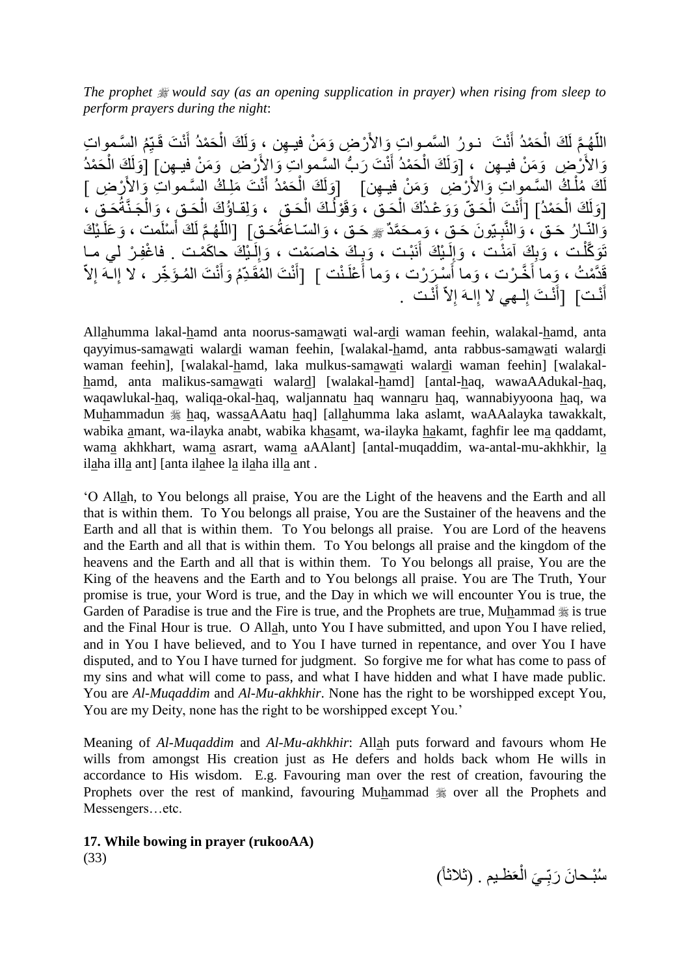*The prophet would say (as an opening supplication in prayer) when rising from sleep to perform prayers during the night*:

اللَّهُمٍّ لَكَ الْحَمْدُ أَنْتَ نـورُ السَّمـواتِ وَالأَرْضِ وَمَنْ فيـهِن ، وَلَكَ الْحَمْدُ أَنْتَ قَيِّمُ السَّمواتِ َ į َ Ì وَالأَرْضِ ۚ وَمَنْ فيـهِن ۚ إِوَلَكَ الْحَمْدُ أَنْتَ رَبُّ السَّمواتِ وَالأَرْضِ ۚ وَمَنْ فِيـهِن] [وَلَكَ الْحَمْدُ j ُّ َ į لَكَ مُلْكُ السَّموِاتِ وَالأَرْضِ ۚ وَمَنْ فِيهِن] ۚ [وَلَكَ الْحَمْدُ أَنْتَ مَلِكُ السَّمواتِ وَالأَرْضِ ] َ ĺ Ĺ [وَلَكَ الْحَمْدُ] [أَنْتَ الْحَقّ وَوَعْدُكَ الْحَق ، وَقَوْلُكَ الْحَق ، وَلِقاؤُكَ الْحَقّ ، وَالْجَنَّةُحَقّ ،  $\mathsf{i}$ į  $\mathbf{I}$ ĺ ĺ َ ؙؚ<br>ا  $\mathsf{i}$ وَالنَّـارُ حَـق ، وَالنَّبِـيّونَ حَـقٍ ، وَمِـحَمَّدٌ ﷺ حَـق ، وَالسّـاعَةُحَـقِ] [اللَّـهُـمَّ لَكَ أَسْلَمت ، وَعَلَـبْكَ **∶** اً َ نَوَكَّلْت ، وَبِكَ آمَنْت ، وَإِلَيْكَ أَنَبْت ، وَبِكَ خاصَمْتٍ ، وَإِلَيْكَ حِاكَمْت . فاغْفِرْ لي مـا لَ ا<br>ءِ  $\frac{1}{2}$ َ لَ ا Ĺ قَدَّمْتُ ، وَما أُخَّرْت ، وَما أُسْرَرْت ، وَما أَعْلَنْت ] [أَنْتَ الْمُقَدِّمُ وَأَنْتَ الْمُؤَخِّر ، لا إلـهَ إلاّ<br>أ َ َ َ َ َ ا<br>ءِ أَنْتَ إلـهي لا إِلـهَ إِلاّ أَنْتَ . َ ا<br>په ِ َ َ

Allahumma lakal-hamd anta noorus-samawati wal-ardi waman feehin, walakal-hamd, anta qayyimus-samawati walardi waman feehin, [walakal-hamd, anta rabbus-samawati walardi waman feehin], [walakal-hamd, laka mulkus-samawati walardi waman feehin] [walakalhamd, anta malikus-samawati walard] [walakal-hamd] [antal-haq, wawaAAdukal-haq, waqawlukal-haq, waliqa-okal-haq, waljannatu haq wannaru haq, wannabiyyoona haq, wa Muhammadun  $\frac{1}{2}$  haq, wassaAAatu haq] [allahumma laka aslamt, waAAalayka tawakkalt, wabika amant, wa-ilayka anabt, wabika khasamt, wa-ilayka hakamt, faghfir lee ma qaddamt, wama akhkhart, wama asrart, wama aAAlant] [antal-muqaddim, wa-antal-mu-akhkhir, la ilaha illa ant] [anta ilahee la ilaha illa ant .

'O Allah, to You belongs all praise, You are the Light of the heavens and the Earth and all that is within them. To You belongs all praise, You are the Sustainer of the heavens and the Earth and all that is within them. To You belongs all praise. You are Lord of the heavens and the Earth and all that is within them. To You belongs all praise and the kingdom of the heavens and the Earth and all that is within them. To You belongs all praise, You are the King of the heavens and the Earth and to You belongs all praise. You are The Truth, Your promise is true, your Word is true, and the Day in which we will encounter You is true, the Garden of Paradise is true and the Fire is true, and the Prophets are true, Muhammad  $\frac{46}{36}$  is true and the Final Hour is true. O Allah, unto You I have submitted, and upon You I have relied, and in You I have believed, and to You I have turned in repentance, and over You I have disputed, and to You I have turned for judgment. So forgive me for what has come to pass of my sins and what will come to pass, and what I have hidden and what I have made public. You are *Al-Muqaddim* and *Al-Mu-akhkhir*. None has the right to be worshipped except You, You are my Deity, none has the right to be worshipped except You.'

Meaning of *Al-Muqaddim* and *Al-Mu-akhkhir*: Allah puts forward and favours whom He wills from amongst His creation just as He defers and holds back whom He wills in accordance to His wisdom. E.g. Favouring man over the rest of creation, favouring the Prophets over the rest of mankind, favouring Muhammad  $\frac{1}{20}$  over all the Prophets and Messengers…etc.

**17. While bowing in prayer (rukooAA)** (33)

سُبْحانَ رَبِّـيَ الْعَظْـيم . (ثْلاثاً) ;<br>;  $\ddot{\phantom{0}}$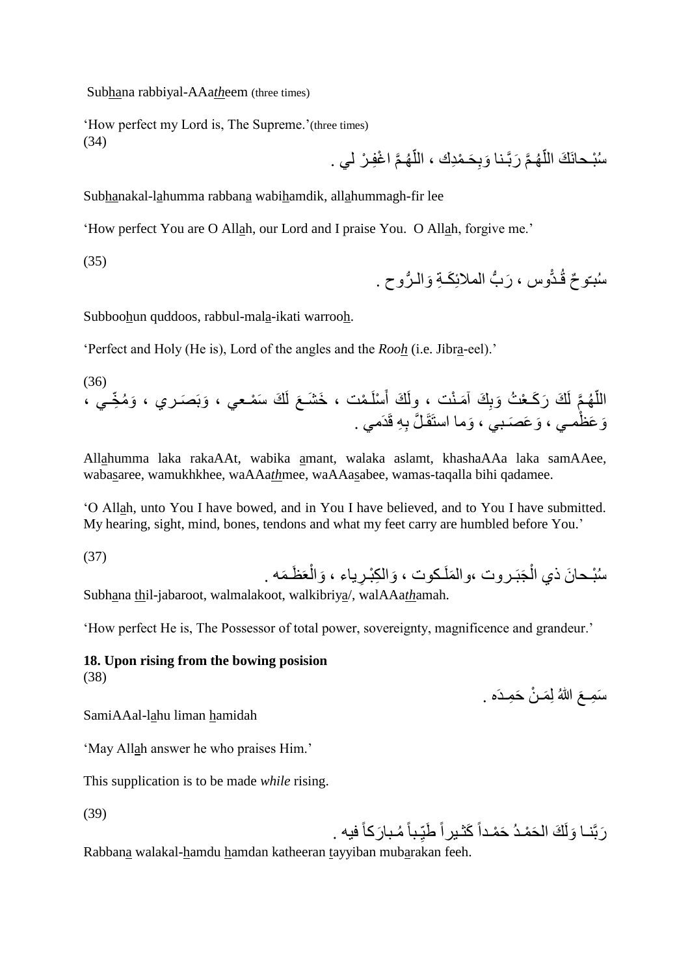Subhana rabbiyal-AAa*th*eem (three times)

'How perfect my Lord is, The Supreme.'(three times) (34)

سُبْحانَكَ اللَّهُمَّ رَبَّـنا وَبِحَـمْدِكَ ، اللَّهُمَّ اغْفِـرْ لي . اً اً

Subhanakal-lahumma rabbana wabihamdik, allahummagh-fir lee

'How perfect You are O Allah, our Lord and I praise You. O Allah, forgive me.'

(35)

روح . َوالـ ُّ ب المالئِ َكـ ِة ُّ وس ، َر ـدّ ّو ٌح ق سبـ

Subboohun quddoos, rabbul-mala-ikati warrooh.

'Perfect and Holy (He is), Lord of the angles and the *Rooh* (i.e. Jibra-eel).'

(36) َو م ّخِ ـي ، َوبَ َصـري ، َك َس مـعي ، َع لَ ـ مت ، َخ َشـ سلَ َ َك أ َمـ نت ، ولَ ِ َك آ َك َر َكـ ع ت َوب َّم لَ هـ ّ الل ِ ِه قَدَمي . َوما استَقَـ َّل ب َو َع َصـبي ، َو َع ظمـي ،

Allahumma laka rakaAAt, wabika amant, walaka aslamt, khashaAAa laka samAAee, wabasaree, wamukhkhee, waAAa*th*mee, waAAasabee, wamas-taqalla bihi qadamee.

'O Allah, unto You I have bowed, and in You I have believed, and to You I have submitted. My hearing, sight, mind, bones, tendons and what my feet carry are humbled before You.'

(37)

َمه . َظـ عَ َوال ِرياء ، َوال ِك بـ ـكوت ، َملَ َجبَـروت ،وال س بـحا َن ذي ال

Subhana thil-jabaroot, walmalakoot, walkibriya/, walAAa*th*amah.

'How perfect He is, The Possessor of total power, sovereignty, magnificence and grandeur.'

#### **18. Upon rising from the bowing posision** (38)

سَمِعَ اللهُ لِمَـنْ حَمِـدَه .

SamiAAal-lahu liman hamidah

'May Allah answer he who praises Him.'

This supplication is to be made *while* rising.

(39)

رَبَّنــا وَلَكَ الْحَمْـدُ حَمْـداً كَثْـيراً طَبِّـباً مُـبارَكاً فيه . ;<br>;

Rabbana walakal-hamdu hamdan katheeran tayyiban mubarakan feeh.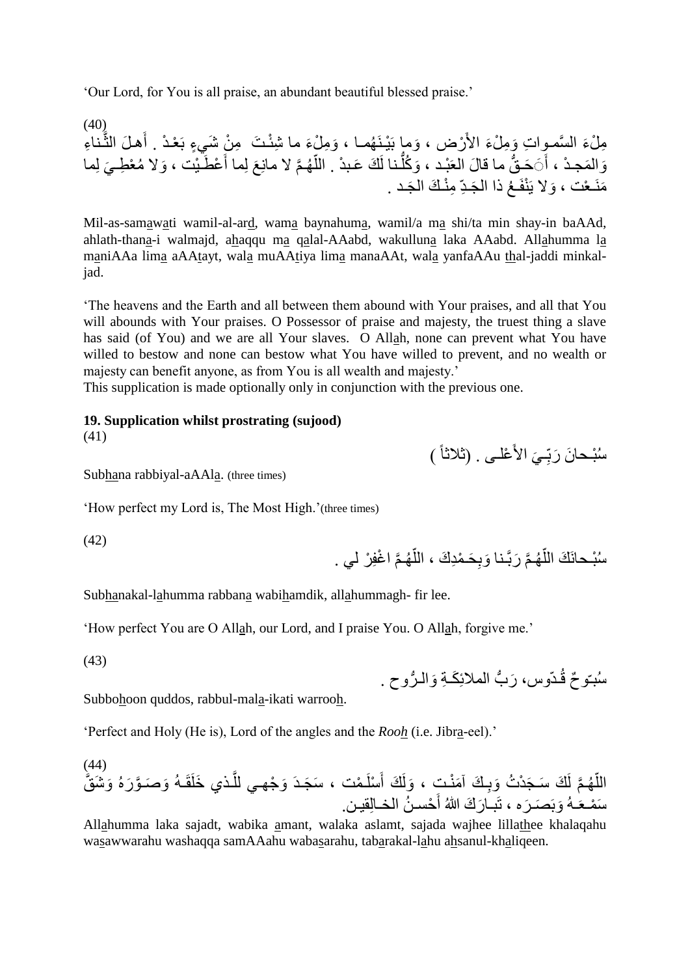'Our Lord, for You is all praise, an abundant beautiful blessed praise.'

 $(40)$ مِلْءَ السَّموِاتِ وَمِلْءَ الأَرْض ، وَما بَيْنَهُمـا ، وَمِلْءَ ما شَئْتَ ۚ مِنْ شَيءٍ بَعْدْ . أَهلَ الثَّناءِ َّ وَالْمَحِدْ ، أَيَحَقُّ ما قالَ العَبْد ، وَكُلَّنا لَكَ عَبدْ . اللَّهُمَّ لا مانِعَ لِما أَعْطَيْت ، وَلا مُعْطِيَ لِما َ أ ُّ َ مَنَـعْت ، وَلا يَنْفَـعُ ذا الْجَـدِّ مِنْـكَ الْجَـد .

Mil-as-samawati wamil-al-ard, wama baynahuma, wamil/a ma shi/ta min shay-in baAAd, ahlath-thana-i walmajd, ahaqqu ma qalal-AAabd, wakulluna laka AAabd. Allahumma la maniAAa lima aAAtayt, wala muAAtiya lima manaAAt, wala yanfaAAu thal-jaddi minkaljad.

'The heavens and the Earth and all between them abound with Your praises, and all that You will abounds with Your praises. O Possessor of praise and majesty, the truest thing a slave has said (of You) and we are all Your slaves. O Allah, none can prevent what You have willed to bestow and none can bestow what You have willed to prevent, and no wealth or majesty can benefit anyone, as from You is all wealth and majesty.'

This supplication is made optionally only in conjunction with the previous one.

**19. Supplication whilst prostrating (sujood)**

(41)

سُبْحانَ رَبِّـيَ الأَعْلٰـى . (ثلاثاً ) ;

Subhana rabbiyal-aAAla. (three times)

'How perfect my Lord is, The Most High.'(three times)

(42)

سُبْـحانَكَ اللَّهُمَّ رَبَّـنـا وَبِحَـمْدِكَ ، اللَّهُمَّ اغْفِرْ لَـي . اً اً

Subhanakal-lahumma rabbana wabihamdik, allahummagh- fir lee.

'How perfect You are O Allah, our Lord, and I praise You. O Allah, forgive me.'

(43)

سُبّوحٌ قُدّوس، رَبُّ الملائِكَـةِ وَالـرُّوحِ . ُّ

Subbohoon quddos, rabbul-mala-ikati warrooh.

'Perfect and Holy (He is), Lord of the angles and the *Rooh* (i.e. Jibra-eel).'

#### (44) اللَّهُمَّ لَكَ سَجَدْتُ وَبِكَ آمَنْتٍ ، وَلَكَ أَسْلَمْت ، سَجَدَ وَجْهـي للَّذي خَلَقَـهُ وَصَـوَّرَهُ وَشَقَّ َّ َ ِ ا<br>ا سَمْعَـهُ وَبَصَـرَه ، تَبــارَكَ اللهُ أَحْسـنُ الْخــالِقيـن. َ

Allahumma laka sajadt, wabika amant, walaka aslamt, sajada wajhee lillathee khalaqahu wasawwarahu washaqqa samAAahu wabasarahu, tabarakal-lahu ahsanul-khaliqeen.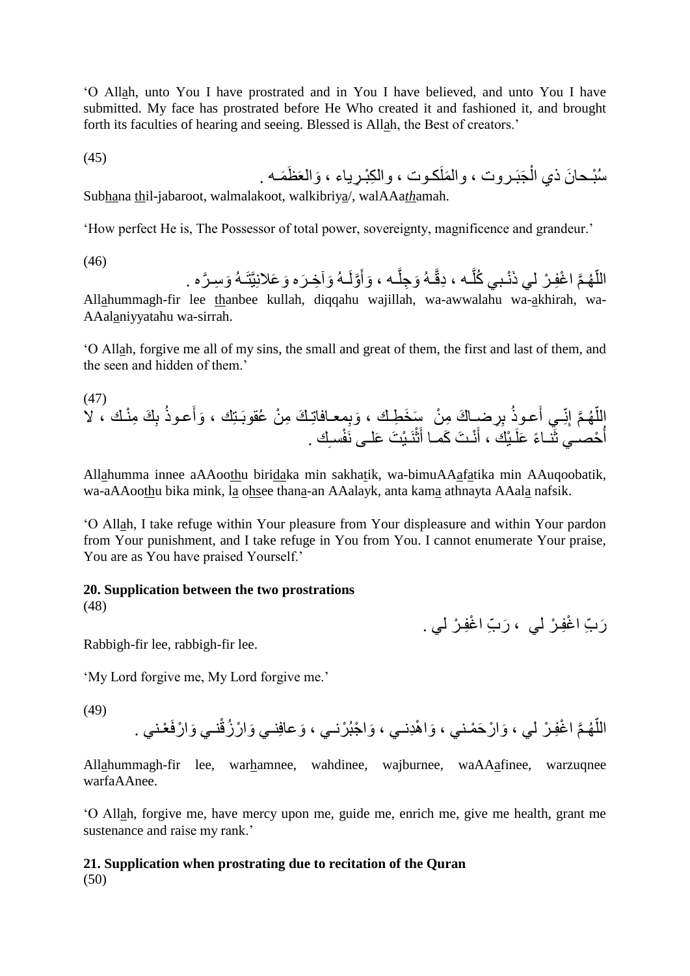'O Allah, unto You I have prostrated and in You I have believed, and unto You I have submitted. My face has prostrated before He Who created it and fashioned it, and brought forth its faculties of hearing and seeing. Blessed is Allah, the Best of creators.'

$$
(45)
$$

َظَمـه . َوالعَ ِرياء ، َملَكـوت ، وال ِك بـ َجبَـروت ، وال س بـحا َن ذي ال

Subhana thil-jabaroot, walmalakoot, walkibriya/, walAAa*th*amah.

'How perfect He is, The Possessor of total power, sovereignty, magnificence and grandeur.'

(46)

اللَّهُمَّ اغْفِرْ لي ذَنْبي كُلُّـه ، دِقَّـهُ وَجِلَّـه ، وَأَوَّلَـهُ وَآخِرَه وَعَلانِيَّتَـهُ وَسِرَّه . َ َّ َّ اً

Allahummagh-fir lee thanbee kullah, diqqahu wajillah, wa-awwalahu wa-akhirah, wa-AAalaniyyatahu wa-sirrah.

'O Allah, forgive me all of my sins, the small and great of them, the first and last of them, and the seen and hidden of them.'

(47) ِ ِر ب َعـوذ ِـي أ ِنّ َّم إ هـ الل َك ِم نـك ، ال ّ ِ ب َعـوذ َوأ ِمعـافاتِـ َك ِم ن عقوبَـتِك ، َوب ضـا َك ِم ن َس َخ ِطـك ، ِك . فسـ نَـ ي َت َعلـى نَ ث َ نـ َت َكمـا أ َ ـ يك ، أ حصـي ثَنـا ًء َعلَ أ

Allahumma innee aAAoothu biridaka min sakhatik, wa-bimuAAafatika min AAuqoobatik, wa-aAAoothu bika mink, la ohsee thana-an AAalayk, anta kama athnayta AAala nafsik.

'O Allah, I take refuge within Your pleasure from Your displeasure and within Your pardon from Your punishment, and I take refuge in You from You. I cannot enumerate Your praise, You are as You have praised Yourself.'

#### **20. Supplication between the two prostrations**

(48)

رَبِّ اغْفِرْ لي ، رَبِّ اغْفِرْ لي .

Rabbigh-fir lee, rabbigh-fir lee.

'My Lord forgive me, My Lord forgive me.'

(49)

َوا َوا ر َح مـني ، َّم ا غِفـ ر لي ، هـ ّ عـني . نـي َو الل ا رفَ َوعافِنـي َوا ر زق َوا جب رنـي ، هِدنـي ،

Allahummagh-fir lee, warhamnee, wahdinee, wajburnee, waAAafinee, warzuqnee warfaAAnee.

'O Allah, forgive me, have mercy upon me, guide me, enrich me, give me health, grant me sustenance and raise my rank.'

#### **21. Supplication when prostrating due to recitation of the Quran** (50)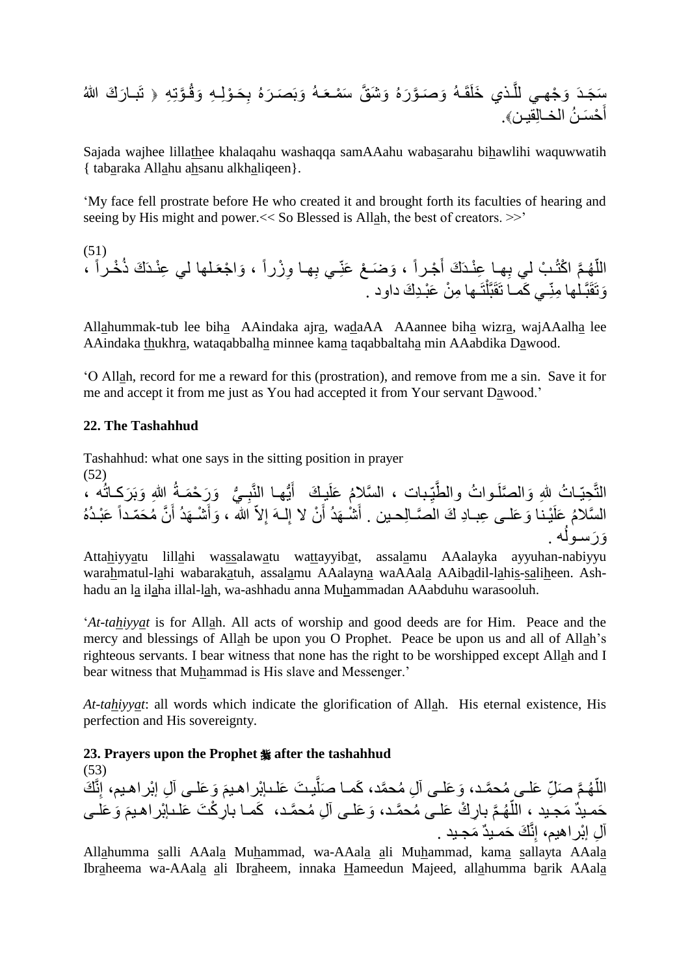َّوتِ ِه ـ َوق وِلـ ِه ِ َحـ َره ب َوبَ َصـ ـه َو َش َّق َس مـعَ َّو َره َو َصـ ـذي َخلَقَـه َّ َو جهـي لل َر َك هللا ـدَ َس َج ا تَبـ ح َسـ ن ا َ أ لخـاِلقيـن.

Sajada wajhee lillathee khalaqahu washaqqa samAAahu wabasarahu bihawlihi waquwwatih { tabaraka Allahu ahsanu alkhaliqeen}.

'My face fell prostrate before He who created it and brought forth its faculties of hearing and seeing by His might and power.<< So Blessed is Allah, the best of creators. >>'

(51) ِهـ ِـي ب َو َضـ ع َعنّ جـراً ، َ ِهـا ِع نـدَ َك أ َّم ا كت ـ ب لي ب هـ الل ، ّ ـلها لي ِع نـدَ َك ذ خـراً َوا جعَ ِو زراً ، ا تَـها ِم ن َع بـِد َك داود . ِـي َكمـا تَقَبَّل َوتَقَبَّـلها ِمنّ

Allahummak-tub lee biha AAindaka ajra, wadaAA AAannee biha wizra, wajAAalha lee AAindaka thukhra, wataqabbalha minnee kama taqabbaltaha min AAabdika Dawood.

'O Allah, record for me a reward for this (prostration), and remove from me a sin. Save it for me and accept it from me just as You had accepted it from Your servant Dawood.'

#### **22. The Tashahhud**

(53)

Tashahhud: what one says in the sitting position in prayer

(52) التَّحِيّـاتُ لِلهِ وَالصَّلَـواتُ والطَّيِّبات ، السَّلامُ عَلَيلَكَ ۖ أَيُّها النَّبِـيُّ ۚ وَرَحْمَـةُ اللهِ وَبَرَكِـاتُه ، ُّ **∶** ُّ َ ;<br>; اً السَّلامُ عَلَيْنا وَعَلـى عِبـادِ كَ الصَّـالِحـين . أَشْـهَدُ أَنْ لا إِلـهَ إِلاّ الله ، وَأَشْـهَدُ أَنَّ مُحَمّداً عَبْـدُهُ َ ا<br>ءِ اً َ ه .  $\overline{a}$ وَرَسول

Attahiyyatu lillahi wassalawatu wattayyibat, assalamu AAalayka ayyuhan-nabiyyu warahmatul-lahi wabarakatuh, assalamu AAalayna waAAala AAibadil-lahis-saliheen. Ashhadu an la ilaha illal-lah, wa-ashhadu anna Muhammadan AAabduhu warasooluh.

'*At-tahiyyat* is for Allah. All acts of worship and good deeds are for Him. Peace and the mercy and blessings of Allah be upon you O Prophet. Peace be upon us and all of Allah's righteous servants. I bear witness that none has the right to be worshipped except Allah and I bear witness that Muhammad is His slave and Messenger.'

*At-tahiyyat*: all words which indicate the glorification of Allah. His eternal existence, His perfection and His sovereignty.

# **23. Prayers upon the Prophet after the tashahhud**

اللَّهُمَّ صَلِّ عَلـى مُحمَّد، وَعَلـى آلِ مُحمَّد، كَمـا صَلَّيتَ عَلـْبِإِبْرِاهيمَ وَعَلـى آلِ إبْرِاهيم، إِنَّكَ اُ اً حَمـيدٌ مَجـيد ، اللَّهُمَّ بِارِكْ عَلـى مُحمَّـد، وَعَلـى ألِ مُحمَّـد، ۖ كَمـا بارِكْتَ عَلـىإبْراهـيمَ وَعَلـى أ آلِ إبْراهيم، إِنَّكَ حَمـيدٌ مَجـيد .

Allahumma salli AAala Muhammad, wa-AAala ali Muhammad, kama sallayta AAala Ibraheema wa-AAala ali Ibraheem, innaka Hameedun Majeed, allahumma barik AAala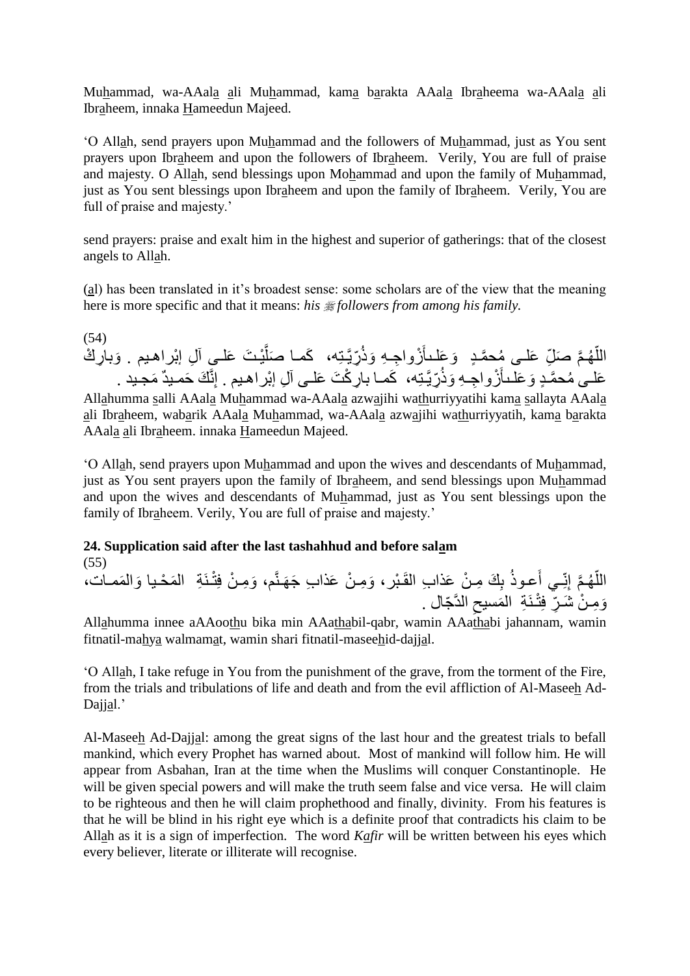Muhammad, wa-AAala ali Muhammad, kama barakta AAala Ibraheema wa-AAala ali Ibraheem, innaka Hameedun Majeed.

'O Allah, send prayers upon Muhammad and the followers of Muhammad, just as You sent prayers upon Ibraheem and upon the followers of Ibraheem. Verily, You are full of praise and majesty. O Allah, send blessings upon Mohammad and upon the family of Muhammad, just as You sent blessings upon Ibraheem and upon the family of Ibraheem. Verily, You are full of praise and majesty.'

send prayers: praise and exalt him in the highest and superior of gatherings: that of the closest angels to Allah.

(al) has been translated in it's broadest sense: some scholars are of the view that the meaning here is more specific and that it means: *his* #followers from among his family.

 $(54)$ اللَّهُمَّ صَلِّ عَلـى مُحمَّدٍ ۚ وَعَلـٰـالِّرُواجِـهِ وَذُرِّيَّتِه، ۖ كَمـا صَلَّيْتَ عَلــيِ آلِ إبْراهـيم . وَبارِكْ ڑ<br>ل :<br>ا ا<br>ا عَلـى مُحمَّدٍ وَعَلـْـأَزْواجِـهِ وَذُرِّيَّتِه، ۖ كَمـا بارِكْتَ عَلـى آلِ إبْراهـيم . إِنَّكَ حَمـيدٌ مَجـيد . ِ<br>ا

Allahumma salli AAala Muhammad wa-AAala azwajihi wathurriyyatihi kama sallayta AAala ali Ibraheem, wabarik AAala Muhammad, wa-AAala azwajihi wathurriyyatih, kama barakta AAala ali Ibraheem. innaka Hameedun Majeed.

'O Allah, send prayers upon Muhammad and upon the wives and descendants of Muhammad, just as You sent prayers upon the family of Ibraheem, and send blessings upon Muhammad and upon the wives and descendants of Muhammad, just as You sent blessings upon the family of Ibraheem. Verily, You are full of praise and majesty.'

### **24. Supplication said after the last tashahhud and before salam** (55)

اللَّهُمَّ إِنِّـي أَعـوذُ بِكَ مِنْ عَذابِ القَبْرِ، وَمِنْ عَذابِ جَهَنَّم، وَمِنْ فِتْذَةِ ۖ الْمَحْيا وَالْمَمـات، ا<br>ا وَمِـنْ شَـرٍّ فِتْـنَـةِ ۖ المَسيحِ الدَّجّالِ . ِ

Allahumma innee aAAoothu bika min AAathabil-qabr, wamin AAathabi jahannam, wamin fitnatil-mahya walmamat, wamin shari fitnatil-maseehid-dajjal.

'O Allah, I take refuge in You from the punishment of the grave, from the torment of the Fire, from the trials and tribulations of life and death and from the evil affliction of Al-Maseeh Ad-Dajjal.'

Al-Maseeh Ad-Dajjal: among the great signs of the last hour and the greatest trials to befall mankind, which every Prophet has warned about. Most of mankind will follow him. He will appear from Asbahan, Iran at the time when the Muslims will conquer Constantinople. He will be given special powers and will make the truth seem false and vice versa. He will claim to be righteous and then he will claim prophethood and finally, divinity. From his features is that he will be blind in his right eye which is a definite proof that contradicts his claim to be Allah as it is a sign of imperfection. The word *Kafir* will be written between his eyes which every believer, literate or illiterate will recognise.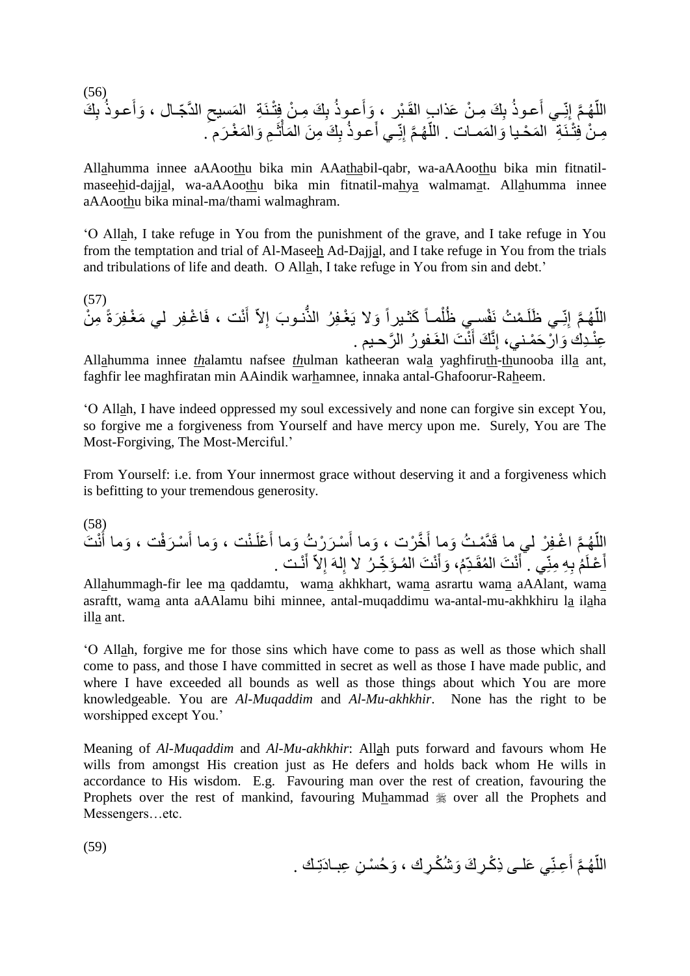(56) َو الدَّ ّجـال ، ِ َمسيح ـنَ ِة ال ِ َك ِمـ ن فِت ب َعـوذ َوأ ِ َك ِمـ ن َعذا ِب القَـ بر ، ب َعـوذ ِـي أ ِنّ َّم إ هـ الل َك ّ ِ ب َعـوذ أ َرم . َم غـ َوال ِم ـ ثَ َمأ ِ َك ِم َن ال ب َعـوذ ِـي أ ِنّ َّم إ هـ ّ َممـات . الل َوال َم حـيا ـنَ ِة ال ِمـ ن فِت

Allahumma innee aAAoothu bika min AAathabil-qabr, wa-aAAoothu bika min fitnatilmaseehid-dajjal, wa-aAAoothu bika min fitnatil-mahya walmamat. Allahumma innee aAAoothu bika minal-ma/thami walmaghram.

'O Allah, I take refuge in You from the punishment of the grave, and I take refuge in You from the temptation and trial of Al-Maseeh Ad-Dajjal, and I take refuge in You from the trials and tribulations of life and death. O Allah, I take refuge in You from sin and debt.'

(57) نت ، فَا غـِفر لي َم غـِف َ أ ِالّ نـو َب إ ُّ غـِف ر الذ َوال يَ َكثـيراً مـاً فسـي ظل ـ م ت نَ ِـي َظلَ ِنّ َّم إ هـ ِم ن ّ َر الل ةً ن َت الغَـفو ر ال َّرحـيم . َ َك أ ِنَّ ِع نـِدك َوا ر َح مـني، إ

Allahumma innee *th*alamtu nafsee *th*ulman katheeran wala yaghfiruth-thunooba illa ant, faghfir lee maghfiratan min AAindik warhamnee, innaka antal-Ghafoorur-Raheem.

'O Allah, I have indeed oppressed my soul excessively and none can forgive sin except You, so forgive me a forgiveness from Yourself and have mercy upon me. Surely, You are The Most-Forgiving, The Most-Merciful.'

From Yourself: i.e. from Your innermost grace without deserving it and a forgiveness which is befitting to your tremendous generosity.

(58) ن َت َ َوما أ َرف ت ، سـ َ َوما أ ـ نت ، علَ َ َر ر ت َوما أ سـ َ َوما أ َّخ رت ، َ مـ ت َوما أ َّم ا غـِف ر لي ما قَدَّ هـ ّ الل ن َت ال َ َوأ م، مقَـِدّ ن َت ال َ ِي . أ ِ ِه ِمنّ م ب عـلَ َ أ نـت . َ أ ِالّ لهَ إ ِ مـ َؤ ّخِ ـ ر ال إ

All<u>a</u>hummagh-fir lee ma qaddamtu, wama akhkhart, wama asrartu wama aAAlant, wama asraftt, wama anta aAAlamu bihi minnee, antal-muqaddimu wa-antal-mu-akhkhiru la ilaha illa ant.

'O Allah, forgive me for those sins which have come to pass as well as those which shall come to pass, and those I have committed in secret as well as those I have made public, and where I have exceeded all bounds as well as those things about which You are more knowledgeable. You are *Al-Muqaddim* and *Al-Mu-akhkhir*. None has the right to be worshipped except You.'

Meaning of *Al-Muqaddim* and *Al-Mu-akhkhir*: Allah puts forward and favours whom He wills from amongst His creation just as He defers and holds back whom He wills in accordance to His wisdom. E.g. Favouring man over the rest of creation, favouring the Prophets over the rest of mankind, favouring Muhammad  $\frac{1}{20}$  over all the Prophets and Messengers…etc.

(59)

اللَّهُمَّ أَعِنِّي عَلـى ذِكْرِكَ وَشُكْرِكَ ، وَحُسْنِ عِبـادَتِكَ . َ ا<br>ا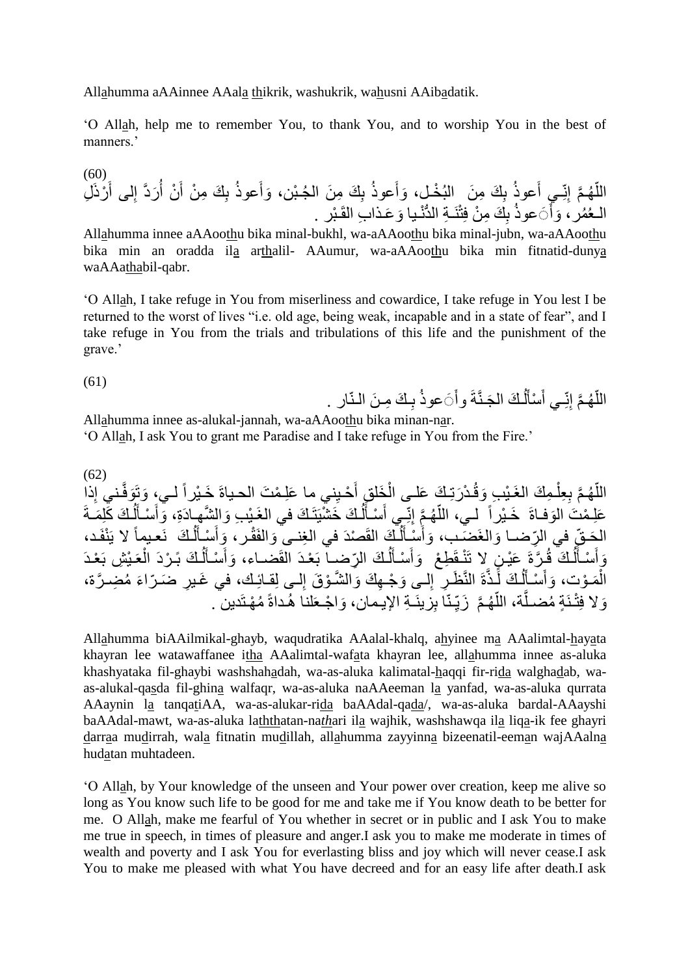Allahumma aAAinnee AAala thikrik, washukrik, wahusni AAibadatik.

'O Allah, help me to remember You, to thank You, and to worship You in the best of manners.'

(60) ِ َك ِم َن ب َعوذ َوأ ِ َك ِم َن الب خـل، ب َعوذ ِـي أ ِنّ َّم إ هـ ّ ِل الل رذَ َ لى أ ِ َردَّ إ ن أ َ ِ َك ِم ن أ ب َعوذ َوأ ال جـ بن، َو َعـذا ِب القَـ بر . ُّ نـيا ِ َك ِم ن فِت نَـ ِة الد ب ََعوذ َ َوأ الـع مر،

Allahumma innee aAAoothu bika minal-bukhl, wa-aAAoothu bika minal-jubn, wa-aAAoothu bika min an oradda ila arthalil- AAumur, wa-aAAoothu bika min fitnatid-dunya waAAathabil-qabr.

'O Allah, I take refuge in You from miserliness and cowardice, I take refuge in You lest I be returned to the worst of lives "i.e. old age, being weak, incapable and in a state of fear", and I take refuge in You from the trials and tribulations of this life and the punishment of the grave.'

(61) ـ َك ِمـ َن الـنّار . ب ََعوذ َجـنَّةَ وأ ـ َك ال ل سأ ِـي أ ِنّ َّم إ هـ الل َ َ َ ّ

**∶** Allahumma innee as-alukal-jannah, wa-aAAoothu bika minan-nar.

'O Allah, I ask You to grant me Paradise and I take refuge in You from the Fire.'

(62) ِذ ـني إ َوفَّ َوتَ لـي، ِني ما َعِلـ م َت الحـياةَ َخـ يراً حـي َ ِق أ َخل ـ د َرتِـ َك َعلـى ال ـ ِم َك الغَـ ي ِب َوق ِ ِعل َّم ب هـ ّ الل ا س َ ِـي أ ِنّ َّم إ هـ ّ لـي، الل َوفـاةَ َخـ يراً َعِلـ م َت ال َمـةَ ـ َك َكِل ل َ سـأ َ َوأ ـ َك َخ شيَتَـ َك في الغَـ ي ِب َوال َّشهـادَة،ِ ل َ ـأ نفَـد، ـ َك نَعـيماً ال يَ ل َ سـأ َ َوأ ـر، صدَ في ال ِغنـى َوالفَق ـ َك القَ ل َ سـأ َ َوأ َضـب، َوالغَ ِّرضـا َحـ ّقِ في ال ال ـ َك ل َ سـأ َ ِط ع َوأ ٍن ال تَ نـقَ َع يـ ـ َّرةَ ـ َك ق ل َ سـأ َ َوأ ـ ي ِش بَ عـدَ عَ ـ َك بًـ ردَ ال ل َ سـأ َ َوأ ِّرضـا بَ عـدَ القَضـاء، ال َء م ِضـ َّرة، ِر َضـ ّرا لـى ِلقـائِـك، في َغـي ِ و َق إ ِه َك َوال َّشـ لـى َو جـ ِ ِر إ ةَ النَّ َظـ ـذَّ ـ َك لَ ل َ سـأ َ َوأ وت، َمـ ال ِزينَـ ِة اإليـما ـنّا ب ِ َّم َزيّ هـ ّ ة، الل َّ ـنَ ٍة مضـل َوال فِت م هـتَدين . لنا هـداةً َوا جـعَ ن،

Allahumma biAAilmikal-ghayb, waqudratika AAalal-khalq, ahyinee ma AAalimtal-hayata khayran lee watawaffanee itha AAalimtal-wafata khayran lee, allahumma innee as-aluka khashyataka fil-ghaybi washshahadah, wa-as-aluka kalimatal-haqqi fir-rida walghadab, waas-alukal-qasda fil-ghina walfaqr, wa-as-aluka naAAeeman la yanfad, wa-as-aluka qurrata AAaynin la tanqatiAA, wa-as-alukar-rida baAAdal-qada/, wa-as-aluka bardal-AAayshi baAAdal-mawt, wa-as-aluka laththatan-na*th*ari ila wajhik, washshawqa ila liqa-ik fee ghayri darraa mudirrah, wala fitnatin mudillah, allahumma zayyinna bizeenatil-eeman wajAAalna hudatan muhtadeen.

'O Allah, by Your knowledge of the unseen and Your power over creation, keep me alive so long as You know such life to be good for me and take me if You know death to be better for me. O Allah, make me fearful of You whether in secret or in public and I ask You to make me true in speech, in times of pleasure and anger.I ask you to make me moderate in times of wealth and poverty and I ask You for everlasting bliss and joy which will never cease.I ask You to make me pleased with what You have decreed and for an easy life after death.I ask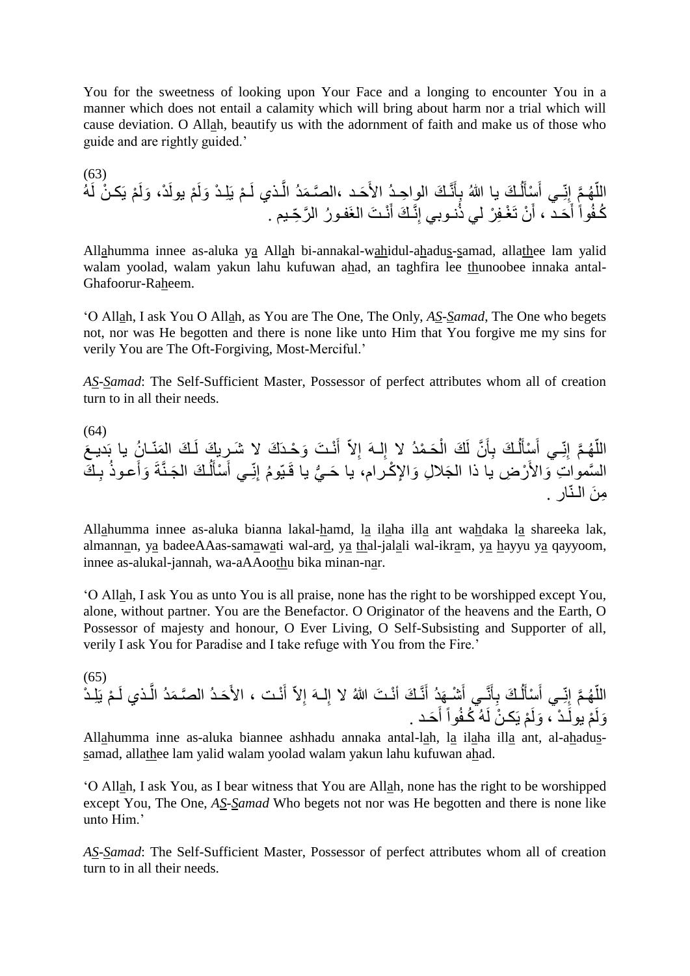You for the sweetness of looking upon Your Face and a longing to encounter You in a manner which does not entail a calamity which will bring about harm nor a trial which will cause deviation. O Allah, beautify us with the adornment of faith and make us of those who guide and are rightly guided.'

(63) س َ ِـي أ ِنّ َّم إ هـ ّ الل ه م يَكـ ن لَ َولَ د، م يولَ َولَ م يَِلـ د ـ ـذي لَ َّ َمد ال َحـد ،ال َّصـ نَّـ َك الوا ِحـد األَ َ ِأ ـ َك يا هللا ب ل َ أ نـ َت الغَفـو ر ال َّر ِّحـيم . َ ِنَّـ َك أ نـوبي إ ن تَ غـِف ر لي ذ َ َحـد ، أ َ أ كـف واً

Allahumma innee as-aluka ya Allah bi-annakal-wahidul-ahadus-samad, allathee lam yalid walam yoolad, walam yakun lahu kufuwan ahad, an taghfira lee thunoobee innaka antal-Ghafoorur-Raheem.

'O Allah, I ask You O Allah, as You are The One, The Only, *AS-Samad*, The One who begets not, nor was He begotten and there is none like unto Him that You forgive me my sins for verily You are The Oft-Forgiving, Most-Merciful.'

*AS-Samad*: The Self-Sufficient Master, Possessor of perfect attributes whom all of creation turn to in all their needs.

(64) س َ ِـي أ ِنّ َّم إ هـ ّ َع الل َمنّـا ن يا بَديـ ـ َك ال نـ َت َو حـدَ َك ال َشـري َك لَ َ أ ِالّ لـهَ إ ِ َحـ مد ال إ َك ال َّن لَ َ ِأ ـ َك ب ل َ أ ـ َك ِ ب َعـوذ َوأ َجـنَّةَ ـ َك ال ل َ سأ َ ِـي أ ِنّ ي يا قَـيّو م إ ُّ َحـ ِإل كـرام، يا َجال ِل َوا ر ِض يا ذا ال ال َّسموا ِت َواألَ ِم َن الـنّار .

Allahumma innee as-aluka bianna lakal-hamd, la ilaha illa ant wahdaka la shareeka lak, almannan, ya badeeAAas-samawati wal-ard, ya thal-jalali wal-ikram, ya hayyu ya qayyoom, innee as-alukal-jannah, wa-aAAoothu bika minan-nar.

'O Allah, I ask You as unto You is all praise, none has the right to be worshipped except You, alone, without partner. You are the Benefactor. O Originator of the heavens and the Earth, O Possessor of majesty and honour, O Ever Living, O Self-Subsisting and Supporter of all, verily I ask You for Paradise and I take refuge with You from the Fire.'

(65) ـذ َّ َمد ال َحـد ال َّصـ نـت ، األَ َ أ ِالّ لـهَ إ ِ نَّـ َك أ نـ َت هللا ال إ َ َهد أ شـ َ نَّـي أ َ ِأ ـ َك ب ل َ سأ َ ِـي أ ِنّ َّم إ هـ م الل يَِلـ د ّ ـ ي لَ َحـد . َ أ م يَكـ ن لَه كـف واً َولَ ـ د ، م يولَ َولَ

Allahumma inne as-aluka biannee ashhadu annaka antal-lah, la ilaha illa ant, al-ahadussamad, allathee lam yalid walam yoolad walam yakun lahu kufuwan ahad.

'O Allah, I ask You, as I bear witness that You are Allah, none has the right to be worshipped except You, The One, *AS-Samad* Who begets not nor was He begotten and there is none like unto Him.'

*AS-Samad*: The Self-Sufficient Master, Possessor of perfect attributes whom all of creation turn to in all their needs.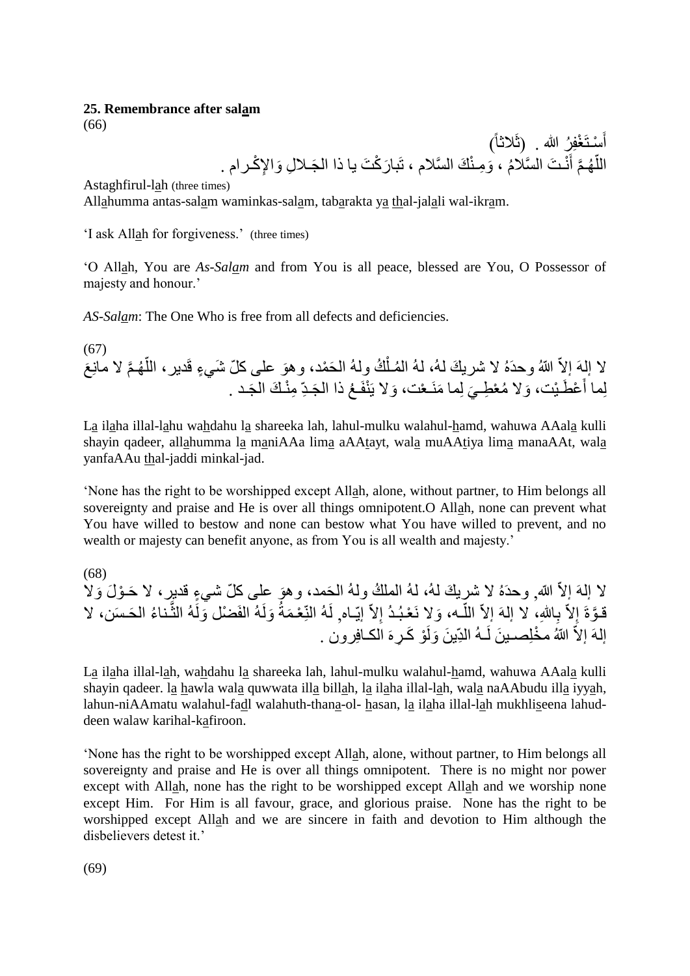#### **25. Remembrance after salam**

(66)

أَسْتَغْفِرُ الله . (ثَلاثاً) اللَّهُمَّ أنْتَ السَّلامُ ، وَمِنْكَ السَّلامِ ، تَبارَكْتَ يا ذا الْجَـلالِ وَالإِكْـرامِ . َ ا<br>ا

Astaghfirul-lah (three times)

Allahumma antas-salam waminkas-salam, tabarakta ya thal-jalali wal-ikram.

'I ask Allah for forgiveness.' (three times)

'O Allah, You are *As-Salam* and from You is all peace, blessed are You, O Possessor of majesty and honour.'

*AS-Salam*: The One Who is free from all defects and deficiencies.

(67) لا إلهَ إلاّ اللهُ وحدَهُ لا شريكَ لهُ، لهُ المُـلْكُ ولهُ الحَمْد، وهوَ على كلّ شَيءٍ قَديرٍ، اللَّهُـمَّ لا مانِعَ ĺ ٳ لِما أَعْطَيْت، وَلا مُعْطِـيَ لِما مَنَـعْت، وَلا يَنْفَـعُ ذا الْجَـدِّ مِنْـكَ الْجَـد . َ

La ilaha illal-lahu wahdahu la shareeka lah, lahul-mulku walahul-hamd, wahuwa AAala kulli shayin qadeer, allahumma la maniAAa lima aAAtayt, wala muAAtiya lima manaAAt, wala yanfaAAu thal-jaddi minkal-jad.

'None has the right to be worshipped except Allah, alone, without partner, to Him belongs all sovereignty and praise and He is over all things omnipotent.O Allah, none can prevent what You have willed to bestow and none can bestow what You have willed to prevent, and no wealth or majesty can benefit anyone, as from You is all wealth and majesty.'

(68)

لا إلـهَ إلاّ الله وحدَهُ لا شريكَ لـهُ، لـهُ الملكُ ولـهُ الحَمد، وهوَ علـى كلّ شـيءٍ قديرٍ ، لا حَـوْلَ وَلا قـوَّةَ إِلاّ بِاللهِ، لا إلهَ إلاّ اللّـه، وَلا نَعْبُدُ إلاّ إيّـاه, لَهُ النِّعْمَةُ وَلَهُ الفَضل وَلَهُ الثَّناءُ الحَسَن، لا ا<br>ا َّ إلهَ إلاّ اللهُ مخْلِصـينَ لَـهُ الدِّينَ وَلَوْ كَـرِهَ الْكـافِرون .

La ilaha illal-lah, wahdahu la shareeka lah, lahul-mulku walahul-hamd, wahuwa AAala kulli shayin qadeer. la hawla wala quwwata illa billah, la ilaha illal-lah, wala naAAbudu illa iyyah, lahun-niAAmatu walahul-fadl walahuth-thana-ol- hasan, la ilaha illal-lah mukhliseena lahuddeen walaw karihal-kafiroon.

'None has the right to be worshipped except Allah, alone, without partner, to Him belongs all sovereignty and praise and He is over all things omnipotent. There is no might nor power except with Allah, none has the right to be worshipped except Allah and we worship none except Him. For Him is all favour, grace, and glorious praise. None has the right to be worshipped except Allah and we are sincere in faith and devotion to Him although the disbelievers detest it.'

(69)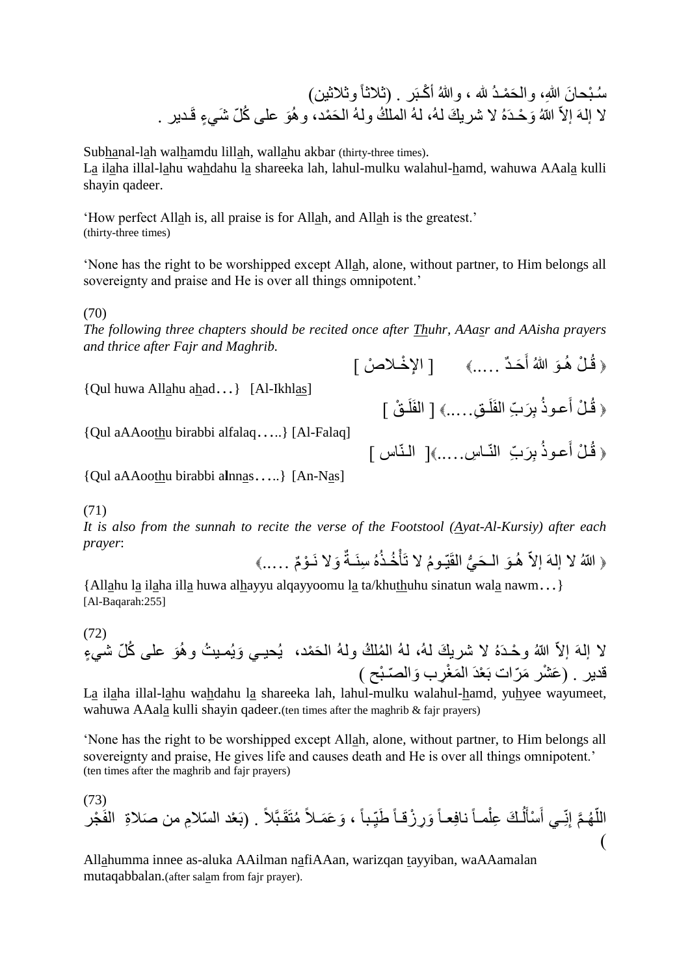سُـُبْحانَ اللهِ، والْحَمْـدُ لله ، واللهُ أَكْـبَر . (نْـلانْـأَ ونْـلاثين) لا إلهَ إلاّ اللهُ وَحْدَهُ لا شريكَ لهُ، لهُ الملكُ ولهُ الحَمْد، وهُوَ على كُلّ شَيءٍ قَديرٍ .

Subhanal-lah walhamdu lillah, wallahu akbar (thirty-three times).

La ilaha illal-lahu wahdahu la shareeka lah, lahul-mulku walahul-hamd, wahuwa AAala kulli shayin qadeer.

'How perfect Allah is, all praise is for Allah, and Allah is the greatest.' (thirty-three times)

'None has the right to be worshipped except Allah, alone, without partner, to Him belongs all sovereignty and praise and He is over all things omnipotent.'

(70)

*The following three chapters should be recited once after Thuhr, AAasr and AAisha prayers and thrice after Fajr and Maghrib.* َ

{Qul huwa Allahu ahad…} [Al-Ikhlas]

{Qul aAAoothu birabbi alfalaq…..} [Al-Falaq]

{Qul aAAoothu birabbi a**l**nnas…..} [An-Nas]

(71)

*It is also from the sunnah to recite the verse of the Footstool (Ayat-Al-Kursiy) after each prayer*:

﴿ اللّهُ لا إلهَ إلاّ هُـوَ الْـحَيُّ الْقَيّـومُ لا تَأْخُذُهُ سِنَـةٌ وَلا نَـوْمٌ ……》 ر<br>ا

﴿ قُلْ هُوَ اللَّهُ أَحَدٌ .....﴾ [ الإخْلاصْ ]

﴿ قُلْ أَعوذُ بِرَبِّ الْفَلَقِ.....﴾ [ الفَلَقْ ]

﴿ قُلْ أَعوذُ بِرَبِّ النّـاسِ.....﴾[ النّـاس ]

َ

{Allahu la ilaha illa huwa alhayyu alqayyoomu la ta/khuthuhu sinatun wala nawm…} [Al-Baqarah:255]

(72)

َح مد، ي حيـي َوي مـي ت و هَو على ك ّل شيٍء ّّللا و مل ك وله ال حـدَه ال شري َك له ، له ال ال إلهَ إالّ َم غِرب َو قدير . ال ّصـ بح ( ) َع شر َمّرات بَ عدَ ال

La ilaha illal-lahu wahdahu la shareeka lah, lahul-mulku walahul-hamd, yuhyee wayumeet, wahuwa AAala kulli shayin qadeer.(ten times after the maghrib & fajr prayers)

'None has the right to be worshipped except Allah, alone, without partner, to Him belongs all sovereignty and praise, He gives life and causes death and He is over all things omnipotent.' (ten times after the maghrib and fajr prayers)

(73) . )بَ عد ال ّسالِم من َصالةِ متَقَـبَّالً َو َع َمـالً ـباً ، ِ َو ِر زقـاً َطيّ نافِعـاً مـاً ـ َك ِعل ل َ سأ َ ِـي أ ِنّ َّم إ هـ الل الفَ جر ّ )

Allahumma innee as-aluka AAilman nafiAAan, warizqan tayyiban, waAAamalan mutaqabbalan.(after salam from fajr prayer).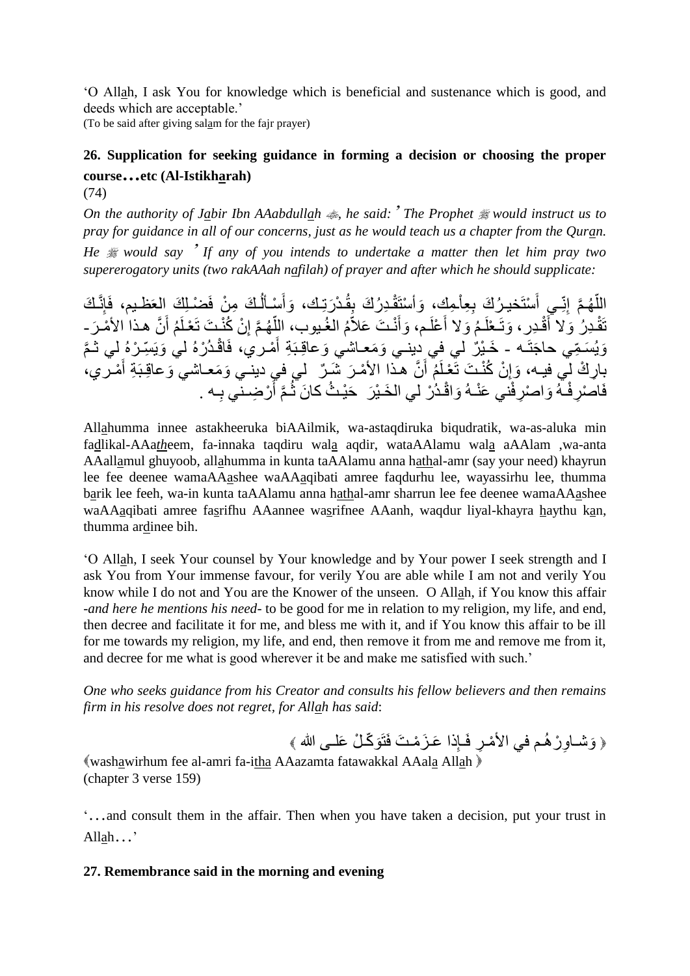'O Allah, I ask You for knowledge which is beneficial and sustenance which is good, and deeds which are acceptable.'

(To be said after giving salam for the fajr prayer)

# **26. Supplication for seeking guidance in forming a decision or choosing the proper course…etc (Al-Istikharah)**

(74)

*On the authority of Jabir Ibn AAabdullah , he said:*' *The Prophet would instruct us to pray for guidance in all of our concerns, just as he would teach us a chapter from the Quran. He would say* ' *If any of you intends to undertake a matter then let him pray two supererogatory units (two rakAAah nafilah) of prayer and after which he should supplicate:*

اللَّهُمَّ إِنِّـي أَسْتَخيرُكَ بِعِلْمِكَ، وَأَسْتَقْدِرُكَ بِقُدْرَتِكَ، وَأَسْأَلُكَ مِنْ فَضْـلِكَ العَظـيم، فَإِنَّكَ  $\overline{1}$ َ َ اً َ تَقْدِرُ وَلا أَقْدِرٍ، وَتَـعْلَمُ وَلا أَعْلَم، وَأَنْـتَ عَلاّمُ الغُبوب، اللَّهُمَّ إِنْ كُنْـتَ تَعْلَمُ أَنَّ هذا الأمْـرَ ـ َ َ َ ِ أ وَيُسَمِّي حاجَتَـه - خَـيْرٌ لي فِي دِينـي وَمَعـاشي وَعاقِـبَةِ أَمْـري، فَاقْـدُرْهُ لي وَيَسِّـرْهُ لِي ثـمَّ َ بِارِكْ لِي فيـه، وَإِنْ كُنْـتَ تَعْلَمُ أَنَّ هذا الأَمْـرَ شَبِرٌ ۖ لَي في دينـي وَمَعـاشـي وَعاقِـبَةِ أَمْـري، َ ِ َ فَاصْرِ فْـهُ وَاصْرِ فْني عَنْـهُ وَاقْـدُرْ لي الخَـيْرَ ۖ حَيْـثُ كانَ ثُـمَّ أَرْضِـني بِـه . ِ َ

Allahumma innee astakheeruka biAAilmik, wa-astaqdiruka biqudratik, wa-as-aluka min fadlikal-AAa*th*eem, fa-innaka taqdiru wala aqdir, wataAAlamu wala aAAlam ,wa-anta AAallamul ghuyoob, allahumma in kunta taAAlamu anna hathal-amr (say your need) khayrun lee fee deenee wamaAAashee waAAaqibati amree faqdurhu lee, wayassirhu lee, thumma barik lee feeh, wa-in kunta taAAlamu anna hathal-amr sharrun lee fee deenee wamaAAashee waAAaqibati amree fasrifhu AAannee wasrifnee AAanh, waqdur liyal-khayra haythu kan, thumma ardinee bih.

'O Allah, I seek Your counsel by Your knowledge and by Your power I seek strength and I ask You from Your immense favour, for verily You are able while I am not and verily You know while I do not and You are the Knower of the unseen. O Allah, if You know this affair -*and here he mentions his need*- to be good for me in relation to my religion, my life, and end, then decree and facilitate it for me, and bless me with it, and if You know this affair to be ill for me towards my religion, my life, and end, then remove it from me and remove me from it, and decree for me what is good wherever it be and make me satisfied with such.'

*One who seeks guidance from his Creator and consults his fellow believers and then remains firm in his resolve does not regret, for Allah has said*:

﴿ وَشَــاوِرْ هُـم في الأَمْـرِ ۖ فَـإِذا عَـزَمْـتَ فَتَوَكَّـلْ عَلَــى الله ﴾ washawirhum fee al-amri fa-itha AAazamta fatawakkal AAala Allah (chapter 3 verse 159)

'…and consult them in the affair. Then when you have taken a decision, put your trust in Allah…'

# **27. Remembrance said in the morning and evening**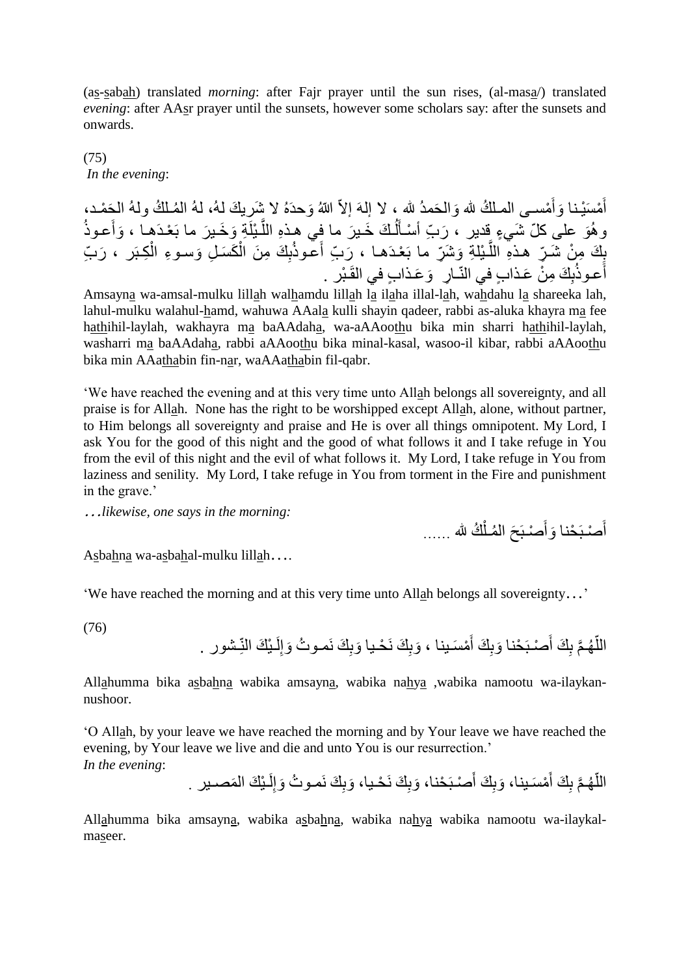(as-sabah) translated *morning*: after Fajr prayer until the sun rises, (al-masa/) translated *evening*: after AAsr prayer until the sunsets, however some scholars say: after the sunsets and onwards.

(75) *In the evening*:

أَمْسَيْنا وَأَمْسـى المـلكُ لله وَالحَمدُ لله ، لا إلهَ إلاّ اللهُ وَحدَهُ لا شَرِيكَ لهُ، لهُ المُـلكُ ولهُ الحَمْـد، َ َ وهُوَ على كلّ شَيءٍ قدير ، رَبّ أسْأَلُكَ خَـيرَ ما فِي هذهِ اللَّـيْلَةِ وَخَـيرَ ما بَعْدَهِـا ، وَأَعـوذُ َّ  $\overline{1}$ َ بِكَ مِنْ شَرٍّ هذهِ اللَّبْلَةِ وَشَرٍّ ما بَعْدَها ، رَبِّ أَعْوذُبِكَ مِنَ الْكَسَلِ وَسوءِ الْكِبَر ، رَبّ ĺ ĺ َّ أَعوذُبِكَ مِنْ عَذابٍ في النّـارِ ۖ وَعَذابٍ في القَبْرِ ۖ .

Amsayna wa-amsal-mulku lillah walhamdu lillah la ilaha illal-lah, wahdahu la shareeka lah, lahul-mulku walahul-hamd, wahuwa AAala kulli shayin qadeer, rabbi as-aluka khayra ma fee hathihil-laylah, wakhayra ma baAAdaha, wa-aAAoothu bika min sharri hathihil-laylah, washarri ma baAAdaha, rabbi aAAoothu bika minal-kasal, wasoo-il kibar, rabbi aAAoothu bika min AAathabin fin-nar, waAAathabin fil-qabr.

'We have reached the evening and at this very time unto Allah belongs all sovereignty, and all praise is for Allah. None has the right to be worshipped except Allah, alone, without partner, to Him belongs all sovereignty and praise and He is over all things omnipotent. My Lord, I ask You for the good of this night and the good of what follows it and I take refuge in You from the evil of this night and the evil of what follows it. My Lord, I take refuge in You from laziness and senility. My Lord, I take refuge in You from torment in the Fire and punishment in the grave.'

…*likewise, one says in the morning:*

أَصْبَحْنا وَأَصْبَحَ الْمُلْكُ لله ...... ĺ َ

Asbahna wa-asbahal-mulku lillah...

'We have reached the morning and at this very time unto Allah belongs all sovereignty…'

(76)

اللَّهُمَّ بِكَ أَصْبَحْنا وَبِكَ أَمْسَـبِنا ، وَبِكَ نَحْـيا وَبِكَ نَمـوتُ وَإِلَـبْكَ النِّـشور . َ َ ا<br>ا لَ ا<br>ءِ

Allahumma bika asbahna wabika amsayna, wabika nahya ,wabika namootu wa-ilaykannushoor.

'O Allah, by your leave we have reached the morning and by Your leave we have reached the evening, by Your leave we live and die and unto You is our resurrection.' *In the evening*:

> اللَّهُمَّ بِكَ أَمْسَـينا، وَبِكَ أَصْـبَحْنا، وَبِكَ نَحْـيا، وَبِكَ نَمـوتُ وَإِلَـيْكَ الْمَصــير . لَ ا<br>ءِ َ َ ا<br>ا

Allahumma bika amsayna, wabika asbahna, wabika nahya wabika namootu wa-ilaykalmaseer.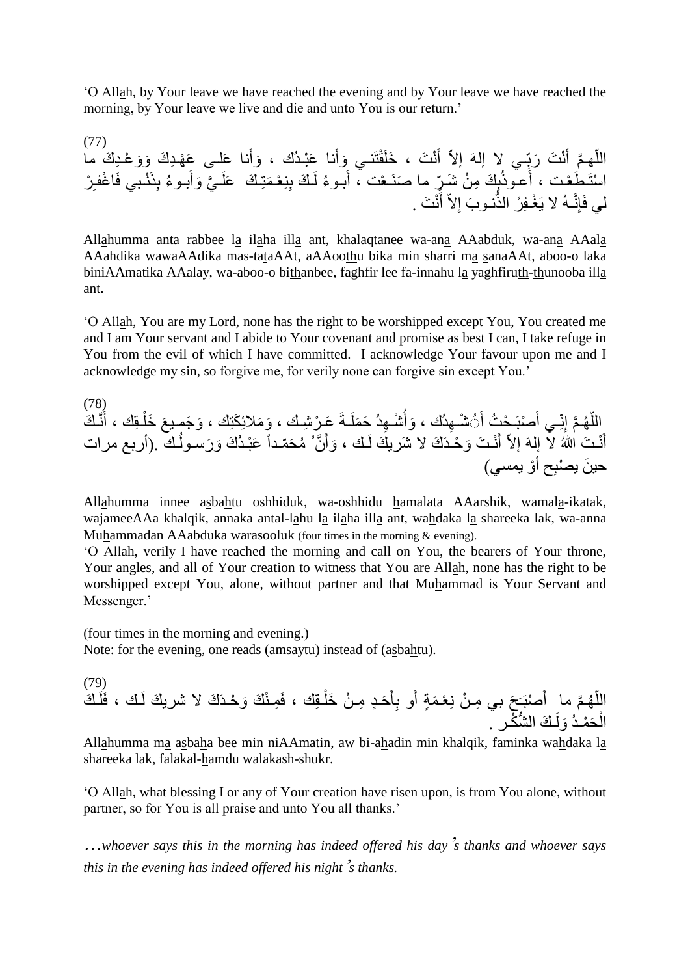'O Allah, by Your leave we have reached the evening and by Your leave we have reached the morning, by Your leave we live and die and unto You is our return.'

(77) اللَّهِمَّ أَنْتَ رَبِّي لا إلهَ إلاَّ أَنْتَ ، خَلَقْتَنـي وَأَنا عَبْدُك ، وَأَنا عَلـى عَهْدِكَ وَوَعْدِكَ ما َ َ َ ;<br>∶ َ اً اسْتَطَعْت ، أَعوذُبِكَ مِنْ شَرٍّ ما صَنَـعْت ، أَبـوءُ لَـكَ بِنِعْمَتِـكَ عَلَـيَّ وَأَبـوءُ بِذَنْـبي فَاغْفـِرْ<br>يستحقق ، أعوذُبِكَ مِنْ شَهِّرٍ َ َ لي فَإِنَّـهُ لا يَغْفِرُ الذَّنـوبَ إِلاَّ أَنْتَ . َ ٌّ.

Allahumma anta rabbee la ilaha illa ant, khalaqtanee wa-ana AAabduk, wa-ana AAala AAahdika wawaAAdika mas-tataAAt, aAAoothu bika min sharri ma sanaAAt, aboo-o laka biniAAmatika AAalay, wa-aboo-o bithanbee, faghfir lee fa-innahu la yaghfiruth-thunooba illa ant.

'O Allah, You are my Lord, none has the right to be worshipped except You, You created me and I am Your servant and I abide to Your covenant and promise as best I can, I take refuge in You from the evil of which I have committed. I acknowledge Your favour upon me and I acknowledge my sin, so forgive me, for verily none can forgive sin except You.'

(78) نَّـ َك َ ـِقك ، أ َع َخل َو َجمـي َو َمالئِ َكتِك ، َعـ ر ِشـك ، ـةَ َح َملَ ِهد شـ َوأ ِهد ك ، َ شـ َ صبَـ ح ت أ َ ِـي أ ِنّ َّم إ هـ ّ الل َّن َ َوأ ـك ، نـ َت َو حـدَ َك ال َشري َك لَ َ أ نـ َت هللا ال إلهَ إالّ أ ـك .)أربع مرات َ َع بـد َك َو َرسـول م َح ّمـداً و يمسي( ِح أ حي َن ي صب

Allahumma innee asbahtu oshhiduk, wa-oshhidu hamalata AAarshik, wamala-ikatak, wajameeAAa khalqik, annaka antal-lahu la ilaha illa ant, wahdaka la shareeka lak, wa-anna Muhammadan AAabduka warasooluk (four times in the morning & evening).

'O Allah, verily I have reached the morning and call on You, the bearers of Your throne, Your angles, and all of Your creation to witness that You are Allah, none has the right to be worshipped except You, alone, without partner and that Muhammad is Your Servant and Messenger.'

(four times in the morning and evening.) Note: for the evening, one reads (amsaytu) instead of (asbahtu).

(79) َحـٍد ِم َ ِأ َو ب َمٍة أ َ َح بي ِمـ ن نِ عـ صبَـ َ َّم ما أ هـ الل ـ َك ّ ـك ، فَلَ ِمـ ن َك َو حـدَ َك ال شري َك لَ ـِقك ، فَ ـ ن َخل ـ َك ال ُّش كـر . َولَ َح مـد ال

Allahumma ma asbaha bee min niAAmatin, aw bi-ahadin min khalqik, faminka wahdaka la shareeka lak, falakal-hamdu walakash-shukr.

'O Allah, what blessing I or any of Your creation have risen upon, is from You alone, without partner, so for You is all praise and unto You all thanks.'

…*whoever says this in the morning has indeed offered his day*'*s thanks and whoever says this in the evening has indeed offered his night*'*s thanks.*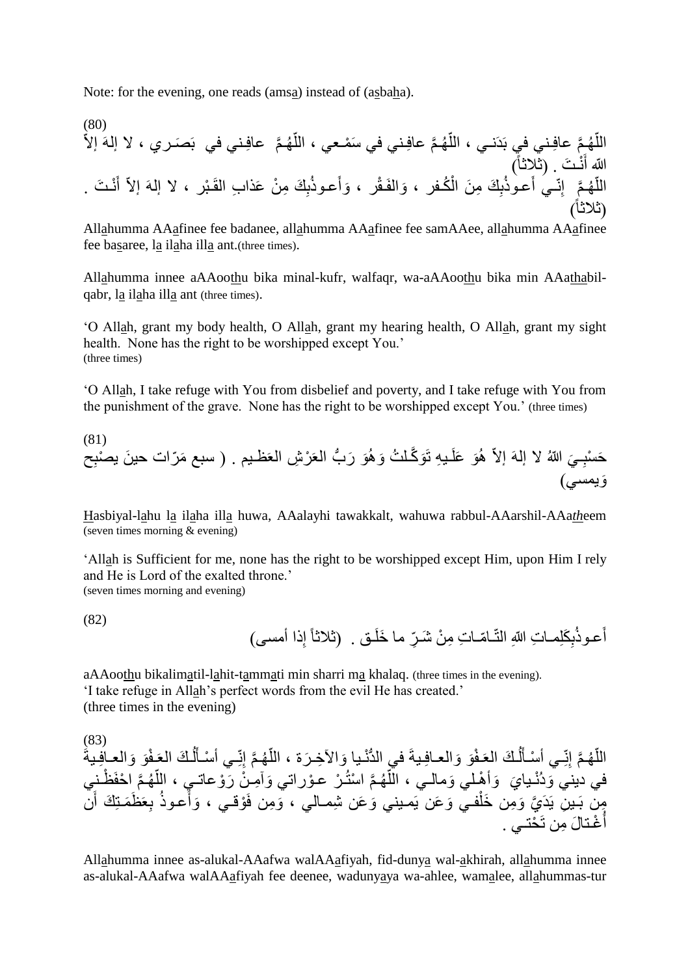Note: for the evening, one reads (amsa) instead of (asbaha).

(80) َّم عافِـني في بَ َصـري ، ال إلهَ إالّ هـ ّ َّم عافِـني في َس مـعي ، الل هـ ّ َّم عافِـني في بَدَنـي ، الل هـ ّ الل نـ َت . )ثالثاً( َ ّّللا أ كـ ِ َك ِم َن ال ب َعـوذ ِنّـي أ َّم إ هـ ّ الل نـ َت . َ أ ِ َك ِم ن َعذا ِب القَـ بر ، ال إلهَ إالّ ب َعـوذ َوأ َوالفَـق ر ، فر ، )ثالثاً(

Allahumma AAafinee fee badanee, allahumma AAafinee fee samAAee, allahumma AAafinee fee basaree, la ilaha illa ant.(three times).

Allahumma innee aAAoothu bika minal-kufr, walfaqr, wa-aAAoothu bika min AAathabilqabr, la ilaha illa ant (three times).

'O Allah, grant my body health, O Allah, grant my hearing health, O Allah, grant my sight health. None has the right to be worshipped except You.' (three times)

'O Allah, I take refuge with You from disbelief and poverty, and I take refuge with You from the punishment of the grave. None has the right to be worshipped except You.' (three times)

(81) ب ُّ َو َّكـل ت َو هَو َر ـي ِه تَ هَو َعلَ َي ّّللا ال إلهَ إالّ ـ ِ ِح سب العَ ر ِش العَظـيم . ) سبع َمّرات حي َن َح ي صب َويمسي(

Hasbiyal-lahu la ilaha illa huwa, AAalayhi tawakkalt, wahuwa rabbul-AAarshil-AAa*th*eem (seven times morning & evening)

'Allah is Sufficient for me, none has the right to be worshipped except Him, upon Him I rely and He is Lord of the exalted throne.' (seven times morning and evening)

(82)

ِذا أمسى( إ ـق . )ثالثاً ِّر ما َخلَ ـا ّمـا ِت ِم ن َشـ َكِلمـا ِت ّّللاِ التّ ِ ب َعـوذ أ

aAAoothu bikalimatil-lahit-tammati min sharri ma khalaq. (three times in the evening). 'I take refuge in Allah's perfect words from the evil He has created.' (three times in the evening)

(83) ـ ف ـ َك العَ ل َ ِـي أ سـأ ِنّ َّم إ هـ ّ َرة ، الل َواآل ِخـ ُّ نـيا في الد َو َوالعـافِـيةَ ـ ف ـ َك العَ ل َ ِـي أ سـأ ِنّ َّم إ هـ ّ الل َو َوالعـافِـيةَ ظـني َّم ا حفَ هـ ّ وراتي َوآ ِمـ ن َر وعاتـي ، الل َّم ا ست ـ ر عـ هـ ّ َي َوأ هـلي َومالـي ، الل في ديني َود نـيا َن َظَمـتِ َك أ ِعَ ب َعـوذ َوأ وقـي ، َو ِمن فَ فـي َو َعن يَمـيني َو َعن ِشمـالي ، َّي َو ِمن َخل ِن يَدَ ِمن بَـي غـتا َل ِمن تَ حت أ ـي .

Allahumma innee as-alukal-AAafwa walAAafiyah, fid-dunya wal-akhirah, allahumma innee as-alukal-AAafwa walAAafiyah fee deenee, wadunyaya wa-ahlee, wamalee, allahummas-tur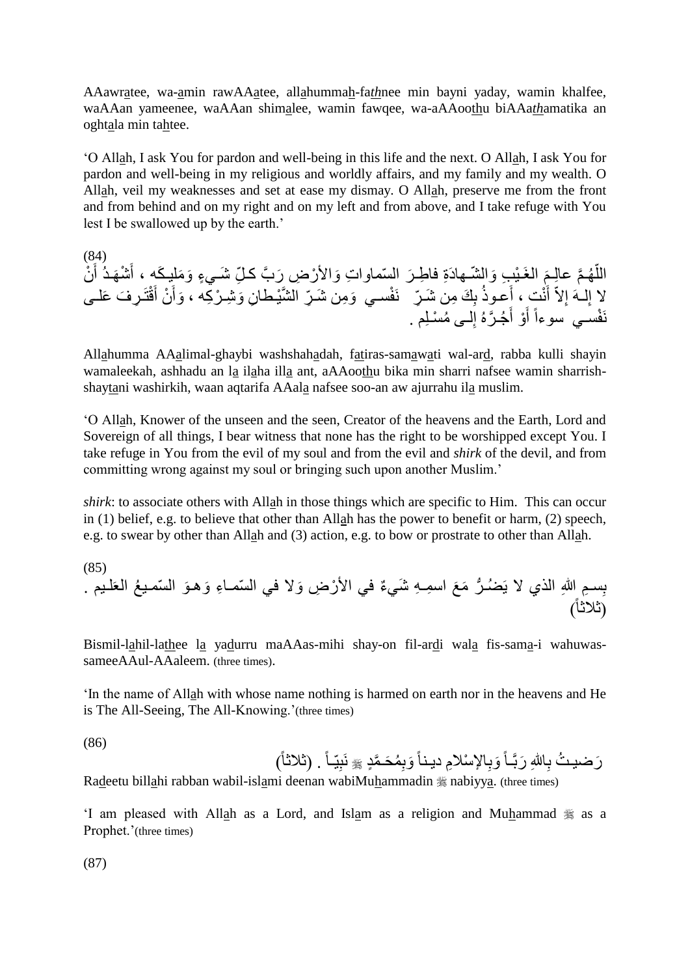AAawratee, wa-amin rawAAatee, allahummah-fa*th*nee min bayni yaday, wamin khalfee, waAAan yameenee, waAAan shimalee, wamin fawqee, wa-aAAoothu biAAa*th*amatika an oghtala min tahtee.

'O Allah, I ask You for pardon and well-being in this life and the next. O Allah, I ask You for pardon and well-being in my religious and worldly affairs, and my family and my wealth. O Allah, veil my weaknesses and set at ease my dismay. O Allah, preserve me from the front and from behind and on my right and on my left and from above, and I take refuge with You lest I be swallowed up by the earth.'

(84) اللَّهُمَّ عالِمَ الغَيْبِ وَالشَّـهادَةِ فاطِـرَ السِّماواتِ وَالأَرْضِ رَبَّ كلِّ شَـيءٍ وَمَليكَه ، أَشْهَدُ أَنْ َ َ م<br>م لا إِلَــهَ إِلاّ أَنْتٍ ، أَعـوذُ بِكَ مِن شَـرٍّ ۖ نَفْسـي وَمِن شَـرِّ الشَّيْطانِ وَشِـرْكِه ، وَأَنْ أَقْتَرِفَ عَلــى َ َ َ ∣∣<br>≀ نَفْسـي سوءاً أَوْ أَجُـرَّهُ إِلــى مُسْلِم . َ َ

Allahumma AAalimal-ghaybi washshahadah, fatiras-samawati wal-ard, rabba kulli shayin wamaleekah, ashhadu an la ilaha illa ant, aAAoothu bika min sharri nafsee wamin sharrishshaytani washirkih, waan aqtarifa AAala nafsee soo-an aw ajurrahu ila muslim.

'O Allah, Knower of the unseen and the seen, Creator of the heavens and the Earth, Lord and Sovereign of all things, I bear witness that none has the right to be worshipped except You. I take refuge in You from the evil of my soul and from the evil and *shirk* of the devil, and from committing wrong against my soul or bringing such upon another Muslim.'

*shirk*: to associate others with Allah in those things which are specific to Him. This can occur in (1) belief, e.g. to believe that other than Allah has the power to benefit or harm, (2) speech, e.g. to swear by other than Allah and (3) action, e.g. to bow or prostrate to other than Allah.

(85) ر َم َع اسِمـ ِه َشي ٌء في األ ر ِض َوال في ال ّس ِم هللاِ الذي ال يَ ضـ ُّ ِسـ َو ال ّسمـي ع العَ ب لـيم . مـا ِء َوهـ )ثالثاً(

Bismil-lahil-lathee la yadurru maAAas-mihi shay-on fil-ardi wala fis-sama-i wahuwassameeAAul-AAaleem. (three times).

'In the name of Allah with whose name nothing is harmed on earth nor in the heavens and He is The All-Seeing, The All-Knowing.'(three times)

(86)

رَضيتُ بِاللهِ رَبَّـاً وَبِالإِسْلامِ ديناً وَبِمُحَمَّدٍ ﷺ نَبِيّـاً . (ثلاثاً)

Radeetu billahi rabban wabil-islami deenan wabiMuhammadin  $\frac{1}{26}$  nabiyya. (three times)

'I am pleased with Allah as a Lord, and Islam as a religion and Muhammad  $\frac{1}{28}$  as a Prophet.'(three times)

(87)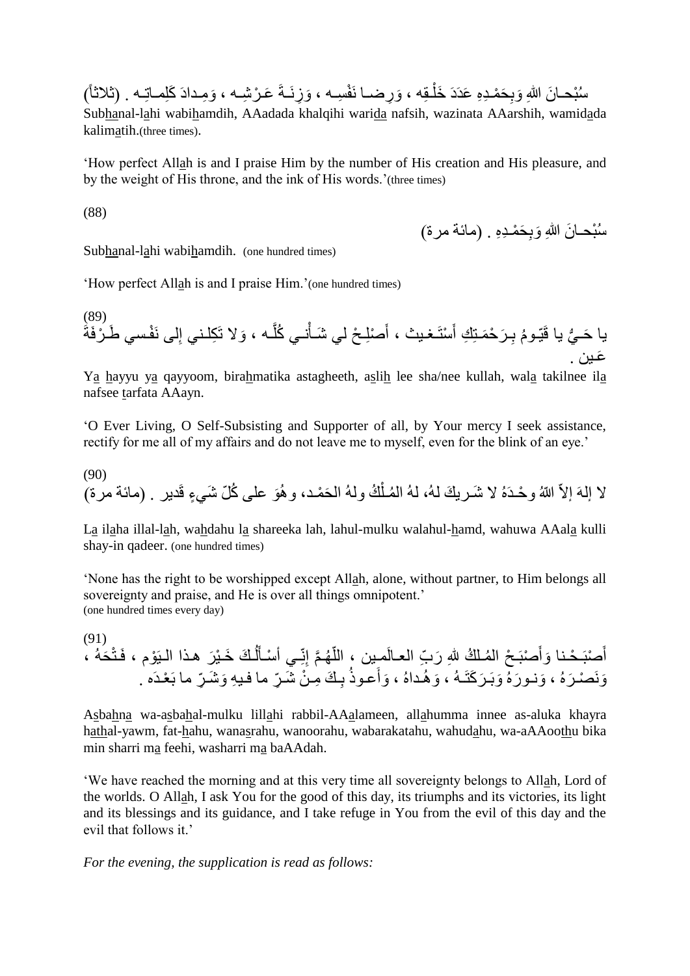سُنُحـانَ اللهِ وَبِحَمْـدِهِ عَدَدَ خَلْـقِه ، وَرِضــا نَفْسِـه ، وَزِنَــةَ عَـرْشِــه ، وَمِـدادَ كَلِمــاتِــه . (ثلاثاً) į Subhanal-lahi wabihamdih, AAadada khalqihi warida nafsih, wazinata AAarshih, wamidada kalimatih.(three times).

'How perfect Allah is and I praise Him by the number of His creation and His pleasure, and by the weight of His throne, and the ink of His words.'(three times)

(88)

سُبْحــانَ اللهِ وَبِحَمْـدِهِ . (مائـة مرة)

Subhanal-lahi wabihamdih. (one hundred times)

'How perfect Allah is and I praise Him.'(one hundred times)

(89) يا حَـيُّ يا قَيّـومُ بِـرَحْمَـتِكِ أَسْتَـغـيث ، أَصْلِـحْ لي شَـأنــي كُلّـه ، وَلا تَكِلّـنـي إِلـي نَفْسـي طَـرْفَةَ ُّ ا<br>ءِ َّ Í َ ֧֞֝֝֓֓֡֝ **∶** َعـين .

Ya hayyu ya qayyoom, birahmatika astagheeth, aslih lee sha/nee kullah, wala takilnee ila nafsee tarfata AAayn.

'O Ever Living, O Self-Subsisting and Supporter of all, by Your mercy I seek assistance, rectify for me all of my affairs and do not leave me to myself, even for the blink of an eye.'

(90) لا إلهَ إلاّ اللهُ وحْدَهُ لا شَـريكَ لهُ، لهُ المُـلْكُ ولهُ الحَمْـد، وهُوَ علـى كُلّ شَـيءٍ قَدير . (مائـة مرة) ĺ

La ilaha illal-lah, wahdahu la shareeka lah, lahul-mulku walahul-hamd, wahuwa AAala kulli shay-in qadeer. (one hundred times)

'None has the right to be worshipped except Allah, alone, without partner, to Him belongs all sovereignty and praise, and He is over all things omnipotent.' (one hundred times every day)

(91) أَصْبَحْنا وَأَصْبَحْ الْمُلْكُ لِلّهِ رَبِّ الْعالَمِين ، اللّهُمَّ إِنِّي أَسْأَلُكَ خَيْرَ هذا الْبَوْم ، فَتْحَهُ ،  $\overline{a}$ َ اً َ َ وَنَصْرَهُ ، وَنـورَهٌ وَبَـرَكَتَـهُ ، وَهُـداهُ ، وَأَعـوذُ بِـكَ مِـنْ شَـرٍّ ما فـيهِ وَشَـرٍّ ما بَعْـدَه **∶** 

Asbahna wa-asbahal-mulku lillahi rabbil-AAalameen, allahumma innee as-aluka khayra hathal-yawm, fat-hahu, wanasrahu, wanoorahu, wabarakatahu, wahudahu, wa-aAAoothu bika min sharri ma feehi, washarri ma baAAdah.

'We have reached the morning and at this very time all sovereignty belongs to Allah, Lord of the worlds. O Allah, I ask You for the good of this day, its triumphs and its victories, its light and its blessings and its guidance, and I take refuge in You from the evil of this day and the evil that follows it.'

*For the evening, the supplication is read as follows:*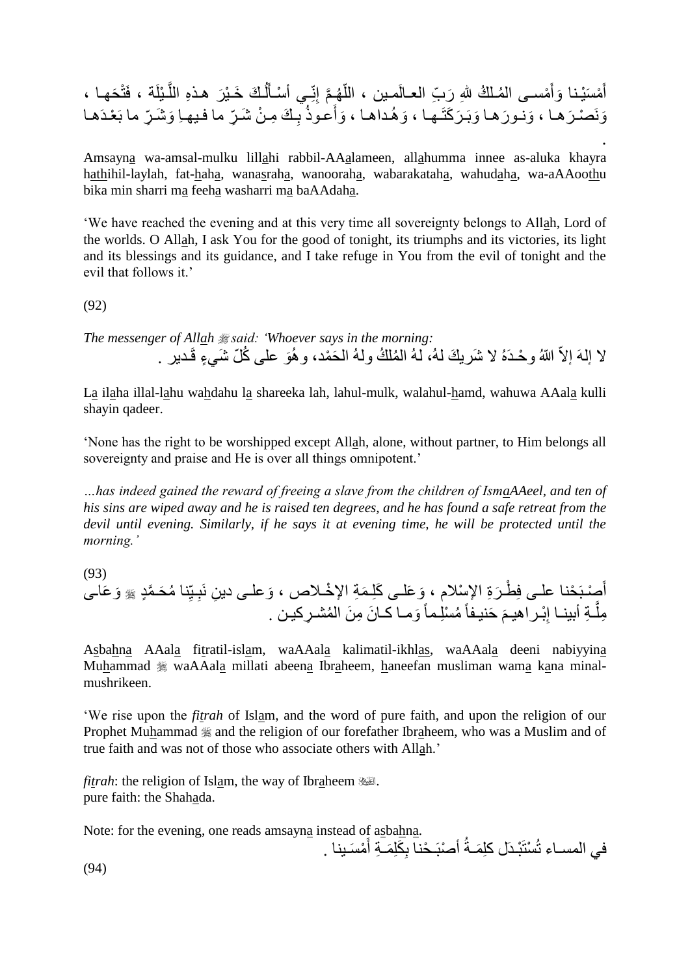َر ـ َك َخـ ي ل َ ِـي أ سـأ ِنّ َّم إ هـ ّ مـل ك هللِ َر ِّب العـالَمـين ، الل مسـى ال َ َوأ م َس يـنا َح أ هـا ، َ ـ يلَة ، فَت َّ هـذِه الل ِّر ما بَ عـدَهـا َو َشـ ِّر ما فـيهـِا ـ َك ِمـ ن َشـ ِ ب َعـوذ َوأ َو هـداهـا ، َر َكتَـهـا ، َوبَـ َونـو َرهـا َرهـا ، َونَ صـ

. Amsayna wa-amsal-mulku lillahi rabbil-AAalameen, allahumma innee as-aluka khayra hathihil-laylah, fat-haha, wanasraha, wanooraha, wabarakataha, wahudaha, wa-aAAoothu bika min sharri ma feeha washarri ma baAAdaha.

'We have reached the evening and at this very time all sovereignty belongs to Allah, Lord of the worlds. O Allah, I ask You for the good of tonight, its triumphs and its victories, its light and its blessings and its guidance, and I take refuge in You from the evil of tonight and the evil that follows it.'

(92)

*The messenger of Allah said: 'Whoever says in the morning:* لا إلهَ إلاّ اللهُ وحْـدَهُ لا شَربكَ لهُ، لهُ المُلكُ ولهُ الحَمْد، وهُوَ على كُلّ شَيءٍ قَـدير .

La ilaha illal-lahu wahdahu la shareeka lah, lahul-mulk, walahul-hamd, wahuwa AAala kulli shayin qadeer.

'None has the right to be worshipped except Allah, alone, without partner, to Him belongs all sovereignty and praise and He is over all things omnipotent.'

*…has indeed gained the reward of freeing a slave from the children of IsmaAAeel, and ten of his sins are wiped away and he is raised ten degrees, and he has found a safe retreat from the devil until evening. Similarly, if he says it at evening time, he will be protected until the morning.'*

(93) أَصِنْبَحْنا علـى فِطْرَةِ الإِسْلام ، وَعَلـى كَلِمَةِ الإِخْـلاص ، وَعلـى دينِ نَبِـيِّنا مُحَمَّدٍ ﷺ وَعَاـى ِ مِلَّــةِ أبينــا إِبْـراهيـمَ حَنيـفاً مُسْلِـماً وَمــا كــانَ مِنَ المُشـرِكيـن . ِ َّ

Asbahna AAala fitratil-islam, waAAala kalimatil-ikhlas, waAAala deeni nabiyyina Muhammad  $\frac{1}{20}$  waAAala millati abeena Ibraheem, haneefan musliman wama kana minalmushrikeen.

'We rise upon the *fitrah* of Islam, and the word of pure faith, and upon the religion of our Prophet Muhammad  $\equiv$  and the religion of our forefather Ibraheem, who was a Muslim and of true faith and was not of those who associate others with Allah.'

*fitrah*: the religion of Islam, the way of Ibraheem ... pure faith: the Shahada.

Note: for the evening, one reads amsayna instead of asbahna.

في المسـاء تُسْتَبْدَل كلِمَـةُ أصْبَـحْناً بِكَلِمَـةِ أَمْسَـينا . َ ِ

(94)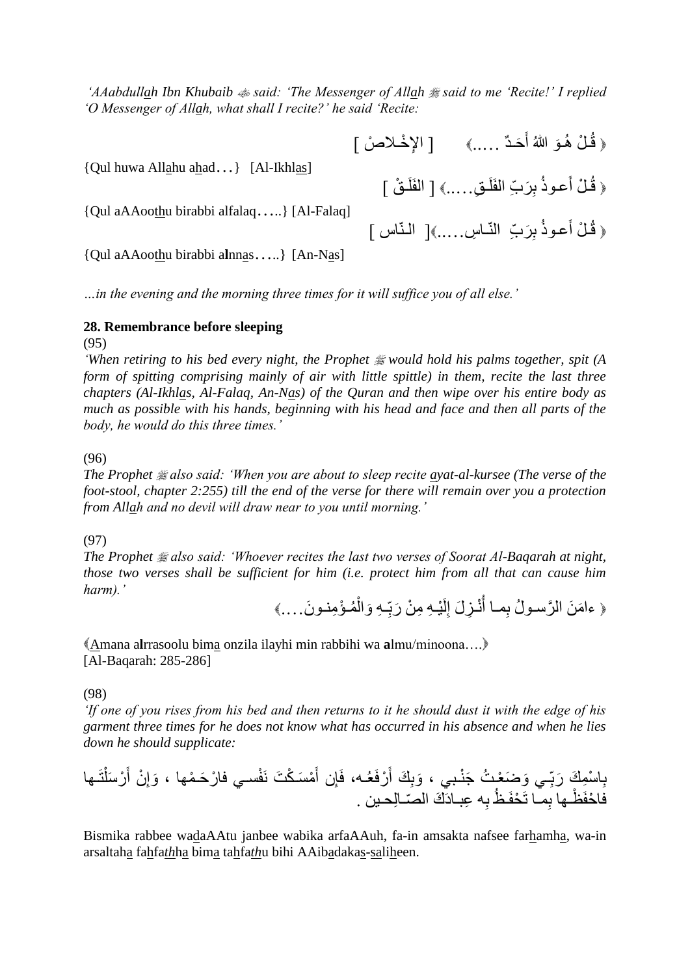*'AAabdullah Ibn Khubaib said: 'The Messenger of Allah said to me 'Recite!' I replied 'O Messenger of Allah, what shall I recite?' he said 'Recite:*

> ﴿ قُلْ هُوَ اللَّهُ أَحَدٌ .....﴾ [ الإخْلاصْ ] َ

{Qul huwa Allahu ahad…} [Al-Ikhlas]

{Qul aAAoothu birabbi alfalaq…..} [Al-Falaq]

﴿ قُلْ أَعوذُ بِرَبِّ النَّـاسِ.....﴾[ النَّـاس ] َ

﴿ قُلْ أَعوذُ بِرَبِّ الْفَلَقِ.....﴾ [ الفَلَقْ ]

{Qul aAAoothu birabbi a**l**nnas…..} [An-Nas]

*…in the evening and the morning three times for it will suffice you of all else.'*

#### **28. Remembrance before sleeping**

(95)

*'When retiring to his bed every night, the Prophet would hold his palms together, spit (A form of spitting comprising mainly of air with little spittle) in them, recite the last three chapters (Al-Ikhlas, Al-Falaq, An-Nas) of the Quran and then wipe over his entire body as much as possible with his hands, beginning with his head and face and then all parts of the body, he would do this three times.'*

(96)

*The Prophet also said: 'When you are about to sleep recite ayat-al-kursee (The verse of the foot-stool, chapter 2:255) till the end of the verse for there will remain over you a protection from Allah and no devil will draw near to you until morning.'*

#### (97)

*The Prophet also said: 'Whoever recites the last two verses of Soorat Al-Baqarah at night, those two verses shall be sufficient for him (i.e. protect him from all that can cause him harm).'*

﴿ ءامَنَ الرَّسولُ بِمـا أَنْـزِلَ إِلَيْـهِ مِنْ رَبِّـهِ وَالْمُـؤْمِنـونَ....﴾ ĺ ;<br>; لَ ِ 

Amana a**l**rrasoolu bima onzila ilayhi min rabbihi wa **a**lmu/minoona…. [Al-Baqarah: 285-286]

(98)

*'If one of you rises from his bed and then returns to it he should dust it with the edge of his garment three times for he does not know what has occurred in his absence and when he lies down he should supplicate:*

ِا سِم ب تَـها ر َسل َ ن أ ِ َوإ فسـي فا ر َحـ مها ، م َسـ ك َت نَ َ ِن أ رفَع ـه، فَإ َ ِ َك أ َوب ـي َو َض عـ ت َج نـبي ، ِ َك َربّ ِه ِعبـادَ َك ال ّصـاِلحـين . ظ ب ِمـا تَ حفَـ ظـها ب فا حفَ

Bismika rabbee wadaAAtu janbee wabika arfaAAuh, fa-in amsakta nafsee farhamha, wa-in arsaltaha fahfa*th*ha bima tahfa*th*u bihi AAibadakas-saliheen.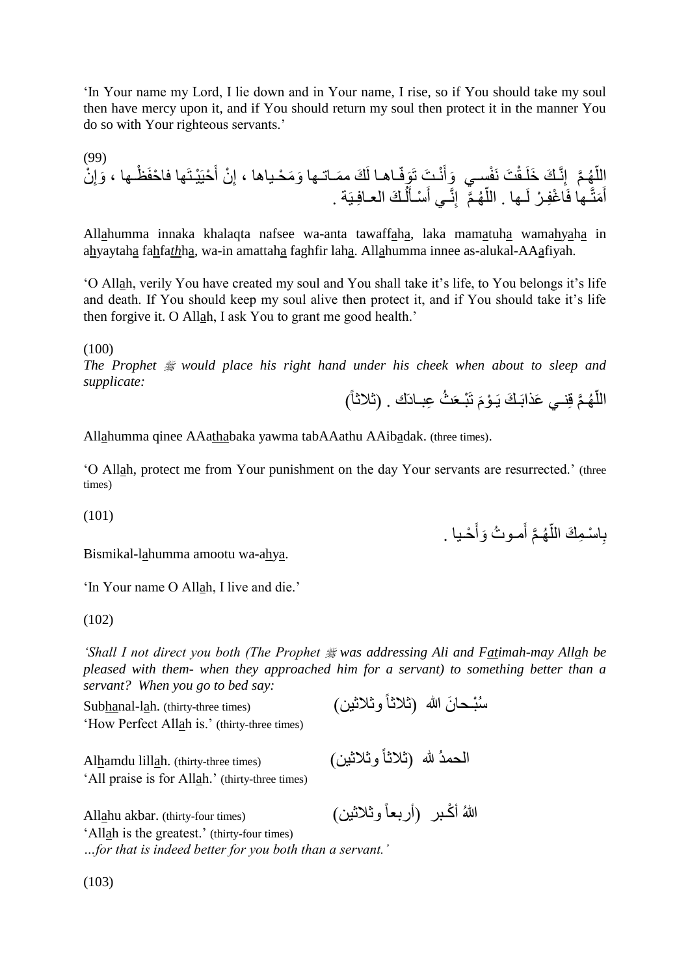'In Your name my Lord, I lie down and in Your name, I rise, so if You should take my soul then have mercy upon it, and if You should return my soul then protect it in the manner You do so with Your righteous servants.'

(99) َو ظـها ، حيَ يـتَها فا حفَ َ ن أ ِ َو َم حـياها ، إ َك مَمـاتـها ـاهـا لَ َوفّ نـ َت تَ َ فسـي َوأ َت نَ ـق ِنَّـ َك َخلَ َّم إ هـ الل ن ّ ِ إ ـ َك العـافِـيَة . ل َ سـأ َ ِنَّـي أ َّم إ هـ ّ ـها . الل ـها فَا غِفـ ر لَ َمتَّ َ أ

Allahumma innaka khalaqta nafsee wa-anta tawaffaha, laka mamatuha wamahyaha in ahyaytaha fahfa*th*ha, wa-in amattaha faghfir laha. Allahumma innee as-alukal-AAafiyah.

'O Allah, verily You have created my soul and You shall take it's life, to You belongs it's life and death. If You should keep my soul alive then protect it, and if You should take it's life then forgive it. O Allah, I ask You to grant me good health.'

(100)

*The Prophet would place his right hand under his cheek when about to sleep and supplicate:*

اللَّهُمَّ قِنـي عَذابَـكَ يَـوْمَ تَبْـعَثُ عِبــادَك . (ثلاثاً) م<br>م ا<br>ا

Allahumma qinee AAathabaka yawma tabAAathu AAibadak. (three times).

'O Allah, protect me from Your punishment on the day Your servants are resurrected.' (three times)

(101)

بِاسْمِكَ اللَّهُمَّ أَمـوتُ وَأَحْـبا . َ َ اً

Bismikal-lahumma amootu wa-ahya.

'In Your name O Allah, I live and die.'

(102)

*'Shall I not direct you both (The Prophet was addressing Ali and Fatimah-may Allah be pleased with them- when they approached him for a servant) to something better than a servant? When you go to bed say:*

سُبْحانَ الله (ثلاثاً وثلاثين) (Subhanal-lah. (thirty-three times) 'How Perfect Allah is.' (thirty-three times)

Al<u>h</u>amdu lill<u>a</u>h. (thirty-three times) (ثلاثاً وثلاثين) 'All praise is for Allah.' (thirty-three times)

هللا أ كـبر )أربعاً وثالثين( (times four-thirty (.akbar Allahu

'Allah is the greatest.' (thirty-four times) *…for that is indeed better for you both than a servant.'*

(103)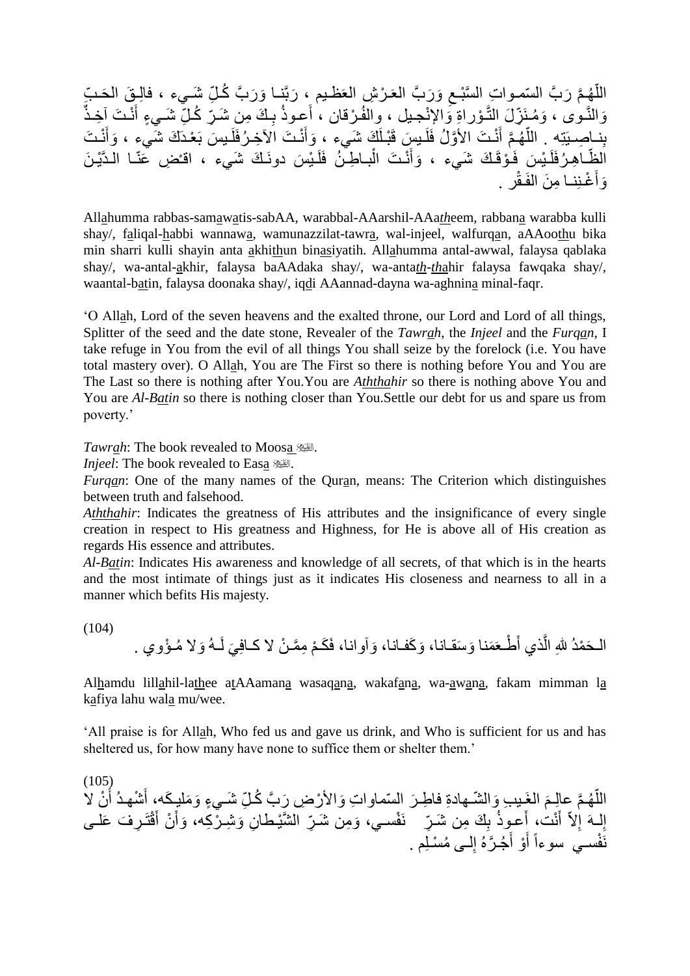اللَّهُمَّ رَبَّ السّمواتِ السَّبْعِ وَرَبَّ العَرْشِ العَظْـيم ، رَبَّنـا وَرَبَّ كُـلِّ شَـيء ، فالِـقَ الْحَـبِّ ِ اً وَالنَّـوى ، وَمُنَزِّلَ التَّـؤراةِ وَالإِنْجيل ، وِالفُرْقان ، أَعوذُ بِكَ مِن شَـرِّ كُلِّ شَـيءٍ أَنْـتَ آخِذٌ َ **∶** نِناصِبِيَّتِهِ . اللَّهُمَّ أَنْـتَ الأَوَّلُ فَلَيسٍ قَبْـلَكَ شَيءٍ ، وَأَنْـتَ الأَخِـرُفَلَيسَ بَعْـدَكَ شَيءٍ ، وَأَنْـتَ َ َ َ ا<br>ا الظَّـاهِـرُفَلَـيْسَ فَـوْقَـكَ شَـَيء ، وَأَنْـتَ الْبـاطِـنُ فَلَـيْسَ دونَـكَ شَـيء ، اقـُضِ عَنّـا الـدَّيْـنَ ĺ َ وَأَغْنِنا مِنَ الفَقْرِ . َ

Allahumma rabbas-samawatis-sabAA, warabbal-AAarshil-AAa*th*eem, rabbana warabba kulli shay/, faliqal-habbi wannawa, wamunazzilat-tawra, wal-injeel, walfurqan, aAAoothu bika min sharri kulli shayin anta akhithun binasiyatih. Allahumma antal-awwal, falaysa qablaka shay/, wa-antal-akhir, falaysa baAAdaka shay/, wa-anta*th*-*th*ahir falaysa fawqaka shay/, waantal-batin, falaysa doonaka shay/, iqdi AAannad-dayna wa-aghnina minal-faqr.

'O Allah, Lord of the seven heavens and the exalted throne, our Lord and Lord of all things, Splitter of the seed and the date stone, Revealer of the *Tawrah*, the *Injeel* and the *Furqan*, I take refuge in You from the evil of all things You shall seize by the forelock (i.e. You have total mastery over). O Allah, You are The First so there is nothing before You and You are The Last so there is nothing after You.You are *Aththahir* so there is nothing above You and You are *Al-Batin* so there is nothing closer than You.Settle our debt for us and spare us from poverty.'

*Tawrah*: The book revealed to Moosa

*Injeel*: The book revealed to Easa ....

*Furqan*: One of the many names of the Quran, means: The Criterion which distinguishes between truth and falsehood.

*Aththahir*: Indicates the greatness of His attributes and the insignificance of every single creation in respect to His greatness and Highness, for He is above all of His creation as regards His essence and attributes.

*Al-Batin*: Indicates His awareness and knowledge of all secrets, of that which is in the hearts and the most intimate of things just as it indicates His closeness and nearness to all in a manner which befits His majesty.

(104)

َوال مـ ؤوي . ـه َي لَ م ِمَّمـ ن ال كـافِ َوآوانا، فَ َكـ َو َكفـانا، َو َسقـانا، َ طـعَ َمنا ذي أ َّ َح مد هللِ ال الـ

Alhamdu lillahil-lathee atAAamana wasaqana, wakafana, wa-awana, fakam mimman la kafiya lahu wala mu/wee.

'All praise is for Allah, Who fed us and gave us drink, and Who is sufficient for us and has sheltered us, for how many have none to suffice them or shelter them.'

 $(105)$ اللَّهُمَّ عِالِمَ الغَبِيبِ وَالشَّـهادةِ فاطِـرَ السّماواتِ وَالأَرْضِ رِّبَّ كُلِّ شَـيءٍ وَمَليِـكَه، أَشْهدُ أَنْ لاَ َ اُ َ إِلَـهَ إِلاّ أَنْتُ، أَعموذُ بِكَ مِن شَـرِّ نَفْسـي، وَمِن شَـرِّ الشَّيْطانِ وَشِـرْكِه، وَأَنْ أَقْتَرِفَ عَلـى َ َ َ ∣∣<br>ِ∘ نَفْسـي سوءاً أَوْ أَجُـرَّهُ إِلــى مُسْلِم . ِ َ ِ<br>ا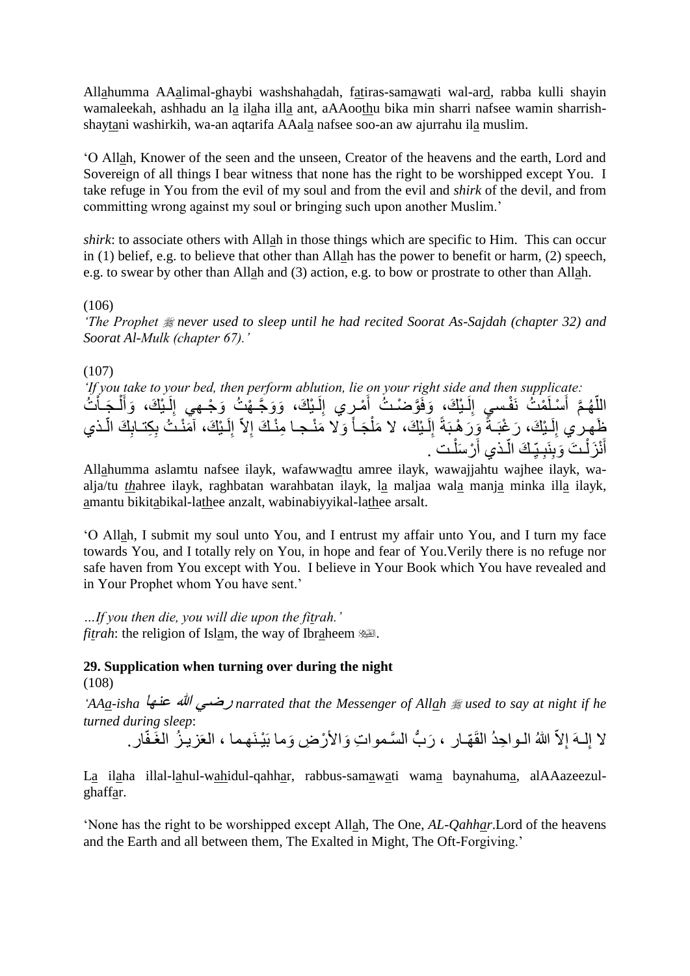Allahumma AAalimal-ghaybi washshahadah, fatiras-samawati wal-ard, rabba kulli shayin wamaleekah, ashhadu an la ilaha illa ant, aAAoothu bika min sharri nafsee wamin sharrishshaytani washirkih, wa-an aqtarifa AAala nafsee soo-an aw ajurrahu ila muslim.

'O Allah, Knower of the seen and the unseen, Creator of the heavens and the earth, Lord and Sovereign of all things I bear witness that none has the right to be worshipped except You. I take refuge in You from the evil of my soul and from the evil and *shirk* of the devil, and from committing wrong against my soul or bringing such upon another Muslim.'

*shirk*: to associate others with Allah in those things which are specific to Him. This can occur in (1) belief, e.g. to believe that other than Allah has the power to benefit or harm, (2) speech, e.g. to swear by other than Allah and (3) action, e.g. to bow or prostrate to other than Allah.

(106)

*'The Prophet never used to sleep until he had recited Soorat As-Sajdah (chapter 32) and Soorat Al-Mulk (chapter 67).'*

(107)

*'If you take to your bed, then perform ablution, lie on your right side and then supplicate:* اللَّهُمَّ أَسْلَمْتُ نَفْسِيِ إِلَـٰبِكَ، وَفَوَّصْـٰتُ أَمْرٍي إِلَـٰبِكَ، وَوَجَّـهْتُ وَجْـهِي إِلَـٰبِكَ، وَأَلْـجَـاْتُ لَ ِ َ ĺ َ لَ ا<br>ءِ لَ ِ َ ظَهِرِي إِلَـيْكَ، رَ غْبَـةً وَرَ هْبَةً إِلَـيْكَ، لا مَلْجَـأَ وَلا مَنْـجـا مِنْـكَ إِلاّ إِلَـيْكَ، آمَنْـتُ بِكِتـابِكَ الَّـذي لَ ا<br>ءِ َ ĺ لَ ِ لَ أ أَنْزَلْتَ وَبِنَبِـيِّكَ الَّذي أَرْسَلْتَ . į َ ا<br>ا ; **∶** Ĺ َ

Allahumma aslamtu nafsee ilayk, wafawwadtu amree ilayk, wawajjahtu wajhee ilayk, waalja/tu *th*ahree ilayk, raghbatan warahbatan ilayk, la maljaa wala manja minka illa ilayk, amantu bikitabikal-lathee anzalt, wabinabiyyikal-lathee arsalt.

'O Allah, I submit my soul unto You, and I entrust my affair unto You, and I turn my face towards You, and I totally rely on You, in hope and fear of You.Verily there is no refuge nor safe haven from You except with You. I believe in Your Book which You have revealed and in Your Prophet whom You have sent.'

*…If you then die, you will die upon the fitrah.' fitrah*: the religion of Islam, the way of Ibraheem ...

### **29. Supplication when turning over during the night**

(108)

*'AAa-isha* عنها هللا رضي *narrated that the Messenger of Allah used to say at night if he turned during sleep*:

لا إِلــهَ إِلاّ اللهُ الــواحِدُ الْقَهّــار ، رَبُّ السَّـمواتِ وَالأَرْضِ وَما بَيْـنَـهما ، العَزيـزُ الغَـفّار . ُّ ِ

La ilaha illal-lahul-wahidul-qahhar, rabbus-samawati wama baynahuma, alAAazeezulghaffar.

'None has the right to be worshipped except Allah, The One, *AL-Qahhar*.Lord of the heavens and the Earth and all between them, The Exalted in Might, The Oft-Forgiving.'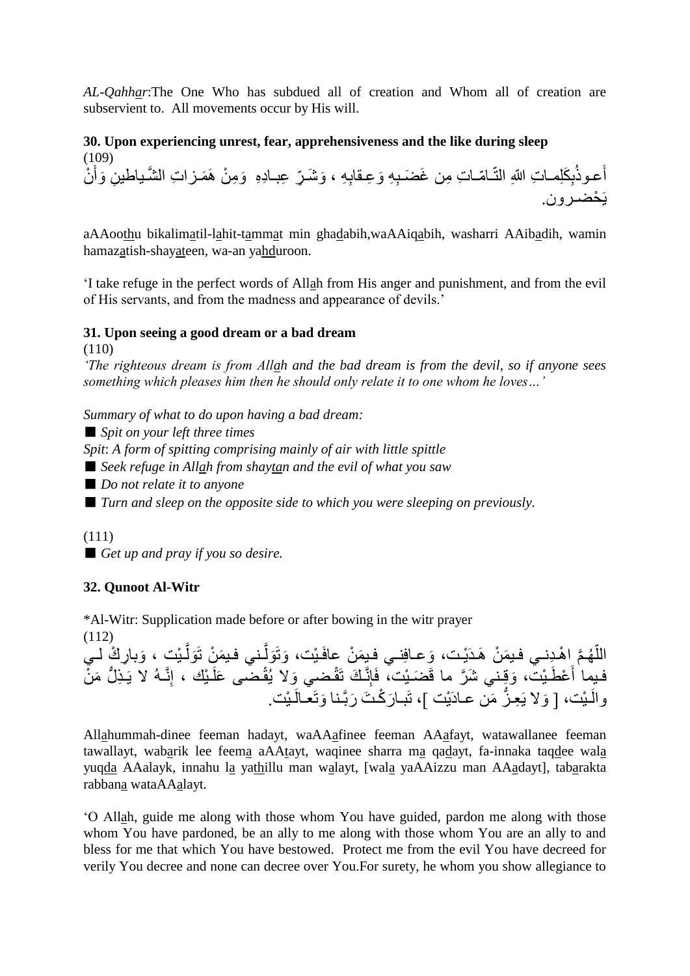*AL-Qahhar*:The One Who has subdued all of creation and Whom all of creation are subservient to. All movements occur by His will.

**30. Upon experiencing unrest, fear, apprehensiveness and the like during sleep** (109) أَعـوذُبِكَلِمـاتِ اللهِ النّـامّـاتِ مِن غَضَـبِهِ وَعِـقابِهِ ، وَشَـرٍّ عِبـادِهِ ۖ وَمِنْ هَمَـزاتِ الشّـياطينِ وَأَنْ ِ َ يَحْضـر و ن.

aAAoothu bikalimatil-lahit-tammat min ghadabih,waAAiqabih, washarri AAibadih, wamin hamazatish-shayateen, wa-an yahduroon.

'I take refuge in the perfect words of Allah from His anger and punishment, and from the evil of His servants, and from the madness and appearance of devils.'

# **31. Upon seeing a good dream or a bad dream**

(110)

*'The righteous dream is from Allah and the bad dream is from the devil, so if anyone sees something which pleases him then he should only relate it to one whom he loves…'*

*Summary of what to do upon having a bad dream:*

■ *Spit on your left three times* 

*Spit*: *A form of spitting comprising mainly of air with little spittle*

- *Seek refuge in Allah from shaytan and the evil of what you saw*
- *Do not relate it to anyone*

■ *Turn and sleep on the opposite side to which you were sleeping on previously.* 

(111)

■ *Get up and pray if you so desire.* 

# **32. Qunoot Al-Witr**

\*Al-Witr: Supplication made before or after bowing in the witr prayer

(112)

اللَّهُمَّ إِهْدِنـي فيمَنْ هَدَيْت، وَعـافِنـي فِيمَنْ عافَيْت، وَتَوَلَّـني فيمَنْ تَوَلَّـيْت ، وَبارِكْ لـي َّ َّ ا<br>ا فيمِا أَعْطَيْت، وَقِني شَرَّ ما قَضَيْت، فَإِنَّكَ تَقْضي وَلا يُقْضي عَلَيْك ، إِنَّـهُ لا يَـذِلُّ مَنْ َ والَمْيْت، [ وَلا يَعِزُّ مَن عـادَيْت ]، تَبـارَكْتَ رَبَّـنا وَتَعـالَـيْت.

Allahummah-dinee feeman hadayt, waAAafinee feeman AAafayt, watawallanee feeman tawallayt, wabarik lee feema aAAtayt, waqinee sharra ma qadayt, fa-innaka taqdee wala yuqda AAalayk, innahu la yathillu man walayt, [wala yaAAizzu man AAadayt], tabarakta rabbana wataAAalayt.

'O Allah, guide me along with those whom You have guided, pardon me along with those whom You have pardoned, be an ally to me along with those whom You are an ally to and bless for me that which You have bestowed. Protect me from the evil You have decreed for verily You decree and none can decree over You.For surety, he whom you show allegiance to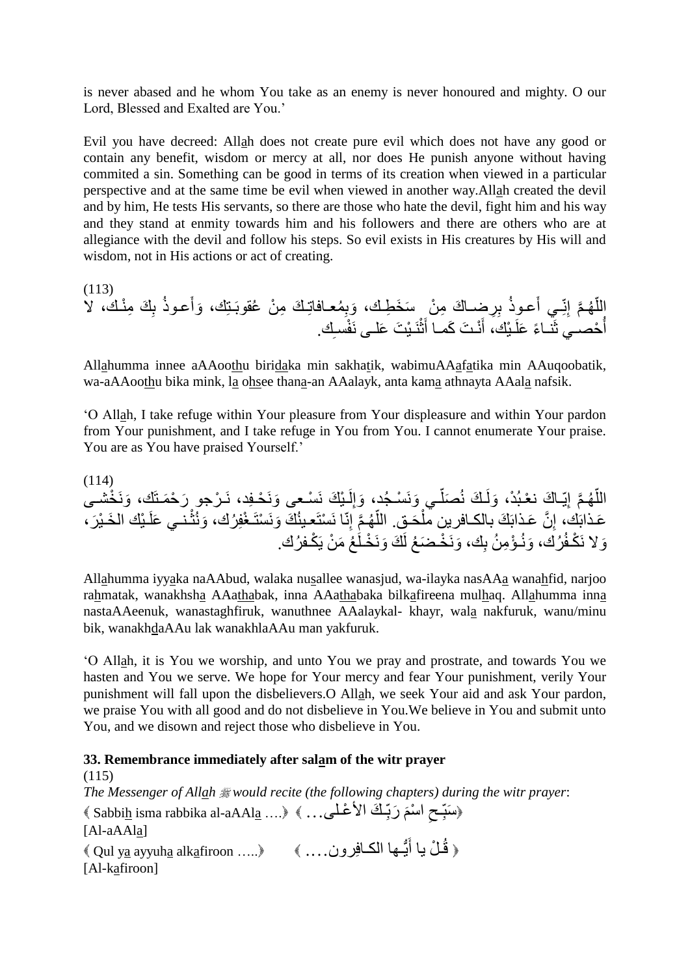is never abased and he whom You take as an enemy is never honoured and mighty. O our Lord, Blessed and Exalted are You.'

Evil you have decreed: Allah does not create pure evil which does not have any good or contain any benefit, wisdom or mercy at all, nor does He punish anyone without having commited a sin. Something can be good in terms of its creation when viewed in a particular perspective and at the same time be evil when viewed in another way.Allah created the devil and by him, He tests His servants, so there are those who hate the devil, fight him and his way and they stand at enmity towards him and his followers and there are others who are at allegiance with the devil and follow his steps. So evil exists in His creatures by His will and wisdom, not in His actions or act of creating.

(113) ِ ِرضـا َك ب َعـوذ ِـي أ ِنّ َّم إ هـ الل َك ِم نـك، ال ّ ِ ب َعـوذ َوأ ِ معـافاتِـ َك ِم ن عقوبَـتِك، َوب ِم ن َس َخ ِطـك، ِك. فسـ نَـ ي َت َعلـى نَ ث َ نـ َت َكمـا أ َ ـ يك، أ حصـي ثَنـا ًء َعلَ أ

Allahumma innee aAAoothu biridaka min sakhatik, wabimuAAafatika min AAuqoobatik, wa-aAAoothu bika mink, la ohsee thana-an AAalayk, anta kama athnayta AAala nafsik.

'O Allah, I take refuge within Your pleasure from Your displeasure and within Your pardon from Your punishment, and I take refuge in You from You. I cannot enumerate Your praise. You are as You have praised Yourself.'

(114) َونَ خشـى ـ ي َك نَ سـعى َونَ حـِفد، نَـ رجو َر ح َمـتَك، لَ ِ َوإ ـي َونَ سـ جد، ّ َصل ـ َك ن َولَ ِيّـا َك ن عـب د، َّم إ هـ ّ الل ـنـي َعلَ َون ث َك َونَ ستَـ غِف رك، ِنّا نَ ستَعـين َّم إ هـ ّ َحـق. الل َّن َعـذابَ َك بالكـافرين مل ِ ـ يك ال َخـ ي َع َر، ـذابَك، إ كـف رك. ع َم ن يَ َك َونَ خـلَ َونَ خـ َض ع لَ ِك، َون ـ ؤ ِم ن ب رك، كـف َوال نَ

Allahumma iyyaka naAAbud, walaka nusallee wanasjud, wa-ilayka nasAAa wanahfid, narjoo rahmatak, wanakhsha AAathabak, inna AAathabaka bilkafireena mulhaq. Allahumma inna nastaAAeenuk, wanastaghfiruk, wanuthnee AAalaykal- khayr, wala nakfuruk, wanu/minu bik, wanakhdaAAu lak wanakhlaAAu man yakfuruk.

'O Allah, it is You we worship, and unto You we pray and prostrate, and towards You we hasten and You we serve. We hope for Your mercy and fear Your punishment, verily Your punishment will fall upon the disbelievers.O Allah, we seek Your aid and ask Your pardon, we praise You with all good and do not disbelieve in You.We believe in You and submit unto You, and we disown and reject those who disbelieve in You.

### **33. Remembrance immediately after salam of the witr prayer**

(115) *The Messenger of Allah would recite (the following chapters) during the witr prayer*: «Sabbi<u>h</u> isma rabbika al-aAAl<u>a</u> ....》 «…عبوج اسمَّة كَ الأغْلَى ... » « ;<br>; ِ ;<br>; [Al-aAAla] ﴿ قُلْ يا أَيُّـها الْكـافِرونِ.... ﴾ «..... ayyuh<u>a</u> alk<u>a</u>firoon» ﴾ َ [Al-kafiroon]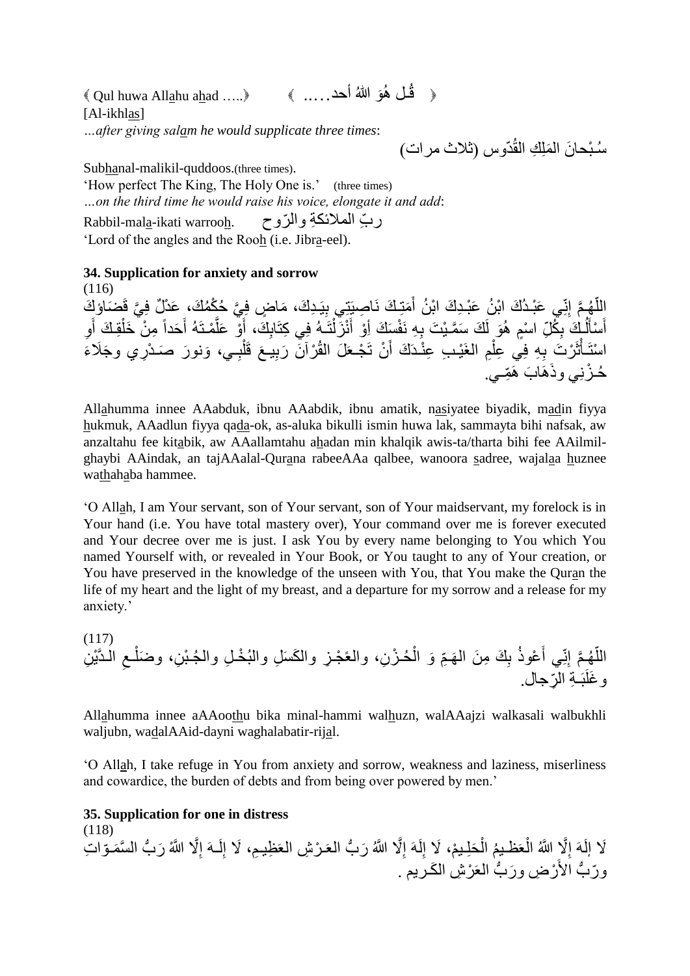$\Diamond$  Qul huwa Allahu ahad ..... ﴿ \_ قُلْ هُوَ اللَّهُ أَحد . . . . ﴾ [Al-ikhlas] *…after giving salam he would supplicate three times*:

سُبْحانَ المَلِكِ الْقُدّوس (ثلاث مرات)

Subhanal-malikil-quddoos.(three times). 'How perfect The King, The Holy One is.' (three times) *…on the third time he would raise his voice, elongate it and add*: ر ِّب المالئكِة وال ّروح .warrooh ikati-mala-Rabbil 'Lord of the angles and the Rooh (i.e. Jibra-eel).

**34. Supplication for anxiety and sorrow**

(116) اللَّهُمَّ إِنِّي عَبْدُكَ ابْنُ عَبْدِكَ ابْنُ أَمَتِكَ نَاصِبَتِي بِيَدِكَ، مَاضٍ فِيَّ حُكْمُكَ، عَدْلٌ فِيَّ قَضَاوْكَ<br>اللَّهُمَّ إِنِّي عَبْدُكَ ابْنُ عَبْدِكَ ابْنُ أَمَتِكَ نَاصِبَتِي بِيَدِكَ، مَاضٍ فِيَّ حُكْمُكَ، َ ا<br>ا أَسْأَلُكَ بِكُلِّ اسْمٍ هُوَ لَكَ سَمَّيْتَ بِهِ نَفْسَكَ أِوْ أَنْزَلْتَـهُ فِي كِتَابِكَ، أَوْ عَلَّمْتَهُ أَحَداً مِنْ خَلْقِكَ أَو<br>. ِ  $\overline{1}$ َ ֧֦֧ׅ֦֦֧֦֧֦֦֧֧֧֧֞֝֝֝֓֓֡֓֓֓֡֓֓֓֓֡֓֓֓֓֡֡֜֓֓֡֟֩֓֓֡֝֓֓֞֓֡֓֓֡֩֓֓֝֬ َ ĺ َ َّ َ Ĺ َ اسْتَأْثَرْتَ بِهِ فِي عِلْمِ الغَيْبِ عِنْدَكَ أَنْ تَجْعَلَ الْقُرْآنَ رَبِيعَ قَلْبِـي، وَنورَ صَدْرِي وجَلَاءَ ِ ĺ َ ĺ ֧֦֧֦֧֦֧֦֧֦֧֦֧֧֪֦֧֧֪֦֧֚֝֝֝֝֝֬֜֜֝֬<br>֧֛֪֪֪֪֪֪֪֪֪֪֪֪֪֜֜֜֓֩֩֩ حُـزْنِي وذَهَابَ هَمِّــي.

Allahumma innee AAabduk, ibnu AAabdik, ibnu amatik, nasiyatee biyadik, madin fiyya hukmuk, AAadlun fiyya qada-ok, as-aluka bikulli ismin huwa lak, sammayta bihi nafsak, aw anzaltahu fee kitabik, aw AAallamtahu ahadan min khalqik awis-ta/tharta bihi fee AAilmilghaybi AAindak, an tajAAalal-Qurana rabeeAAa qalbee, wanoora sadree, wajalaa huznee wathahaba hammee.

'O Allah, I am Your servant, son of Your servant, son of Your maidservant, my forelock is in Your hand (i.e. You have total mastery over), Your command over me is forever executed and Your decree over me is just. I ask You by every name belonging to You which You named Yourself with, or revealed in Your Book, or You taught to any of Your creation, or You have preserved in the knowledge of the unseen with You, that You make the Quran the life of my heart and the light of my breast, and a departure for my sorrow and a release for my anxiety.'

(117) اللَّهُـمَّ إنِّـي أَعْوذُ بِكَ مِنَ الـهَـمِّ وَ الْمُـزْنِ، والعَجْـزِ والكَسَلِ والبُخْـلِ والمُـبْنِ، وضَلْـعِ الـدَّيْنِ ِ ĺ ĺ َ اً و غَلَبَـةِ الرّجال.

Allahumma innee aAAoothu bika minal-hammi walhuzn, walAAajzi walkasali walbukhli waljubn, wadalAAid-dayni waghalabatir-rijal.

'O Allah, I take refuge in You from anxiety and sorrow, weakness and laziness, miserliness and cowardice, the burden of debts and from being over powered by men.'

#### **35. Supplication for one in distress**

(118) لَا إِلَهَ إِلَّا اللَّهُ الْعَظـيمُ الْحَلِـيمْ، لَا إِلَهَ إِلَّا اللَّهُ رَبُّ الْعَزْشِ الْعَظِيـمِ، لَا إِلَـهَ إِلَّا اللَّهُ رَبُّ السَّمَـوّاتِ ا<br>ءِ لَ ا<br>ءِ ُّ ।<br>≈ ِ  $\ddot{\phantom{0}}$ f<br>i ِ ُّ ورّبُّ الأَرْضِ ورَبُّ العَرْشِ الكَريمِ . ُّ ُّ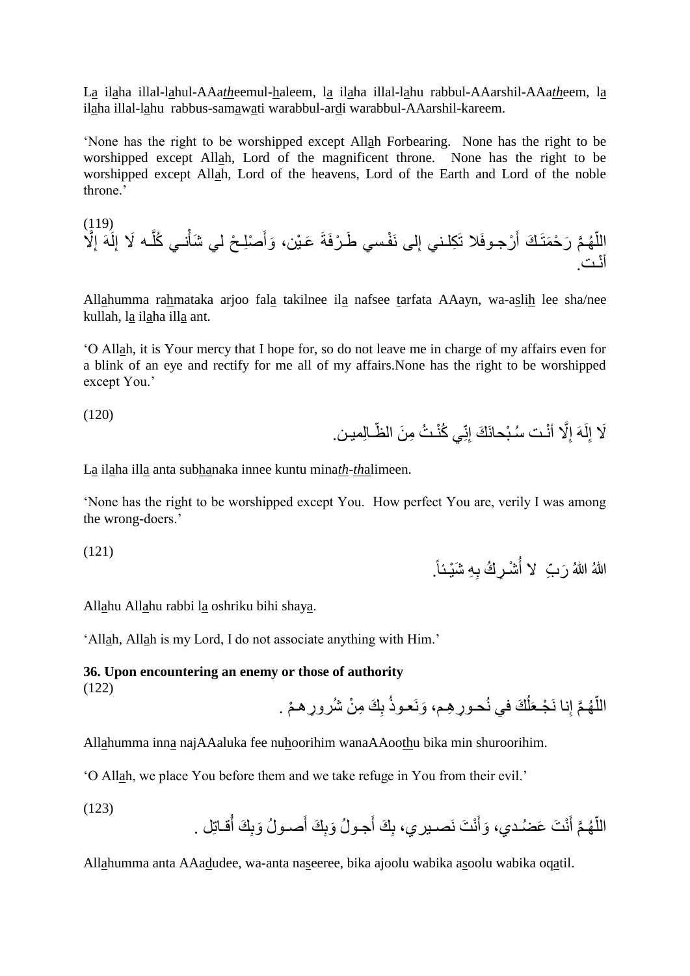La ilaha illal-lahul-AAa*th*eemul-haleem, la ilaha illal-lahu rabbul-AAarshil-AAa*th*eem, la ilaha illal-lahu rabbus-samawati warabbul-ardi warabbul-AAarshil-kareem.

'None has the right to be worshipped except Allah Forbearing. None has the right to be worshipped except Allah, Lord of the magnificent throne. None has the right to be worshipped except Allah, Lord of the heavens, Lord of the Earth and Lord of the noble throne.'

َّم هـ ّ َّال الل ِ لَهَ إ ِ ـه َال إ َّ نـي كل صِلـ ح لي َشأ َ َوأ َعـ ين، فـسي َطـ رفَةَ لى نَ ِ رجـوفَال تَ ِكلـني إ َ َر ح َمتَـ َك أ أ نـت.

Allahumma rahmataka arjoo fala takilnee ila nafsee tarfata AAayn, wa-aslih lee sha/nee kullah, la ilaha illa ant.

'O Allah, it is Your mercy that I hope for, so do not leave me in charge of my affairs even for a blink of an eye and rectify for me all of my affairs.None has the right to be worshipped except You.'

(120)

 $(110)$ 

لَا إِلَهَ إِلَّا أَنْت سُبْحانَكَ إِنِّي كُنْتُ مِنَ الظَّـالِمين. ِ ِ

La ilaha illa anta subhanaka innee kuntu mina*th*-*th*alimeen.

'None has the right to be worshipped except You. How perfect You are, verily I was among the wrong-doers.'

(121)

اللهُ اللهُ رَبِّ ۚ لا أَشْرِكُ بِهِ شَيْئاً. ا<br>ار:

Allahu Allahu rabbi la oshriku bihi shaya.

'Allah, Allah is my Lord, I do not associate anything with Him.'

**36. Upon encountering an enemy or those of authority** (122)

اللَّهُمَّ إِنا نَجْعَلُكَ في نُحورٍ هِم، وَنَعوذُ بِكَ مِنْ شُرورٍ هـمْ . ľ ا<br>ا

Allahumma inna najAAaluka fee nuhoorihim wanaAAoothu bika min shuroorihim.

'O Allah, we place You before them and we take refuge in You from their evil.'

(123)

اللَّهُمَّ أَنْتَ عَضُدي، وَأَنْتَ نَصـيري، بِكَ أَجـولُ وَبِكَ أَصـولُ وَبِكَ أُقـاتِل . ر<br>أن َ َ ا<br>ا

Allahumma anta AAadudee, wa-anta naseeree, bika ajoolu wabika asoolu wabika oqatil.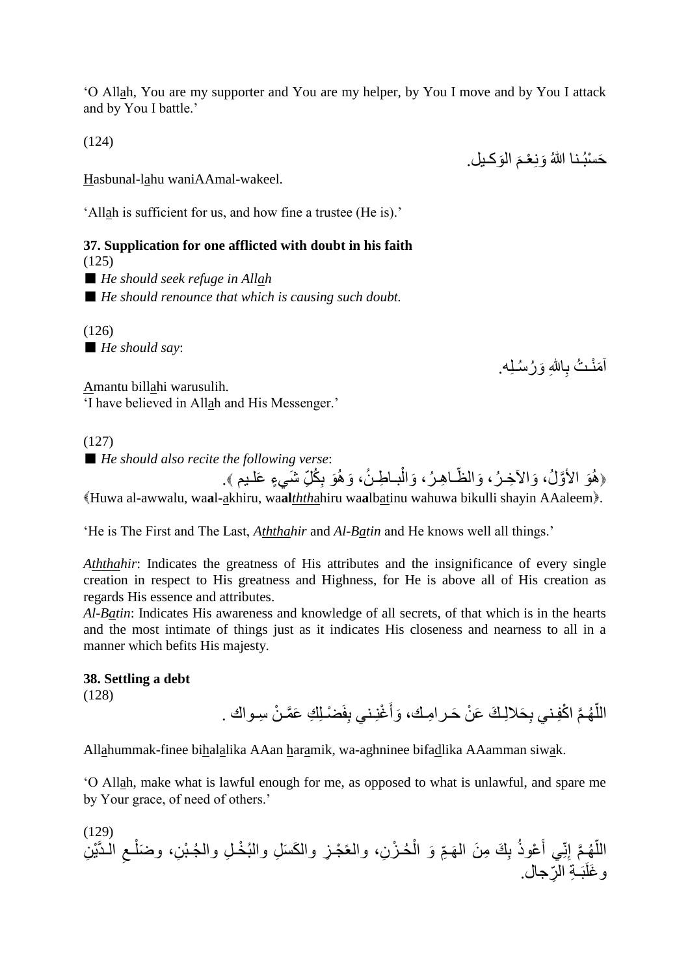'O Allah, You are my supporter and You are my helper, by You I move and by You I attack and by You I battle.'

(124)

Hasbunal-lahu waniAAmal-wakeel.

'Allah is sufficient for us, and how fine a trustee (He is).'

### **37. Supplication for one afflicted with doubt in his faith** (125)

■ *He should seek refuge in Allah* 

■ *He should renounce that which is causing such doubt.* 

(126) ■ *He should say*:

أَمَنْـتُ بِـاللهِ وَرُسُـلِـه.<sub>.</sub>

حَسْبُـنـا اللهُ وَنِعْـمَ الْوَكـيل. مَ<br>م

Amantu billahi warusulih. 'I have believed in Allah and His Messenger.'

(127)

■ *He should also recite the following verse:* 

﴿هُوَ الأَوَّلُ، وَالآخِرُ، وَالظَّـاهِـرُ، وَالْبــاطِـنُ، وَهُوَ بِكُلِّ شَيءٍ عَلـيم ﴾. ِ ĺ Huwa al-awwalu, wa**a**l-akhiru, wa**al***thth*ahiru wa**a**lbatinu wahuwa bikulli shayin AAaleem.

'He is The First and The Last, *Aththahir* and *Al-Batin* and He knows well all things.'

*Aththahir*: Indicates the greatness of His attributes and the insignificance of every single creation in respect to His greatness and Highness, for He is above all of His creation as regards His essence and attributes.

*Al-Batin*: Indicates His awareness and knowledge of all secrets, of that which is in the hearts and the most intimate of things just as it indicates His closeness and nearness to all in a manner which befits His majesty.

#### **38. Settling a debt**

(128)

اللَّهُمَّ اكْفِني بِحَلالِكَ عَنْ حَرامِكَ، وَأَغْنِني بِفَضْـلِكِ عَمَّـنْ سِـواك . َ ا<br>ا

Allahummak-finee bihalalika AAan haramik, wa-aghninee bifadlika AAamman siwak.

'O Allah, make what is lawful enough for me, as opposed to what is unlawful, and spare me by Your grace, of need of others.'

(129) ِّم َهـ ِ َك ِم َن ال ب عوذ َ ِي أ ِنّ َّم إ هـ ّ ِن الل الـدَّ ي ِ ـع ِن، و َضل ِل وال جـ ب ِز وال َك َس ِل والب خـ حـ ز ِن، والعً جـ َو ال ِّرجال. بَـ ِة ال و َغلَ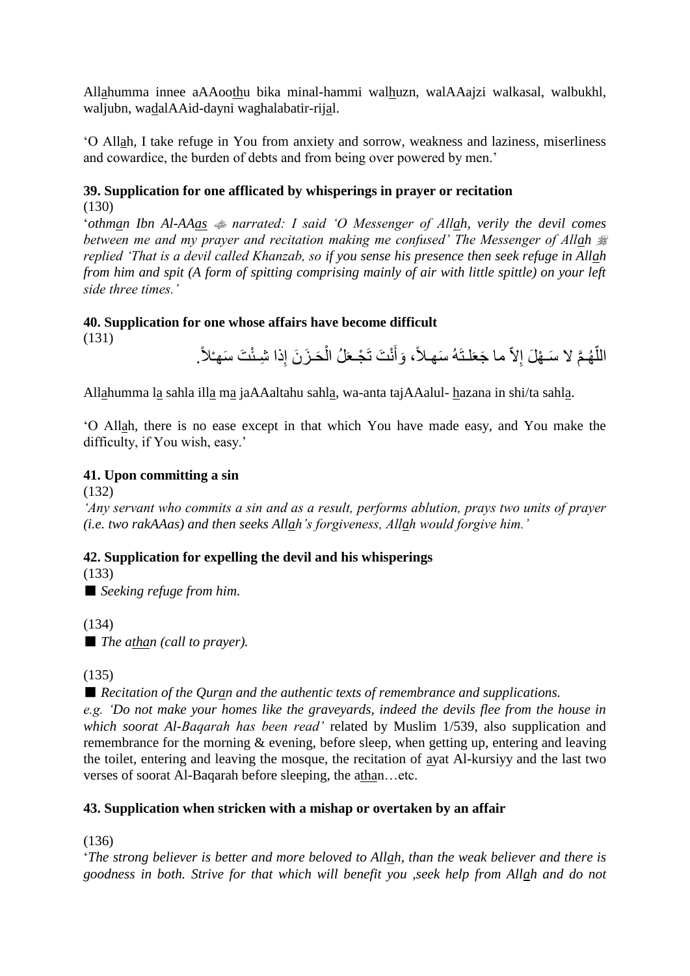Allahumma innee aAAoothu bika minal-hammi walhuzn, walAAajzi walkasal, walbukhl, waljubn, wadalAAid-dayni waghalabatir-rijal.

'O Allah, I take refuge in You from anxiety and sorrow, weakness and laziness, miserliness and cowardice, the burden of debts and from being over powered by men.'

# **39. Supplication for one afflicated by whisperings in prayer or recitation** (130)

'*othman Ibn Al-AAas narrated: I said 'O Messenger of Allah, verily the devil comes between me and my prayer and recitation making me confused' The Messenger of Allah replied 'That is a devil called Khanzab, so if you sense his presence then seek refuge in Allah from him and spit (A form of spitting comprising mainly of air with little spittle) on your left side three times.'*

# **40. Supplication for one whose affairs have become difficult**

(131)

اللَّهُمَّ لا سَـهْلَ إِلاَّ ما جَعَلْتَهُ سَهلاً، وَأَنْتَ تَجْعَلُ الْحَـزَنَ إِذا شِئْتَ سَهـْلاً. ا<br>ا ĺ َ

Allahumma la sahla illa ma jaAAaltahu sahla, wa-anta tajAAalul- hazana in shi/ta sahla.

'O Allah, there is no ease except in that which You have made easy, and You make the difficulty, if You wish, easy.'

# **41. Upon committing a sin**

(132)

*'Any servant who commits a sin and as a result, performs ablution, prays two units of prayer (i.e. two rakAAas) and then seeks Allah's forgiveness, Allah would forgive him.'*

# **42. Supplication for expelling the devil and his whisperings**

(133)

■ *Seeking refuge from him.* 

(134)

■ *The athan (call to prayer).* 

(135)

■ *Recitation of the Quran and the authentic texts of remembrance and supplications.* 

*e.g. 'Do not make your homes like the graveyards, indeed the devils flee from the house in which soorat Al-Baqarah has been read'* related by Muslim 1/539, also supplication and remembrance for the morning & evening, before sleep, when getting up, entering and leaving the toilet, entering and leaving the mosque, the recitation of ayat Al-kursiyy and the last two verses of soorat Al-Baqarah before sleeping, the athan...etc.

# **43. Supplication when stricken with a mishap or overtaken by an affair**

(136)

'*The strong believer is better and more beloved to Allah, than the weak believer and there is goodness in both. Strive for that which will benefit you ,seek help from Allah and do not*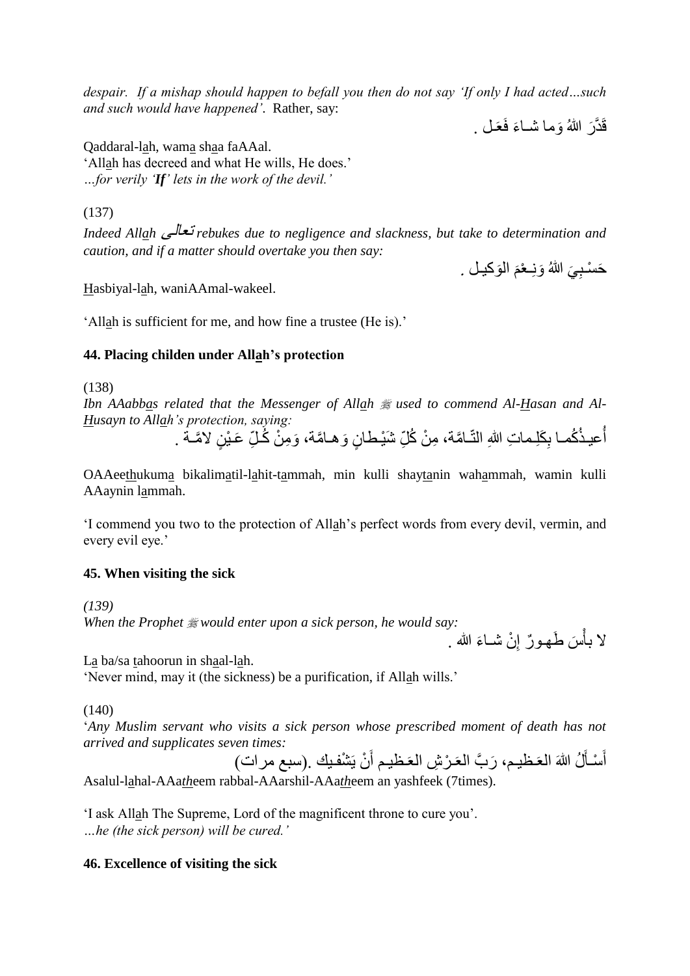*despair. If a mishap should happen to befall you then do not say 'If only I had acted…such and such would have happened'*. Rather, say:

قَدَّرَ اللهُ وَما شَـاءَ فَعَـلٌ .

Qaddaral-lah, wama shaa faAAal. 'Allah has decreed and what He wills, He does.' *…for verily 'If' lets in the work of the devil.'*

(137)

*Indeed Allah* تعالى *rebukes due to negligence and slackness, but take to determination and caution, and if a matter should overtake you then say:*

حَسْبِيَ اللَّهُ وَنِـعْمَ الْوَكيـلْ . نَ<br>م **∶** 

Hasbiyal-lah, waniAAmal-wakeel.

'Allah is sufficient for me, and how fine a trustee (He is).'

### **44. Placing childen under Allah's protection**

(138)

Ibn AAabbas related that the Messenger of Allah  $\frac{m}{200}$  used to commend Al-Hasan and Al-*Husayn to Allah's protection, saying:*

أُعيـذُكُمـا بِكَلِـماتِ اللهِ النَّـامَّة، مِنْ كُلِّ شَيْـطـانٍ وَ هـامَّة، وَمِنْ كُـلِّ عَـيْنٍ لامَّـة . **∶** j.

OAAeethukuma bikalimatil-lahit-tammah, min kulli shaytanin wahammah, wamin kulli AAaynin lammah.

'I commend you two to the protection of Allah's perfect words from every devil, vermin, and every evil eye.'

### **45. When visiting the sick**

*(139) When the Prophet would enter upon a sick person, he would say:*

لا بأسَ طَهورٌ إِنْ شَـاءَ الله . ِ ֝<br>֧֝֝֝<br>֝֟֝֝֝֝֝<sup>֟</sup>

La ba/sa tahoorun in shaal-lah.

'Never mind, may it (the sickness) be a purification, if Allah wills.'

(140)

'*Any Muslim servant who visits a sick person whose prescribed moment of death has not arrived and supplicates seven times:*

أَسْأَلُ اللهَ العَظيم، رَبَّ العَرْشِ العَظيم أَنْ يَشْفيك .(سبع مرات) ن<br>أ اُ<br>ا Asalul-lahal-AAa*th*eem rabbal-AAarshil-AAa*th*eem an yashfeek (7times).

'I ask Allah The Supreme, Lord of the magnificent throne to cure you'. *…he (the sick person) will be cured.'*

### **46. Excellence of visiting the sick**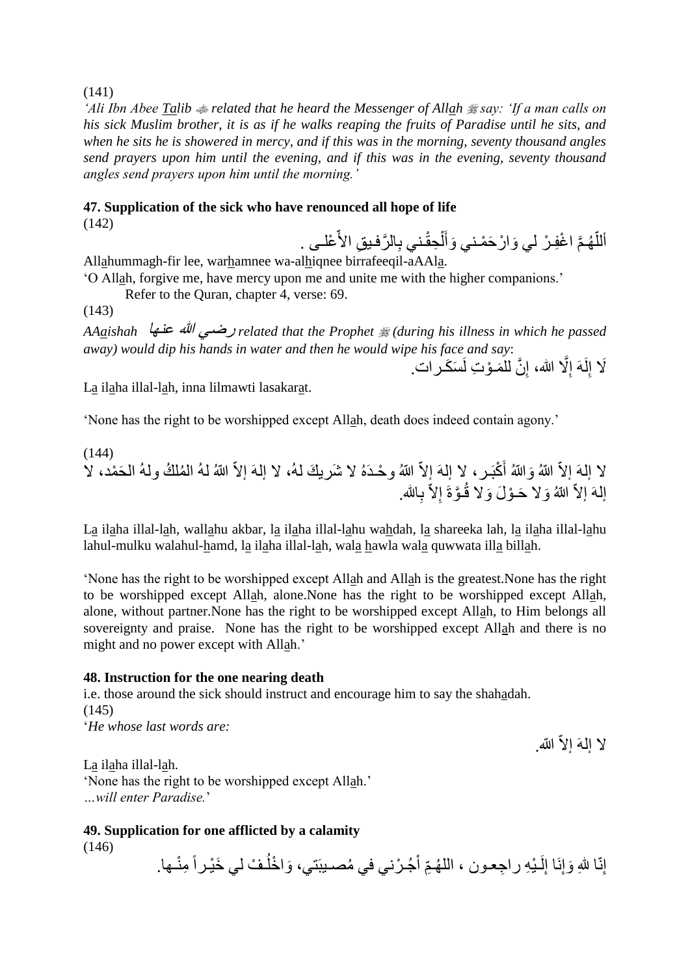(141)

*'Ali Ibn Abee Talib related that he heard the Messenger of Allah say: 'If a man calls on his sick Muslim brother, it is as if he walks reaping the fruits of Paradise until he sits, and when he sits he is showered in mercy, and if this was in the morning, seventy thousand angles send prayers upon him until the evening, and if this was in the evening, seventy thousand angles send prayers upon him until the morning.'*

# **47. Supplication of the sick who have renounced all hope of life**

(142)

أَللَّهُمَّ اغْفِرْ لي وَارْحَمْني وَأَلْحِقْني بِالرَّفيقِ الأَّعْلـى . ĺ َ اً

Allahummagh-fir lee, warhamnee wa-alhiqnee birrafeeqil-aAAla. 'O Allah, forgive me, have mercy upon me and unite me with the higher companions.'

Refer to the Quran, chapter 4, verse: 69.

(143)

*AAaishah* عنها هللا رضي *related that the Prophet (during his illness in which he passed away) would dip his hands in water and then he would wipe his face and say*:

لَا إِلَهَ إِلَّا الله، إِنَّ للمَـوْتِ لَسَكَـرات. ِ ِ ِ

La ilaha illal-lah, inna lilmawti lasakarat.

'None has the right to be worshipped except Allah, death does indeed contain agony.'

(144) لا إلمَ إلاّ اللهُ وَاللهُ أَكْبَـر، لا إلـهَ إلاّ اللهُ وحْـدَهُ لا شَريكَ لـهُ، لا إلـهَ إلاّ اللهُ لـهُ المُلكُ ولـهُ الحَمْد، لا إلهَ إلاَّ اللهُ وَلا حَـوْلَ وَلا قُـوَّةَ إِلاَّ بِالله.

La ilaha illal-lah, wallahu akbar, la ilaha illal-lahu wahdah, la shareeka lah, la ilaha illal-lahu lahul-mulku walahul-hamd, la ilaha illal-lah, wala hawla wala quwwata illa billah.

'None has the right to be worshipped except Allah and Allah is the greatest.None has the right to be worshipped except Allah, alone.None has the right to be worshipped except Allah, alone, without partner.None has the right to be worshipped except Allah, to Him belongs all sovereignty and praise. None has the right to be worshipped except Allah and there is no might and no power except with Allah.'

### **48. Instruction for the one nearing death**

i.e. those around the sick should instruct and encourage him to say the shahadah. (145) '*He whose last words are:*

لا إلهَ إلاّ الله.

La ilaha illal-lah. 'None has the right to be worshipped except Allah.' *…will enter Paradise.*'

### **49. Supplication for one afflicted by a calamity**

(146)

إِنّا للهِ وَإِنَا إِلَـٰئِهِ راجِعون ، اللّهُمِّ أَجُـرْني في مُصـيبَتي، وَاخْلُـفْ لي خَيْـراً مِنْـها.  $\ddot{\phantom{a}}$ لَ ِ  $\overline{1}$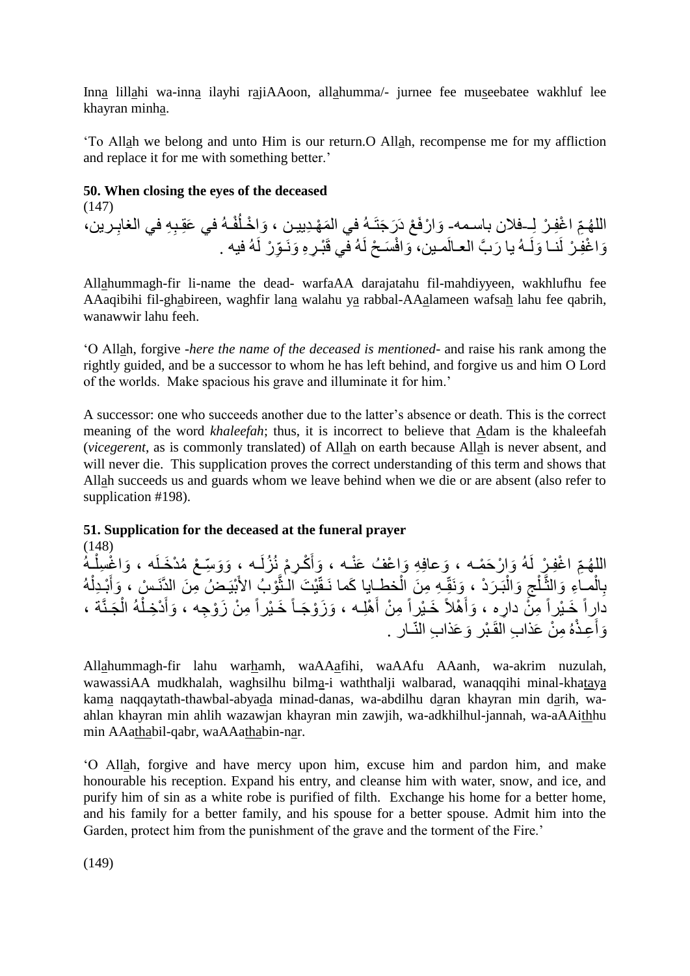Inna lillahi wa-inna ilayhi rajiAAoon, allahumma/- jurnee fee museebatee wakhluf lee khayran minha.

'To Allah we belong and unto Him is our return.O Allah, recompense me for my affliction and replace it for me with something better.'

# **50. When closing the eyes of the deceased**

(147) اللَّهُمِّ اغْفِرْ لِـفلان باسـمهـ وَارْفَعْ دَرَجَتَـهُ فِي الْمَهْدِييـن ، وَاخْـلَفْـهُ في عَقِـبِهِ في الغابِـرين، ِ وَاغْفِرْ لَنا وَلَـهُ يا رَبَّ العـالَمـين، وَافْسَحْ لَهُ في قَبْرٍ ووَنَـوِّرْ لَهُ فيه .

Allahummagh-fir li-name the dead- warfaAA darajatahu fil-mahdiyyeen, wakhlufhu fee AAaqibihi fil-ghabireen, waghfir lana walahu ya rabbal-AAalameen wafsah lahu fee qabrih, wanawwir lahu feeh.

'O Allah, forgive -*here the name of the deceased is mentioned*- and raise his rank among the rightly guided, and be a successor to whom he has left behind, and forgive us and him O Lord of the worlds. Make spacious his grave and illuminate it for him.'

A successor: one who succeeds another due to the latter's absence or death. This is the correct meaning of the word *khaleefah*; thus, it is incorrect to believe that Adam is the khaleefah (*vicegerent*, as is commonly translated) of Allah on earth because Allah is never absent, and will never die. This supplication proves the correct understanding of this term and shows that Allah succeeds us and guards whom we leave behind when we die or are absent (also refer to supplication #198).

# **51. Supplication for the deceased at the funeral prayer**

(148) اللَّهُمِّ اغْفِرْ لَهُ وَإِرْحَمْـه ، وَعافِهِ وَإعْفُ عَنْـه ، وَأَكْرِمْ نُزُلَـه ، وَوَسِّعْ مُدْخَلَه ، وَاغْسِلْـهُ ĺ بِالْمِـاءِ وَالثَّـلْجِ وَالْبَـرَدْ ، وَنَقِّـهِ مِنَ الْخطـايا كَما نَـقَّيْتَ الشُّوْبُ الأَبْيَـضُ مِنَ الدَّنَـسْ ، وَأَبْـدِلْهُ<br>بِالْمَـاءِ وَالثَّـلْجِ وَالْبَـرَدْ ، وَنَقِّـهِ مِنَ الْخطـايا كَما نَـقَّيْتَ الشُ ة<br>أ ĺ َّ Ĺ ĺ َ دَارِاً خَيْراً مِنُّ دارِهِ ، وَأَهْلاً خَيْراً مِنْ أَهْلِـه ، وَزَوْجَـأَ خَيْراً مِنْ زَوْجِه ، وَأَدْخِلْهُ الْجَنَّة ، ĺ ĺ َ َ َ وَأَعِذْهُ مِنْ عَذابِ الْقَبْرِ وَعَذابِ النّـارِ . َ

Allahummagh-fir lahu warhamh, waAAafihi, waAAfu AAanh, wa-akrim nuzulah, wawassiAA mudkhalah, waghsilhu bilma-i waththalji walbarad, wanaqqihi minal-khataya kama naqqaytath-thawbal-abyada minad-danas, wa-abdilhu daran khayran min darih, waahlan khayran min ahlih wazawjan khayran min zawjih, wa-adkhilhul-jannah, wa-aAAithhu min AAathabil-qabr, waAAathabin-nar.

'O Allah, forgive and have mercy upon him, excuse him and pardon him, and make honourable his reception. Expand his entry, and cleanse him with water, snow, and ice, and purify him of sin as a white robe is purified of filth. Exchange his home for a better home, and his family for a better family, and his spouse for a better spouse. Admit him into the Garden, protect him from the punishment of the grave and the torment of the Fire.'

(149)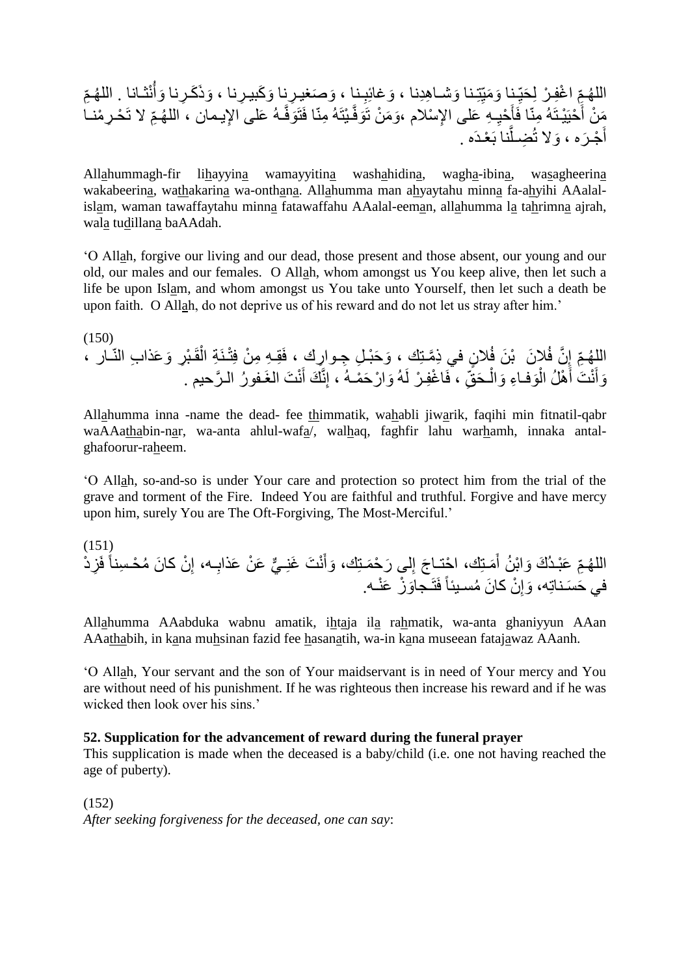هـ ِّم الل هـ نثـانا . الل َوأ ِرنا َوذَ َكـ ِرنا ، َو َكبيـ ِرنا َو َصغيـ ـنا ، ِ َوغائِب َوشـا ِهِدنا ، ِتِـنا َو َميّ ـنا ِ َحيّ ِّم ا غِفـ ر ِل ِّم ال تَ هـ ِإليـمان ، الل َعلى ا ـه َوفَّ ـ يتَه ِمنّا فَتَ َوفَّ َو َم ن تَ ِإل سالم ، ـ ِه َعلى ا ِ حي َ حيَ يـتَه ِمنّا فَأ َ َم ن أ ِر حـ منـا نا بَ عـدَه . َّ ِضـل َوال ت َره ، جـ َ أ

Allahummagh-fir lihayyina wamayyitina washahidina, wagha-ibina, wasagheerina wakabeerina, wathakarina wa-onthana. Allahumma man ahyaytahu minna fa-ahyihi AAalalislam, waman tawaffaytahu minna fatawaffahu AAalal-eeman, allahumma la tahrimna ajrah, wala tudillana baAAdah.

'O Allah, forgive our living and our dead, those present and those absent, our young and our old, our males and our females. O Allah, whom amongst us You keep alive, then let such a life be upon Islam, and whom amongst us You take unto Yourself, then let such a death be upon faith. O Allah, do not deprive us of his reward and do not let us stray after him.'

(150) اللَّهُمِّ إِنَّ فُلاِنَ ۖ بْنَ فُلانٍ في ذِمَّتِك ، وَحَبْـلِ جِـوارِك ، فَقِـهِ مِنْ فِتْـنَةِ الْقَبْرِ وَعَذابِ النّـار ، ِ ĺ وَأَنْتَ أَهْلُ الْوَفـاءِ وَالْـحَقِّ ، فَاغْفِـرْ لَهُ وَارْحَمْـهُ ، إِنَّكَ أَنْتَ الْغَـفورُ الـرَّحيم . َ į ۱.<br>۳ َ َ

Allahumma inna -name the dead- fee thimmatik, wahabli jiwarik, faqihi min fitnatil-qabr waAAathabin-nar, wa-anta ahlul-wafa/, walhaq, faghfir lahu warhamh, innaka antalghafoorur-raheem.

'O Allah, so-and-so is under Your care and protection so protect him from the trial of the grave and torment of the Fire. Indeed You are faithful and truthful. Forgive and have mercy upon him, surely You are The Oft-Forgiving, The Most-Merciful.'

(151) ِز د فَ ن كا َن م حـ ِسناً ِ ـه، إ ِ ي َع ن َعذاب ٌّ ن َت َغنِـ َ َوأ لى َر ح َمـتِك، ِ َمـتِك، ا حتـا َج إ َ ِّم َع بـد َك َوا ب ن أ هـ الل ن ِ َوإ َو في َح َس ز َع نـه. ـناتِه، فَتَـجا كا َن مسـيئاً

Allahumma AAabduka wabnu amatik, ihtaja ila rahmatik, wa-anta ghaniyyun AAan AAathabih, in kana muhsinan fazid fee hasanatih, wa-in kana museean fatajawaz AAanh.

'O Allah, Your servant and the son of Your maidservant is in need of Your mercy and You are without need of his punishment. If he was righteous then increase his reward and if he was wicked then look over his sins.'

#### **52. Supplication for the advancement of reward during the funeral prayer**

This supplication is made when the deceased is a baby/child (i.e. one not having reached the age of puberty).

(152) *After seeking forgiveness for the deceased, one can say*: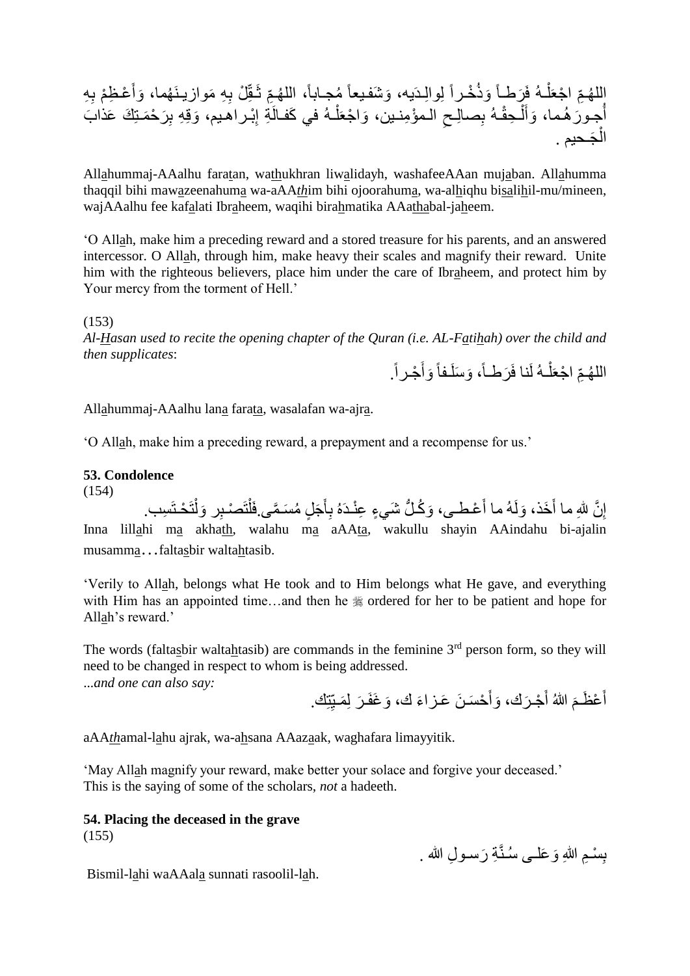ِلواِلـدَ َوذ خـراً َرطـاً ـه فَ ل ِّم ا جعَ الل ِه هـ ِ عـ ِظ م ب َ َوأ هما، ِ ِه َموازيـنَ ِ ل ب ـقّ ِّم ثَ هـ مجـابا،ً الل َو َشفـيعاً يه، َب ِ َر ح َمـتِ َك َعذا َوقِ ِه ب بـراهـيم، ِ ِة إ ـه في َكفـالَ ل َوا جعَ الـم ؤ ِمنـين، ِ ِصاِلـح ـه ب ـ ِحق ل َ َوأ جـو َر هـما، أ َجـحيم . ال

Allahummaj-AAalhu faratan, wathukhran liwalidayh, washafeeAAan mujaban. Allahumma thaqqil bihi mawazeenahuma wa-aAA*th*im bihi ojoorahuma, wa-alhiqhu bisalihil-mu/mineen, wajAAalhu fee kafalati Ibraheem, waqihi birahmatika AAathabal-jaheem.

'O Allah, make him a preceding reward and a stored treasure for his parents, and an answered intercessor. O Allah, through him, make heavy their scales and magnify their reward. Unite him with the righteous believers, place him under the care of Ibraheem, and protect him by Your mercy from the torment of Hell.'

(153)

*Al-Hasan used to recite the opening chapter of the Quran (i.e. AL-Fatihah) over the child and then supplicates*:

اللهُمِّ اجْعَلْـهُ لَنا فَرَطْـاً، وَسَلَـفاً وَأَجْـراً. َ Ĺ

Allahummaj-AAalhu lana farata, wasalafan wa-ajra.

'O Allah, make him a preceding reward, a prepayment and a recompense for us.'

#### **53. Condolence**

(154)

إِنَّ للهِ ما أَخَذ، وَلَهُ ما أَعْطـى، وَكُلُّ شَيءٍ عِنْدَهُ بِأَجَلٍ مُسَمَّى فَلْتَصنْـبِر وَلْتَحْتَسِب. ĺ ĺ َ َ َ ِ Inna lillahi ma akhath, walahu ma aAAta, wakullu shayin AAindahu bi-ajalin musamma…faltasbir waltahtasib.

'Verily to Allah, belongs what He took and to Him belongs what He gave, and everything with Him has an appointed time...and then he  $\frac{1}{20}$  ordered for her to be patient and hope for Allah's reward.'

The words (faltasbir waltahtasib) are commands in the feminine  $3<sup>rd</sup>$  person form, so they will need to be changed in respect to whom is being addressed. ...*and one can also say:*

> أَعْظَمَ اللهُ أَجْرَك، وَأَحْسَنَ عَزاءَ ك، وَغَفَرَ لِمَـبِّنِك. َ َ َ ِ

aAA*th*amal-lahu ajrak, wa-ahsana AAazaak, waghafara limayyitik.

'May Allah magnify your reward, make better your solace and forgive your deceased.' This is the saying of some of the scholars, *not* a hadeeth.

#### **54. Placing the deceased in the grave**

(155)

بِسْمِ اللهِ وَعَلـٰى سُنَّةِ رَسـولِ الله . **∣** 

Bismil-lahi waAAala sunnati rasoolil-lah.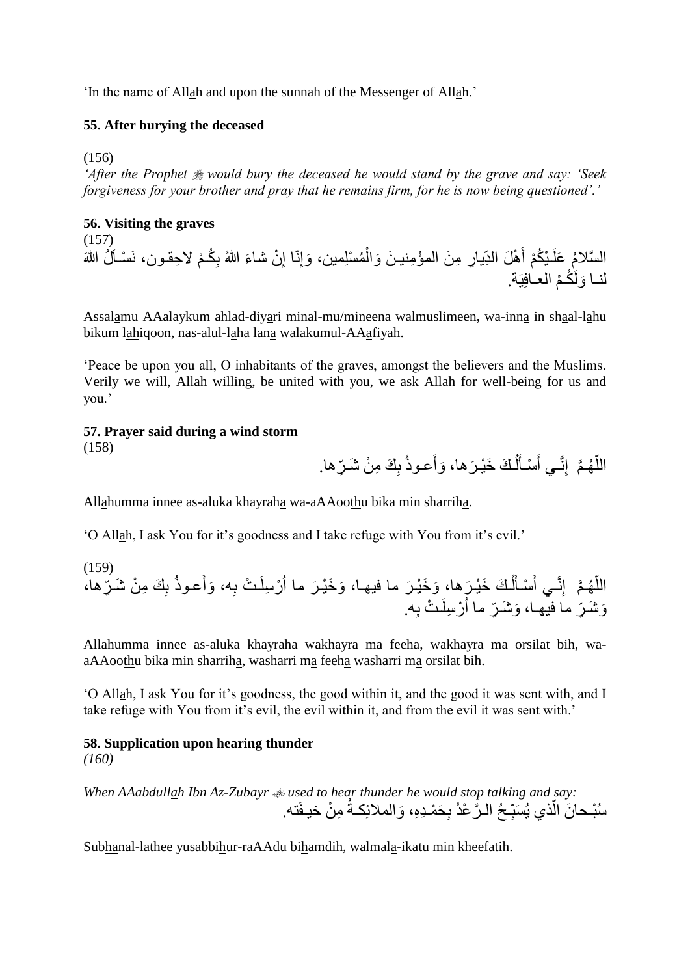'In the name of Allah and upon the sunnah of the Messenger of Allah.'

### **55. After burying the deceased**

(156)

*'After the Prophet would bury the deceased he would stand by the grave and say: 'Seek forgiveness for your brother and pray that he remains firm, for he is now being questioned'.'*

### **56. Visiting the graves**

(157) السَّلامُ عَلَـيْكُمْ أَهْلَ الدِّيـارِ مِنَ المُؤْمِنيـنَ وَالْمُسْلِمين، وَإِنّا إِنْ شاءَ اللهُ بِكُـمْ لاحِقـون، نَسْـآلُ اللهَ ِ ِ ĺ َ لنــا وَلَكُـمْ العــافِيَة.

Assalamu AAalaykum ahlad-diyari minal-mu/mineena walmuslimeen, wa-inna in shaal-lahu bikum lahiqoon, nas-alul-laha lana walakumul-AAafiyah.

'Peace be upon you all, O inhabitants of the graves, amongst the believers and the Muslims. Verily we will, Allah willing, be united with you, we ask Allah for well-being for us and you.'

### **57. Prayer said during a wind storm**

(158)

اللَّهُمَّ ۖ إِنَّـي أَسْـأَلُّكَ خَيْرَها، وَأَعوذُ بِكَ مِنْ شَرِّها.  $\overline{1}$ َ َ ا<br>ا

Allahumma innee as-aluka khayraha wa-aAAoothu bika min sharriha.

'O Allah, I ask You for it's goodness and I take refuge with You from it's evil.'

(159) َّم هـ ِّر الل ها، ّ ِ َك ِم ن َشـ ب َعـوذ َوأ ِه، ـ ت ب ر ِسلَ َر ما ا َو َخ يـ َر ما فيهـا، َو َخ يـ َرها، ـ َك َخ يـ ل َ سـأ َ ِنَّـي أ إ ِه. ـ ت ب ر ِسلَ ِّر ما ا َو َشـ ِّر ما فيهـا، َو َشـ

Allahumma innee as-aluka khayraha wakhayra ma feeha, wakhayra ma orsilat bih, waaAAoothu bika min sharriha, washarri ma feeha washarri ma orsilat bih.

'O Allah, I ask You for it's goodness, the good within it, and the good it was sent with, and I take refuge with You from it's evil, the evil within it, and from the evil it was sent with.'

# **58. Supplication upon hearing thunder**

*(160)*

*When AAabdullah Ibn Az-Zubayr used to hear thunder he would stop talking and say:* سُبْحانَ الَّذي يُسَبِّحُ الرَّعْدُ بِحَمْدِهِ، وَالملائِكةُ مِنْ خيفَته. ;<br>; اً

Subhanal-lathee yusabbihur-raAAdu bihamdih, walmala-ikatu min kheefatih.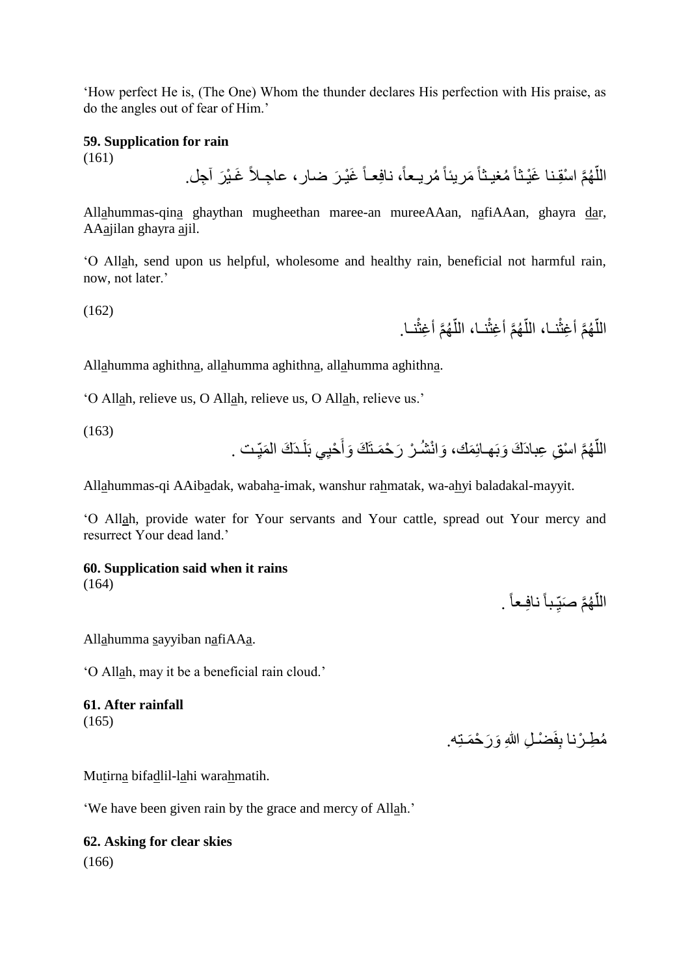'How perfect He is, (The One) Whom the thunder declares His perfection with His praise, as do the angles out of fear of Him.'

### **59. Supplication for rain**

(161)

اللَّهُمَّ اسْقِنا غَيْنًا مُغيثاً مَريناً مُريعاً، نافِعـاً غَيْرَ ضىارٍ ، عاجِـلاً غَـيْرَ آجِل. اً

Allahummas-qina ghaythan mugheethan maree-an mureeAAan, nafiAAan, ghayra dar, AAajilan ghayra ajil.

'O Allah, send upon us helpful, wholesome and healthy rain, beneficial not harmful rain, now, not later.'

(162)

الْلَهُمَّ أَغِثْنــا، اللَّهُمَّ أَغِثْنــا، اللَّهُمَّ أَغِثْنــا. ֧֦֦֧֦֧֦֧֦֧֦֧ׅ֚֝֝֝֝֝֟֝֟֝֬֝֬֝֓֜<br>֧֦֧֦֧֧֦֧֦֧֦֧֦֧֦֧֦֧֦֧֦֧֦֧֦֧֦֧֧֚֚֚֚֚֚֚֚֚֚֚֚֚֚֚֚֚֚֚֚֚֚֚֚֝֝֝֝֝֝֝֬֝֝֬֝֬֝ ا<br>ا Ĺ ا<br>ا اً

Allahumma aghithna, allahumma aghithna, allahumma aghithna.

'O Allah, relieve us, O Allah, relieve us, O Allah, relieve us.'

(163)

اللَّهُمَّ اسْقِ عِبادَكَ وَبَهـائِمَكَ، وَانْشُـرْ رَحْمَـتَكَ وَأَحْيِي بَلَـدَكَ الْمَيِّـت . اً ِ َ

Allahummas-qi AAibadak, wabaha-imak, wanshur rahmatak, wa-ahyi baladakal-mayyit.

'O Allah, provide water for Your servants and Your cattle, spread out Your mercy and resurrect Your dead land.'

#### **60. Supplication said when it rains**

(164)

اللَّهُمَّ صَبِّباً نافِعاً . ِ ا<br>ا

Allahumma sayyiban nafiAAa.

'O Allah, may it be a beneficial rain cloud.'

#### **61. After rainfall** (165)

مُطِـرْنا بِفَضْـلِ اللهِ وَرَحْمَـتِه.

Mutirna bifadlil-lahi warahmatih.

'We have been given rain by the grace and mercy of Allah.'

# **62. Asking for clear skies**

(166)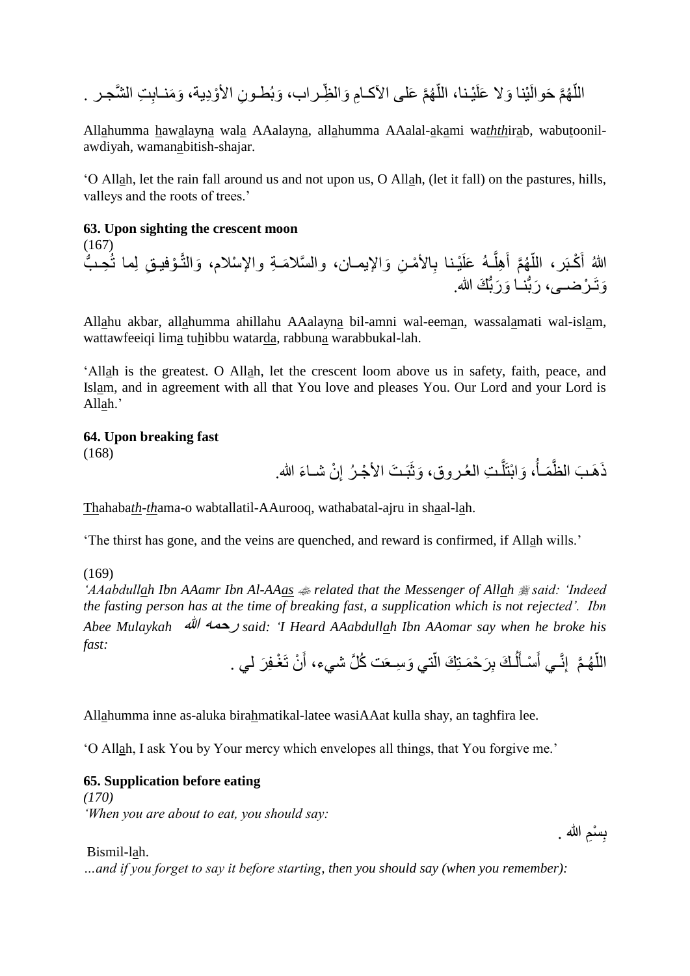ِت ال َّشجـر . ِ َو َمنـاب َوب طـو ِن األ وِدية، ّظِ ـراب، َوال هَّم َعلى اآلكـاِم ّ يـنا، الل َوال َعلَ ينا هَّم َحوالَ ّ الل

Allahumma hawalayna wala AAalayna, allahumma AAalal-akami wa*thth*irab, wabutoonilawdiyah, wamanabitish-shajar.

'O Allah, let the rain fall around us and not upon us, O Allah, (let it fall) on the pastures, hills, valleys and the roots of trees.'

#### **63. Upon sighting the crescent moon**

(167) اللهُ أَكْبَر، اللَّهُمَّ أَهِلَّـهُ عَلَيْـنا بِالأَمْـنِ وَالإِيمـان، والسَّلامَـةِ والإسْلام، وَالتَّـوْفيـقِ لِما تُـحِـبُّ َّ َ ا<br>ا وَتَـُرْضـــى، رَبَّنــا وَرَبَّكَ الله.

Allahu akbar, allahumma ahillahu AAalayna bil-amni wal-eeman, wassalamati wal-islam, wattawfeeiqi lima tuhibbu watarda, rabbuna warabbukal-lah.

'Allah is the greatest. O Allah, let the crescent loom above us in safety, faith, peace, and Islam, and in agreement with all that You love and pleases You. Our Lord and your Lord is Allah.'

# **64. Upon breaking fast**

(168)

ذَهَبَ الظَّمَـأُ، وَابْتَلَّـتِ العُـروقِ، وَثَبَـتَ الأجْـرُ إِنْ شـاءَ الله. ِ َّ j.

Thahaba*th*-*th*ama-o wabtallatil-AAurooq, wathabatal-ajru in shaal-lah.

'The thirst has gone, and the veins are quenched, and reward is confirmed, if Allah wills.'

(169)

*'AAabdullah Ibn AAamr Ibn Al-AAas related that the Messenger of Allah said: 'Indeed the fasting person has at the time of breaking fast, a supplication which is not rejected'. Ibn Abee Mulaykah* هللا رحمه *said: 'I Heard AAabdullah Ibn AAomar say when he broke his fast:*

اللَّهُمَّ ۖ إِنَّـي أَسْـأَلُـكَ بِرَحْمَـتِكَ الَّتـي وَسِـعَت كُلَّ شـيء، أنْ تَغْـفِرَ لـي . َ أ  $\overline{1}$ َ َ ا<br>ا

Allahumma inne as-aluka birahmatikal-latee wasiAAat kulla shay, an taghfira lee.

'O Allah, I ask You by Your mercy which envelopes all things, that You forgive me.'

#### **65. Supplication before eating**

*(170) 'When you are about to eat, you should say:*

Bismil-lah.

*…and if you forget to say it before starting, then you should say (when you remember):*

بِسْمِ الله . **∣**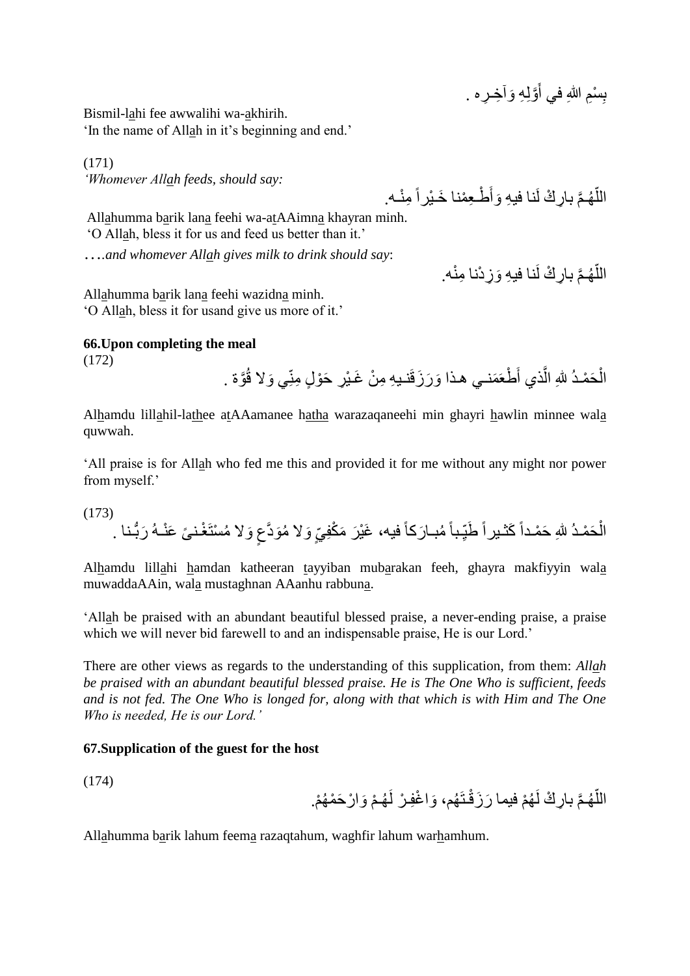بِسْمِ اللَّهِ في أَوَّلِهِ وَاخِـرٍه . َ **∣** 

Bismil-lahi fee awwalihi wa-akhirih. 'In the name of Allah in it's beginning and end.'

(171) *'Whomever Allah feeds, should say:*

اللَّهُمَّ بارِكْ لَنا فيهِ وَأَطْعِمْنا خَيْراً مِنْـه. اً

اللَّهُمَّ بارِكْ لَنا فيهِ وَزِدْنا مِنْه.

اً

Allahumma barik lana feehi wa-atAAimna khayran minh. 'O Allah, bless it for us and feed us better than it.'

…*.and whomever Allah gives milk to drink should say*:

Allahumma barik lana feehi wazidna minh. 'O Allah, bless it for usand give us more of it.'

### **66.Upon completing the meal**

(172)

الْحَمْدُ للهِ الَّذي أَطْعَمَنــي هـذا وَرَزَقَنـدِهِ مِنْ غَـيْرِ حَوْلٍ مِنّـي وَلا قُوَّة . اُ Ĺ

Alhamdu lillahil-lathee atAAamanee hatha warazaqaneehi min ghayri hawlin minnee wala quwwah.

'All praise is for Allah who fed me this and provided it for me without any might nor power from myself.'

(173) الْحَمْدُ للهِ حَمْداً كَثْـبِراً طَيِّباً مُبــارَكاً فيه، غَيْرَ مَكْفِيِّ وَلا مُوَدَّعٍ وَلا مُسْتَغْـنيَّ عَنْـهُ رَبُّـنا . ;<br>; Ĺ

Alhamdu lillahi hamdan katheeran tayyiban mubarakan feeh, ghayra makfiyyin wala muwaddaAAin, wala mustaghnan AAanhu rabbuna.

'Allah be praised with an abundant beautiful blessed praise, a never-ending praise, a praise which we will never bid farewell to and an indispensable praise, He is our Lord.'

There are other views as regards to the understanding of this supplication, from them: *Allah be praised with an abundant beautiful blessed praise. He is The One Who is sufficient, feeds and is not fed. The One Who is longed for, along with that which is with Him and The One Who is needed, He is our Lord.'*

### **67.Supplication of the guest for the host**

(174)

اللَّهُمَّ بارِكٌ لَهُمْ فيما رَزَقْتَهُم، وَاغْفِرْ لَهُمْ وَارْحَمْهُمْ. ا<br>ا

Allahumma barik lahum feema razaqtahum, waghfir lahum warhamhum.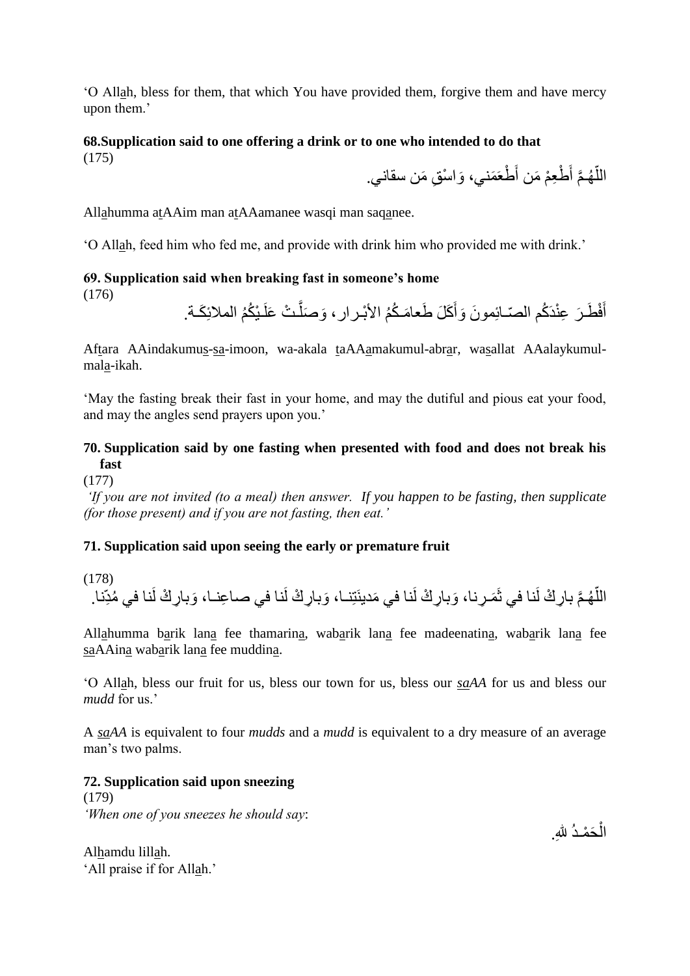'O Allah, bless for them, that which You have provided them, forgive them and have mercy upon them.'

# **68.Supplication said to one offering a drink or to one who intended to do that**

(175)

َوا س ِق َمن سقاني. َ طعَ َمني، َ طِع م َمن أ َّم أ هـ ّ الل

Allahumma atAAim man atAAamanee wasqi man saqanee.

'O Allah, feed him who fed me, and provide with drink him who provided me with drink.'

#### **69. Supplication said when breaking fast in someone's home** (176)

```
أَفْطَـرَ عِنْدَكُم الصّـائِمونَ وَأَكَلَ طَعامَـكُمُ الأَبْـرارِ، وَصَلَّـتْ عَلَـيْكُمُ الملائِكَـة.
                 َّ
                                                        َ
                                                                                              َ
```
Aftara AAindakumus-sa-imoon, wa-akala taAAamakumul-abrar, wasallat AAalaykumulmala-ikah.

'May the fasting break their fast in your home, and may the dutiful and pious eat your food, and may the angles send prayers upon you.'

# **70. Supplication said by one fasting when presented with food and does not break his fast**

(177)

*'If you are not invited (to a meal) then answer. If you happen to be fasting, then supplicate (for those present) and if you are not fasting, then eat.'*

# **71. Supplication said upon seeing the early or premature fruit**

(178) اللَّهُمَّ بارِكْ لَنا في ثَمَرِنا، وَبارِكْ لَنا في مَدينَتِنا، وَبارِكْ لَنا في صاعِنـا، وَبارِكْ لَنا في مُدِّنا. اً

Allahumma barik lana fee thamarina, wabarik lana fee madeenatina, wabarik lana fee saAAina wabarik lana fee muddina.

'O Allah, bless our fruit for us, bless our town for us, bless our *saAA* for us and bless our *mudd* for us.'

A *saAA* is equivalent to four *mudds* and a *mudd* is equivalent to a dry measure of an average man's two palms.

# **72. Supplication said upon sneezing**

(179) *'When one of you sneezes he should say*:

الْحَمْـدُ للهِ.  $\ddot{\phantom{0}}$ 

Alhamdu lillah. 'All praise if for Allah.'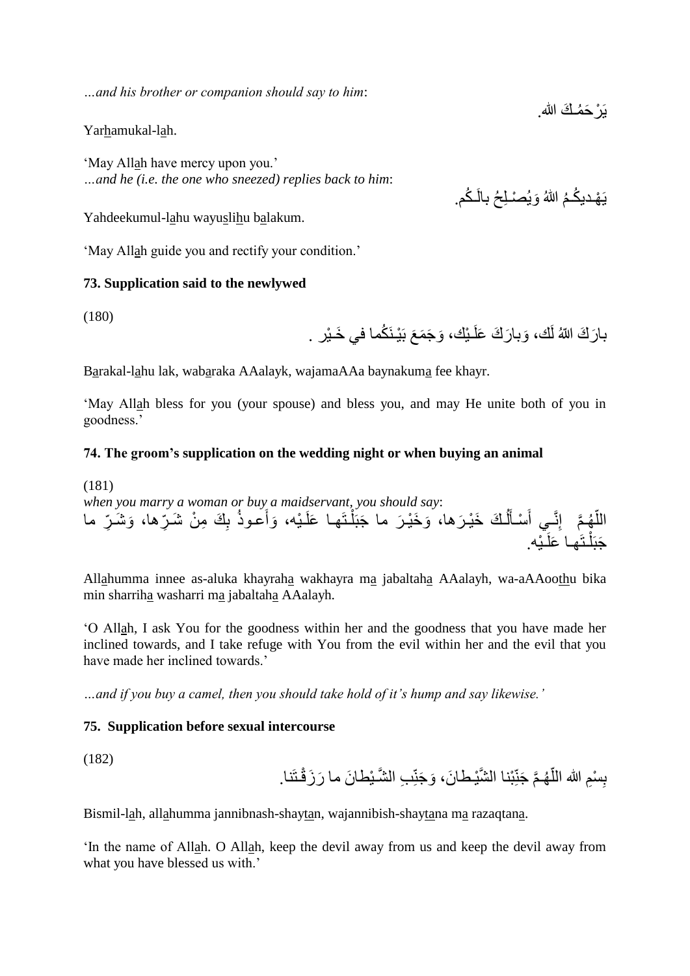*…and his brother or companion should say to him*:

Yarhamukal-lah.

'May Allah have mercy upon you.' *…and he (i.e. the one who sneezed) replies back to him*:

Yahdeekumul-lahu wayuslihu balakum.

'May Allah guide you and rectify your condition.'

#### **73. Supplication said to the newlywed**

(180)

بارَكَ اللّهُ لَك، وَبارَكَ عَلَـبْك، وَجَمَعَ بَيْـنَكُما في خَـيْر .

Barakal-lahu lak, wabaraka AAalayk, wajamaAAa baynakuma fee khayr.

'May Allah bless for you (your spouse) and bless you, and may He unite both of you in goodness.'

#### **74. The groom's supplication on the wedding night or when buying an animal**

(181) *when you marry a woman or buy a maidservant, you should say*: اللَّهُمَّ ۖ إِنَّـِي أَسْأَلُكَ خَيْرَها، وَخَيْرَ ما جَبَلْتَها عَلَيْه، وَأَعوذُ بِكَ مِنْ شَرِّها، وَشَرِّ ما ĺ  $\overline{1}$ َ َ ڑ<br>ا Î. جَبَلْتَها عَلَيْه.

Allahumma innee as-aluka khayraha wakhayra ma jabaltaha AAalayh, wa-aAAoothu bika min sharriha washarri ma jabaltaha AAalayh.

'O Allah, I ask You for the goodness within her and the goodness that you have made her inclined towards, and I take refuge with You from the evil within her and the evil that you have made her inclined towards.'

*…and if you buy a camel, then you should take hold of it's hump and say likewise.'*

### **75. Supplication before sexual intercourse**

(182)

ا<br>ا بِسْمِ الله اللَّهُمَّ جَنِّبْنا الشَّيْطانَ، وَجَنِّبِ الشَّـْبِطانَ ما رَزَقْتَنا. **∣** 

Bismil-lah, allahumma jannibnash-shaytan, wajannibish-shaytana ma razaqtana.

'In the name of Allah. O Allah, keep the devil away from us and keep the devil away from what you have blessed us with.'

بَرْ حَمُـكَ الله ِ

يَهْديكُمُ اللّٰهُ وَيُصْلِحُ بِالْكُم.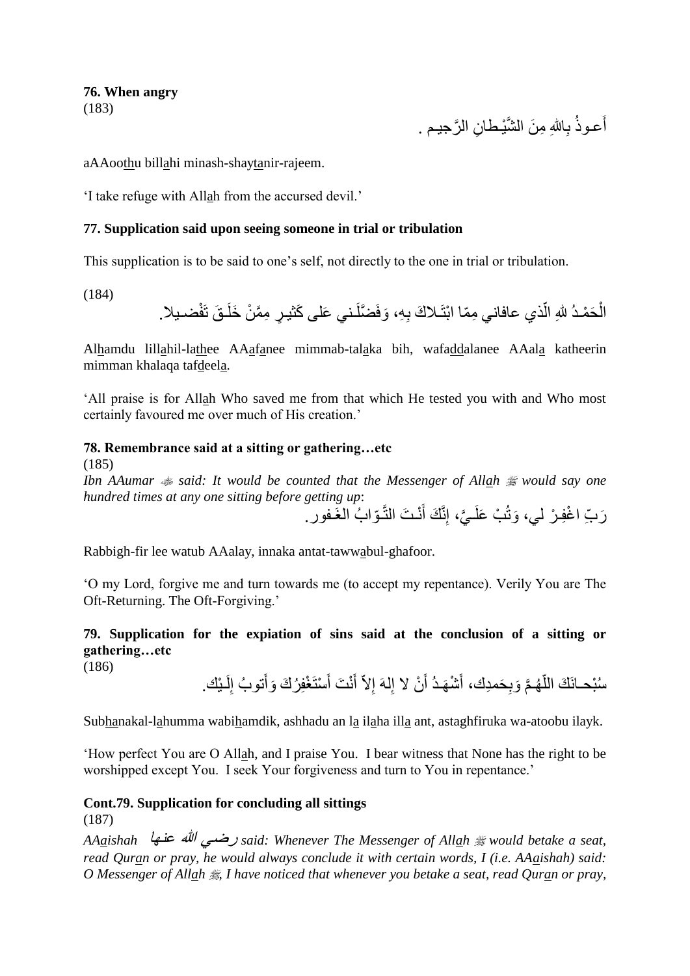#### **76. When angry** (183)

أعـوذُ بِاللهِ مِنَ الشَّيْطانِ الرَّجيـم .

aAAoothu billahi minash-shaytanir-rajeem.

'I take refuge with Allah from the accursed devil.'

#### **77. Supplication said upon seeing someone in trial or tribulation**

This supplication is to be said to one's self, not directly to the one in trial or tribulation.

(184)

الْحَمْدُ للهِ الّذي عافاني مِمّا ابْتَـلاكَ بِهِ، وَفَضَّلَـني عَلَى كَثيـرٍ مِمَّنْ خَلَـقَ تَفْضـيلا. ڵ<br>ڵ Ĺ

Alhamdu lillahil-lathee AAafanee mimmab-talaka bih, wafaddalanee AAala katheerin mimman khalaqa tafdeela.

'All praise is for Allah Who saved me from that which He tested you with and Who most certainly favoured me over much of His creation.'

### **78. Remembrance said at a sitting or gathering…etc**

(185)

*Ibn AAumar said: It would be counted that the Messenger of Allah would say one hundred times at any one sitting before getting up*:

َ رَبِّ اغْفِـرْ لي، وَثُبْ عَلَـيَّ، إِنَّكَ أَنْـتَ النَّـوّابُ الغَـفور.

Rabbigh-fir lee watub AAalay, innaka antat-tawwabul-ghafoor.

'O my Lord, forgive me and turn towards me (to accept my repentance). Verily You are The Oft-Returning. The Oft-Forgiving.'

**79. Supplication for the expiation of sins said at the conclusion of a sitting or gathering…etc**

(186)

سُبْحــانَكَ اللَّهُـمَّ وَبِحَمدِك، أَشْهَـدُ أَنْ لا إِلهَ إِلاَّ أَنْتَ أَسْتَغْفِرُكَ وَأَتوبُ إِلَـيْك. لَ ا<br>ءِ َ َ َ ِ اً َ اً

Subhanakal-lahumma wabihamdik, ashhadu an la ilaha illa ant, astaghfiruka wa-atoobu ilayk.

'How perfect You are O Allah, and I praise You. I bear witness that None has the right to be worshipped except You. I seek Your forgiveness and turn to You in repentance.'

### **Cont.79. Supplication for concluding all sittings**

(187)

*AAaishah* عنها هللا رضي *said: Whenever The Messenger of Allah would betake a seat, read Quran or pray, he would always conclude it with certain words, I (i.e. AAaishah) said: O Messenger of Allah , I have noticed that whenever you betake a seat, read Quran or pray,*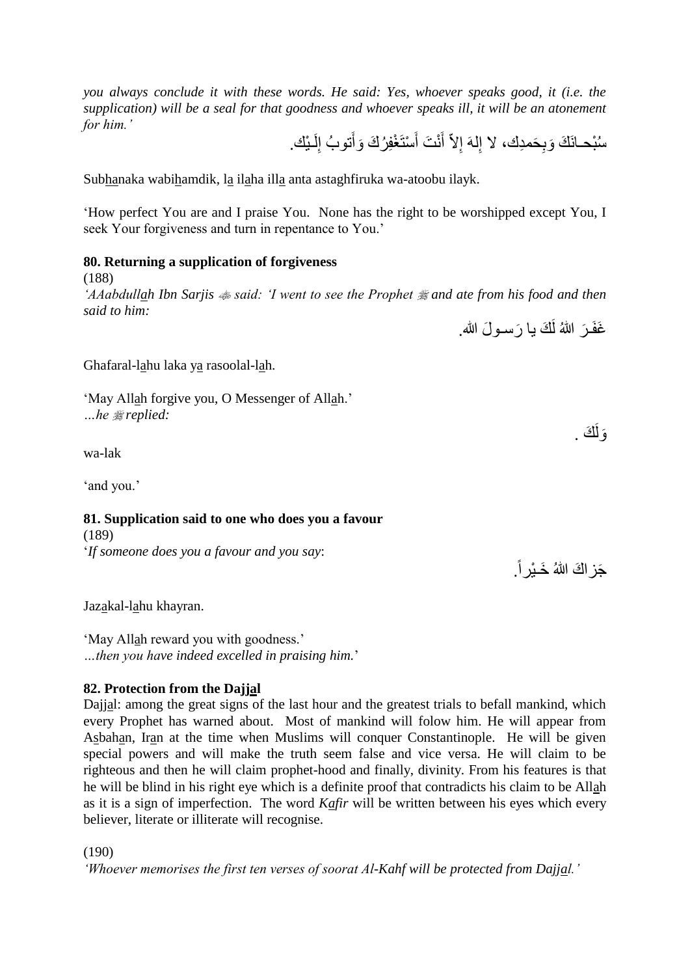*you always conclude it with these words. He said: Yes, whoever speaks good, it (i.e. the supplication) will be a seal for that goodness and whoever speaks ill, it will be an atonement for him.'*

سُبْحــانَكَ وَبِحَمدِكَ، لا إِلهَ إِلاَّ أَنْتَ أَسْتَغْفِرُكَ وَأَتوبُ إِلَـيْكَ. لَ ا<br>ءِ َ اً َ ِ

Subhanaka wabihamdik, la ilaha illa anta astaghfiruka wa-atoobu ilayk.

'How perfect You are and I praise You. None has the right to be worshipped except You, I seek Your forgiveness and turn in repentance to You.'

#### **80. Returning a supplication of forgiveness**

(188)

*'AAabdullah Ibn Sarjis said: 'I went to see the Prophet and ate from his food and then said to him:* 

غَفَرَ اللهُ لَكَ يا رَسـولَ الله.

Ghafaral-lahu laka ya rasoolal-lah.

'May Allah forgive you, O Messenger of Allah.' *…he replied:*

wa-lak

'and you.'

# **81. Supplication said to one who does you a favour**

(189) '*If someone does you a favour and you say*:

Jazakal-lahu khayran.

'May Allah reward you with goodness.' *…then you have indeed excelled in praising him.*'

### **82. Protection from the Dajjal**

Dajjal: among the great signs of the last hour and the greatest trials to befall mankind, which every Prophet has warned about. Most of mankind will folow him. He will appear from Asbahan, Iran at the time when Muslims will conquer Constantinople. He will be given special powers and will make the truth seem false and vice versa. He will claim to be righteous and then he will claim prophet-hood and finally, divinity. From his features is that he will be blind in his right eye which is a definite proof that contradicts his claim to be Allah as it is a sign of imperfection. The word *Kafir* will be written between his eyes which every believer, literate or illiterate will recognise.

(190)

*'Whoever memorises the first ten verses of soorat Al-Kahf will be protected from Dajjal.'*

َك . َولَ

جَز اكَ اللهُ خَــبْر اً ـِ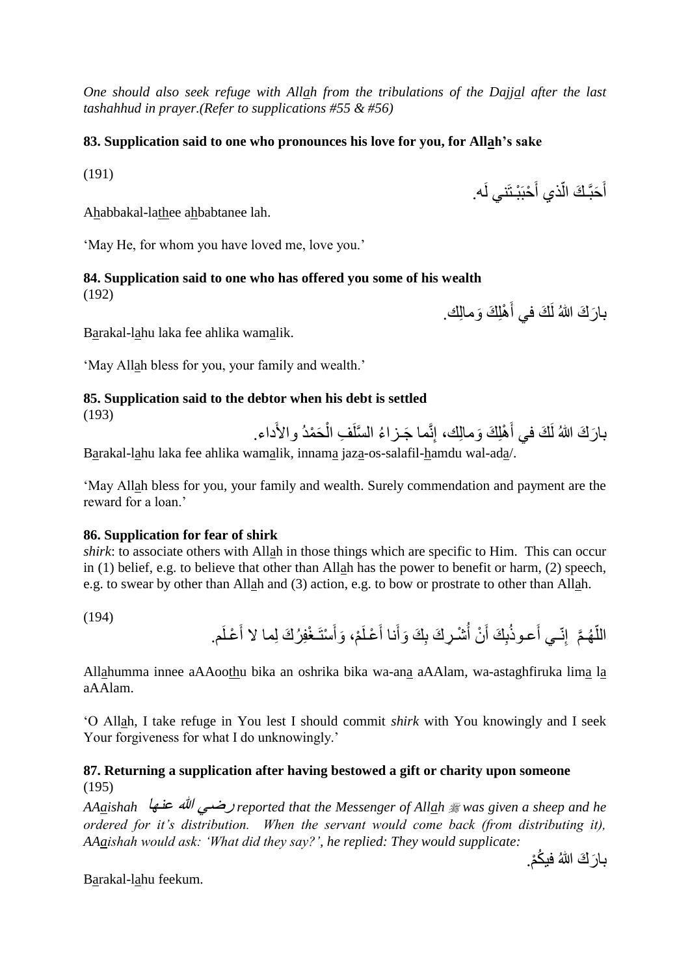*One should also seek refuge with Allah from the tribulations of the Dajjal after the last tashahhud in prayer.(Refer to supplications #55 & #56)*

### **83. Supplication said to one who pronounces his love for you, for Allah's sake**

(191)

Ahabbakal-lathee ahbabtanee lah.

'May He, for whom you have loved me, love you.'

#### **84. Supplication said to one who has offered you some of his wealth** (192)

بارَكَ اللهُ لَكَ في أَهْلِكَ وَمالِكَ. َ

أَحَبَّـكَ الَّذي أَحْبَبْـتَني لَه. َ

اً

َ

Barakal-lahu laka fee ahlika wamalik.

'May Allah bless for you, your family and wealth.'

# **85. Supplication said to the debtor when his debt is settled**

(193)

بارَكَ اللهُ لَكَ في أَهْلِكَ وَمالِكَ، إِنَّما جَـزاءُ السَّلَفِ الْحَمْدُ والأَداء. َ ĺ

Barakal-lahu laka fee ahlika wamalik, innama jaza-os-salafil-hamdu wal-ada/.

'May Allah bless for you, your family and wealth. Surely commendation and payment are the reward for a loan.'

### **86. Supplication for fear of shirk**

*shirk*: to associate others with Allah in those things which are specific to Him. This can occur in (1) belief, e.g. to believe that other than Allah has the power to benefit or harm, (2) speech, e.g. to swear by other than Allah and (3) action, e.g. to bow or prostrate to other than Allah.

(194)

اللَّهُمَّ ۖ إِنّـي أَعـوذُبِكَ أَنْ أُشْـرِكَ بِكَ وَأَنا أَعْـلَمْ، وَأَسْتَـغْفِرُكَ لِما لا أَعْـلَم. َ َ َ َ  $\frac{1}{2}$ ِ<br>ا اً

Allahumma innee aAAoothu bika an oshrika bika wa-ana aAAlam, wa-astaghfiruka lima la aAAlam.

'O Allah, I take refuge in You lest I should commit *shirk* with You knowingly and I seek Your forgiveness for what I do unknowingly.'

# **87. Returning a supplication after having bestowed a gift or charity upon someone** (195)

*AAaishah* عنها هللا رضي *reported that the Messenger of Allah was given a sheep and he ordered for it's distribution. When the servant would come back (from distributing it), AAaishah would ask: 'What did they say?', he replied: They would supplicate:*

بارَكَ اللهُ فيكُمْ.

Barakal-lahu feekum.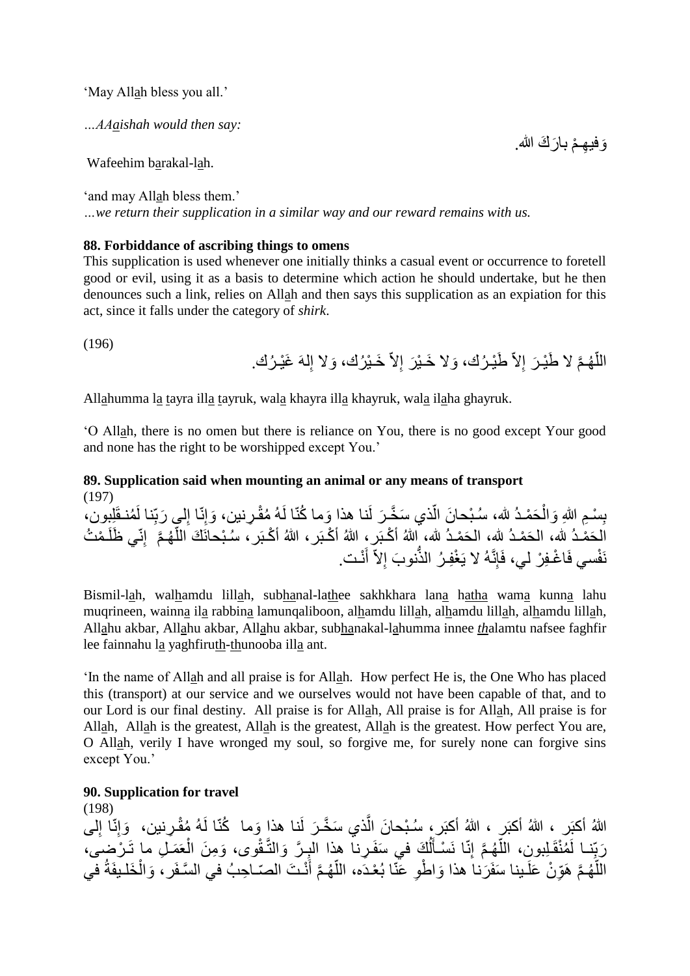'May Allah bless you all.'

*…AAaishah would then say:*

Wafeehim barakal-lah.

'and may Allah bless them.' *…we return their supplication in a similar way and our reward remains with us.*

#### **88. Forbiddance of ascribing things to omens**

This supplication is used whenever one initially thinks a casual event or occurrence to foretell good or evil, using it as a basis to determine which action he should undertake, but he then denounces such a link, relies on Allah and then says this supplication as an expiation for this act, since it falls under the category of *shirk*.

(196)

اللَّهُمَّ لا طََيْرَ إِلاَّ طَيْرُك، وَلا خَيْرَ إِلاَّ خَيْرُك، وَلا إِلهَ غَيْرُك. ا<br>ا ا<br>ءِ

Allahumma la tayra illa tayruk, wala khayra illa khayruk, wala ilaha ghayruk.

'O Allah, there is no omen but there is reliance on You, there is no good except Your good and none has the right to be worshipped except You.'

# **89. Supplication said when mounting an animal or any means of transport** (197)

ِل بِسْمِ اللهِ وَالْحَمْدُ لله، سُبْحانَ الَّذي سَخَّرَ لَنا هذا وَما كُنّا لَهُ مُقْرِنين، وَإِنّا إِلَي رَبّنا لَمُنقَلِبِون، ِ ľ Ĺ **∣** الْحَمْدُ لله، الْحَمْدُ لله، الْحَمْدُ لله، إِللهُ أَكْبَرٍ ، اللهُ أَكْبَر ، اللهُ أَكْبَر ، سُبْحانَكَ اللّهُمَّ ۖ إِنّي ظُلَمْتُ أ نَفْسي فَاغْفِرْ لي، فَإِنَّهُ لا يَغْفِرُ الذَّنوبَ إِلاَّ أَنْت. َ ِّ

Bismil-lah, walhamdu lillah, subhanal-lathee sakhkhara lana hatha wama kunna lahu muqrineen, wainna ila rabbina lamunqaliboon, alhamdu lillah, alhamdu lillah, alhamdu lillah, Allahu akbar, Allahu akbar, Allahu akbar, subhanakal-lahumma innee *th*alamtu nafsee faghfir lee fainnahu la yaghfiruth-thunooba illa ant.

'In the name of Allah and all praise is for Allah. How perfect He is, the One Who has placed this (transport) at our service and we ourselves would not have been capable of that, and to our Lord is our final destiny. All praise is for Allah, All praise is for Allah, All praise is for Allah, Allah is the greatest, Allah is the greatest, Allah is the greatest. How perfect You are, O Allah, verily I have wronged my soul, so forgive me, for surely none can forgive sins except You.'

**90. Supplication for travel**

(198) اللهُ أكبَر ، اللهُ أكبَر ، اللهُ أكبَر ، سُبْحانَ الّذي سَخَّرَ لَنا هذا وَما ۚ كُنّا لَهُ مُقْرِنين، ۚ وَإِنّا إلى ا<br>ءِ اُ رَبِّنـا لَمُنْقَلِبونِ، اللَّهُـمَّ إِنّا نَسْأَلُكَ في سَفَـرِنـا هذا البِـرَّ وَالتَّـقْوى، وَمِنَ الْعَمَـلِ ما تَـرْضِـى، Î ِ ĺ ֡֓֓֓֓֓֓֓֓֓֓֓׆֓ اً اللَّهُمَّ هَوِّنْ عَلَـينا سَفَرَنا هذا وَاطْوِ عَنّا بُعْـدَه، اللَّهُمَّ أَنْـتَ الصّـاحِبُ في السَّـفَر ، وَالْخَلـيفَةُ في Î َ أ لَ

وَفيهِمْ بارَكَ الله.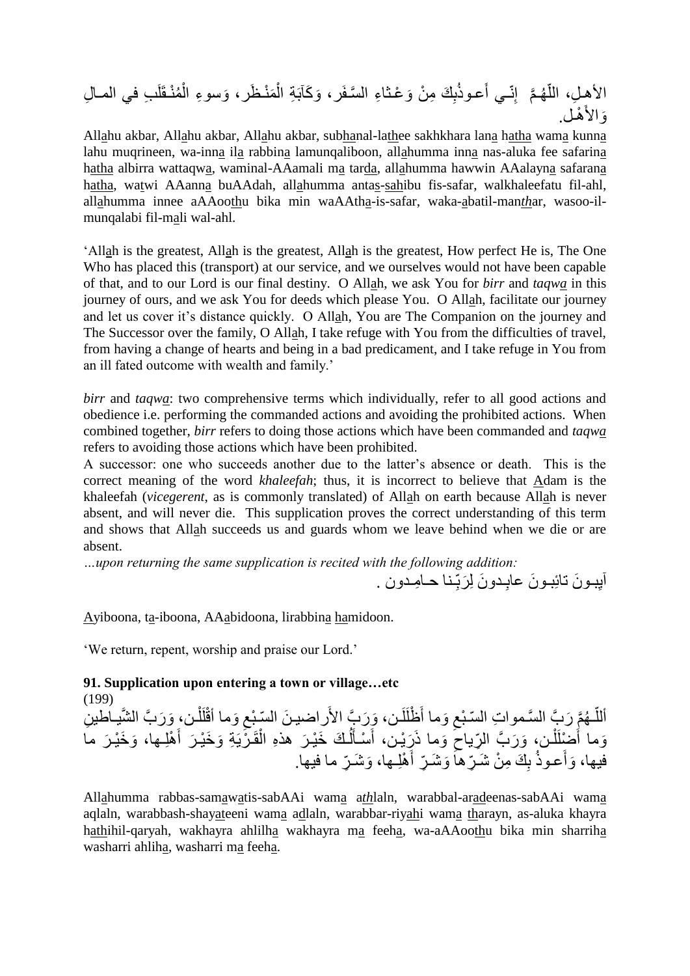ِل ِب في المـا م نـقَلَ َوسو ِء ال َم نـ َظر، َو َكآبَ ِة ال ِ َك ِم ن َو عـثا ِء ال َّسـفَر، ب َعـوذ ِنّـي أ َّم إ هـ ّ ِل، الل األهـ هـل. َواألَ

Allahu akbar, Allahu akbar, Allahu akbar, subhanal-lathee sakhkhara lana hatha wama kunna lahu muqrineen, wa-inna ila rabbina lamunqaliboon, allahumma inna nas-aluka fee safarina hatha albirra wattaqwa, waminal-AAamali ma tarda, allahumma hawwin AAalayna safarana hatha, watwi AAanna buAAdah, allahumma antas-sahibu fis-safar, walkhaleefatu fil-ahl, allahumma innee aAAoothu bika min waAAtha-is-safar, waka-abatil-man*th*ar, wasoo-ilmunqalabi fil-mali wal-ahl.

'Allah is the greatest, Allah is the greatest, Allah is the greatest, How perfect He is, The One Who has placed this (transport) at our service, and we ourselves would not have been capable of that, and to our Lord is our final destiny. O Allah, we ask You for *birr* and *taqwa* in this journey of ours, and we ask You for deeds which please You. O Allah, facilitate our journey and let us cover it's distance quickly. O Allah, You are The Companion on the journey and The Successor over the family, O Allah, I take refuge with You from the difficulties of travel, from having a change of hearts and being in a bad predicament, and I take refuge in You from an ill fated outcome with wealth and family.'

*birr* and *taqwa*: two comprehensive terms which individually, refer to all good actions and obedience i.e. performing the commanded actions and avoiding the prohibited actions. When combined together, *birr* refers to doing those actions which have been commanded and *taqwa* refers to avoiding those actions which have been prohibited.

A successor: one who succeeds another due to the latter's absence or death. This is the correct meaning of the word *khaleefah*; thus, it is incorrect to believe that Adam is the khaleefah (*vicegerent*, as is commonly translated) of Allah on earth because Allah is never absent, and will never die. This supplication proves the correct understanding of this term and shows that Allah succeeds us and guards whom we leave behind when we die or are absent.

*…upon returning the same supplication is recited with the following addition:*

اْيِبـونَ تائِبـونَ عابِـدونَ لِرَبِّـنا حـامِـدون . ;<br>; **∶** 

Ayiboona, ta-iboona, AAabidoona, lirabbina hamidoon.

'We return, repent, worship and praise our Lord.'

**91. Supplication upon entering a town or village…etc**

(199) أللّـهُمَّ رَبَّ السَّمواتِ السّبْعِ وَما أَظْلَلَن، وَرَبَّ الأَراضينَ السّبْعِ وَما أَقْلَلْن، وَرَبَّ الشَّيـاطينِ ĺ لَ ِ لَ ِ اً وَما أَضْلَلْن، وَرَبَّ الرِّياحَ وَما ذَرَيْن، أَسْأَلُكَ خَيْرَ هذهِ الْقَرْيَةِ وَخَيْرَ أَهْلِـها، وَخَيْرَ ما  $\int$  $\overline{a}$ َ اً  $\ddot{\phantom{0}}$ َ َ فيها، وَأَعـوذُ بِكَ مِنْ شَـرِّهاَ وَشَـرِّ أَهْلِـها، وَشَـرٍّ ما فيها. َ

Allahumma rabbas-samawatis-sabAAi wama a*th*laln, warabbal-aradeenas-sabAAi wama aqlaln, warabbash-shayateeni wama adlaln, warabbar-riyahi wama tharayn, as-aluka khayra hathihil-qaryah, wakhayra ahlilha wakhayra ma feeha, wa-aAAoothu bika min sharriha washarri ahliha, washarri ma feeha.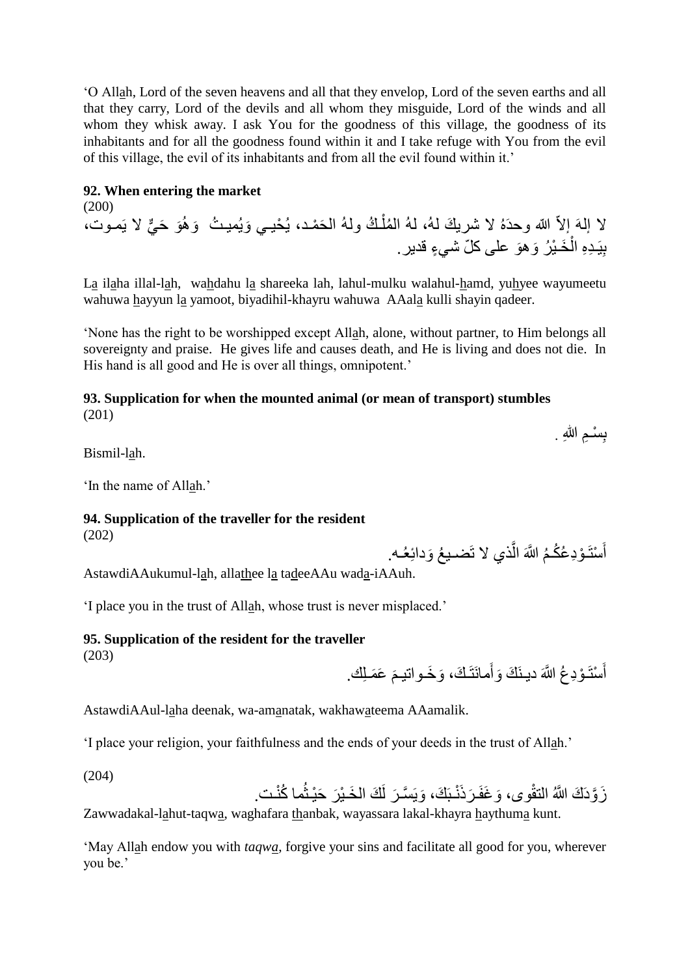'O Allah, Lord of the seven heavens and all that they envelop, Lord of the seven earths and all that they carry, Lord of the devils and all whom they misguide, Lord of the winds and all whom they whisk away. I ask You for the goodness of this village, the goodness of its inhabitants and for all the goodness found within it and I take refuge with You from the evil of this village, the evil of its inhabitants and from all the evil found within it.'

#### **92. When entering the market**

(200) لا إلهَ إلاّ الله وحدَهُ لا شريكَ لهُ، لهُ المُلْكُ ولهُ الحَمْد، يُحْيـي وَيُميثُ وَهُوَ حَيٌّ لا يَمـوت، į بِيَـٰدِهِ الْخَـٰيْرُ وَهوَ على كلّ شَيءٍ قديرٍ. Î.

La ilaha illal-lah, wahdahu la shareeka lah, lahul-mulku walahul-hamd, yuhyee wayumeetu wahuwa hayyun la yamoot, biyadihil-khayru wahuwa AAala kulli shayin qadeer.

'None has the right to be worshipped except Allah, alone, without partner, to Him belongs all sovereignty and praise. He gives life and causes death, and He is living and does not die. In His hand is all good and He is over all things, omnipotent.'

#### **93. Supplication for when the mounted animal (or mean of transport) stumbles** (201)

بِسْـمِ اللهِ . **∣** 

Bismil-lah.

'In the name of Allah.'

# **94. Supplication of the traveller for the resident**

(202)

أَسْتَــؤدِعُكُــمُ اللَّهَ الَّذي لا تَضــيـعُ وَدائِعُــه. اُ َ

AstawdiAAukumul-lah, allathee la tadeeAAu wada-iAAuh.

'I place you in the trust of Allah, whose trust is never misplaced.'

# **95. Supplication of the resident for the traveller**

(203)

أَسْتَــؤْدِعُ اللَّهَ ديـنَكَ وَأَمـانَتَـكَ، وَخَــواتيـمَ عَمَــلِك. َ َ

AstawdiAAul-laha deenak, wa-amanatak, wakhawateema AAamalik.

'I place your religion, your faithfulness and the ends of your deeds in the trust of Allah.'

(204)

زَوَّدَكَ اللَّهُ التقْوى، وَغَفَرَذَنْـبَكَ، وَيَسَّرَ لَكَ الْخَـيْرَ حَيْـثُما كُنْـت.

Zawwadakal-lahut-taqwa, waghafara thanbak, wayassara lakal-khayra haythuma kunt.

'May Allah endow you with *taqwa*, forgive your sins and facilitate all good for you, wherever you be.'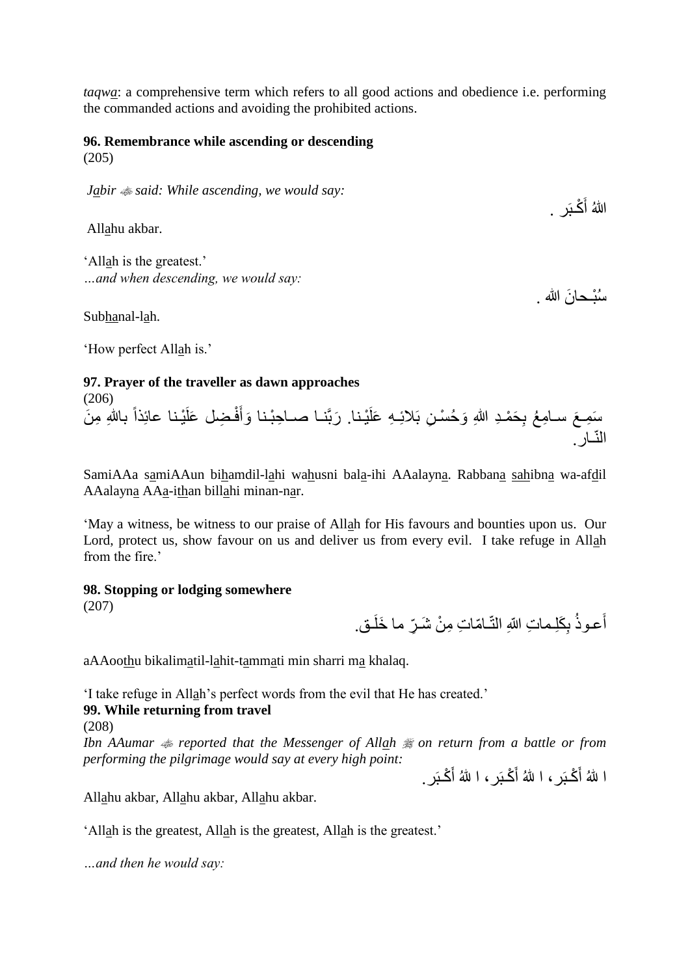*taqwa*: a comprehensive term which refers to all good actions and obedience i.e. performing the commanded actions and avoiding the prohibited actions.

# **96. Remembrance while ascending or descending**

(205)

*Jabir said: While ascending, we would say:*

Allahu akbar.

'Allah is the greatest.' *…and when descending, we would say:*

Subhanal-lah.

'How perfect Allah is.'

### **97. Prayer of the traveller as dawn approaches**

(206) سَمِعَ سـامِعُ بِحَمْدِ اللهِ وَحُسْنِ بَلائِـهِ عَلَيْنا. رَبَّنـا صـاحِبْنا وَأَفْضِل عَلَيْنا عائِذاً باللهِ مِنَ َ النّـار.

SamiAAa samiAAun bihamdil-lahi wahusni bala-ihi AAalayna. Rabbana sahibna wa-afdil AAalayna AAa-ithan billahi minan-nar.

'May a witness, be witness to our praise of Allah for His favours and bounties upon us. Our Lord, protect us, show favour on us and deliver us from every evil. I take refuge in Allah from the fire.'

### **98. Stopping or lodging somewhere**

(207)

أَعـوذُ بِكَلِـماتِ اللهِ التّـامّاتِ مِنْ شَـرٍّ ما خَلَـق. ِ

aAAoothu bikalimatil-lahit-tammati min sharri ma khalaq.

'I take refuge in Allah's perfect words from the evil that He has created.'

### **99. While returning from travel**

(208)

Ibn AAumar  $\text{#}$  reported that the Messenger of Allah  $\text{#}$  on return from a battle or from *performing the pilgrimage would say at every high point:*

ا للهُ أَكْبَرِ ، ا للهُ أَكْبَرِ ، ا للهُ أَكْبَرِ .

اللهُ أَكْبَر .

سُبْـحانَ الله .

Allahu akbar, Allahu akbar, Allahu akbar.

'Allah is the greatest, Allah is the greatest, Allah is the greatest.'

*…and then he would say:*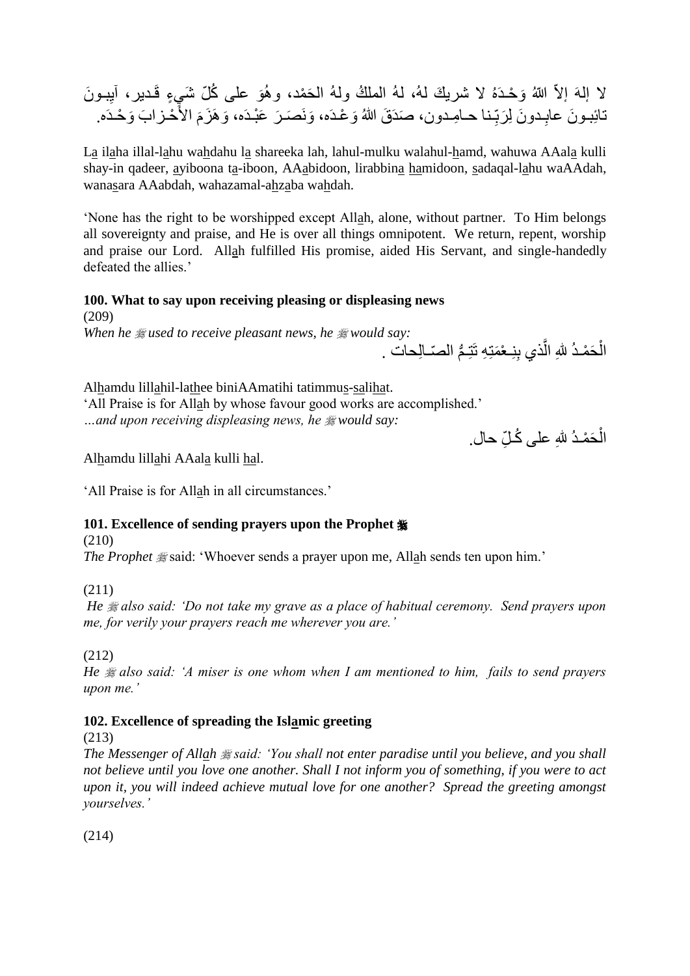لا إلهَ إلاّ اللهُ وَحْدَهُ لا شريكَ لهُ، لهُ الملكُ ولهُ الحَمْد، وهُوَ على كُلّ شَيءٍ قَدير، آيِبونَ تائِبـونَ عابِـدونَ لِرَبِّـنا حـامِـدون، صَدَقَ اللهُ وَعْدَه، وَنَصَـرَ عَبْـدَه، وَهَزَمَ الأُحْـزابَ وَحْـدَه. **∶** مَ<br>م **∶** 

La ilaha illal-lahu wahdahu la shareeka lah, lahul-mulku walahul-hamd, wahuwa AAala kulli shay-in qadeer, ayiboona ta-iboon, AAabidoon, lirabbina hamidoon, sadaqal-lahu waAAdah, wanasara AAabdah, wahazamal-ahzaba wahdah.

'None has the right to be worshipped except Allah, alone, without partner. To Him belongs all sovereignty and praise, and He is over all things omnipotent. We return, repent, worship and praise our Lord. Allah fulfilled His promise, aided His Servant, and single-handedly defeated the allies.'

# **100. What to say upon receiving pleasing or displeasing news**

(209) *When he*  $\frac{1}{2}$  *used to receive pleasant news, he*  $\frac{1}{2}$  *would say:* 

الْحَمْدُ لِلّٰهِ الّذي بِنِـعْمَتِهِ تَتِـمُّ الْصّـالِحات . ة<br>م اً Ĺ

Alhamdu lillahil-lathee biniAAmatihi tatimmus-salihat. 'All Praise is for Allah by whose favour good works are accomplished.' *…and upon receiving displeasing news, he would say:*

الْحَمْدُ للهِ على كُـلِّ حال. Ĺ

Alhamdu lillahi AAala kulli hal.

'All Praise is for Allah in all circumstances.'

# **101. Excellence of sending prayers upon the Prophet**

(210)

*The Prophet*  $\frac{1}{2}$  said: 'Whoever sends a prayer upon me, Allah sends ten upon him.'

# (211)

*He*  $$$  *also said: 'Do not take my grave as a place of habitual ceremony. Send prayers upon me, for verily your prayers reach me wherever you are.'*

(212)

*He*  $\#$  *also said: 'A miser is one whom when I am mentioned to him, fails to send prayers upon me.'*

# **102. Excellence of spreading the Islamic greeting**

(213)

*The Messenger of Allah said: 'You shall not enter paradise until you believe, and you shall not believe until you love one another. Shall I not inform you of something, if you were to act upon it, you will indeed achieve mutual love for one another? Spread the greeting amongst yourselves.'*

(214)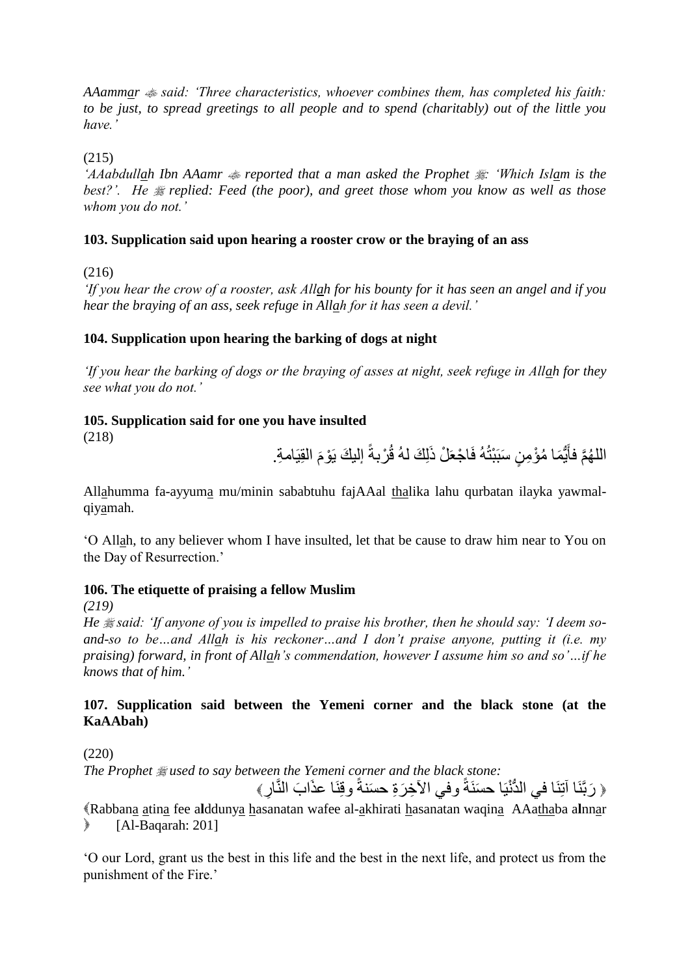*AAammar said: 'Three characteristics, whoever combines them, has completed his faith: to be just, to spread greetings to all people and to spend (charitably) out of the little you have.'*

(215)

*AAabdullah Ibn AAamr*  $\text{# reported that a man asked the Prophet \#: 'Which Islam is the$ best?'. He  $\#$  replied: Feed (the poor), and greet those whom you know as well as those *whom you do not.'*

### **103. Supplication said upon hearing a rooster crow or the braying of an ass**

(216)

*'If you hear the crow of a rooster, ask Allah for his bounty for it has seen an angel and if you hear the braying of an ass, seek refuge in Allah for it has seen a devil.'*

# **104. Supplication upon hearing the barking of dogs at night**

*'If you hear the barking of dogs or the braying of asses at night, seek refuge in Allah for they see what you do not.'*

# **105. Supplication said for one you have insulted**

(218)

الْلَهُمَّ فأَيُّمَا مُؤْمِنٍ سَبَبْتُهُ فَاجْعَلْ ذَلِكَ لَهُ قُرْبةً إلَيكَ يَوْمَ الْقِيَامةِ. م<br>م ٍ<br>ٌ∙ َ

Allahumma fa-ayyuma mu/minin sababtuhu fajAAal thalika lahu qurbatan ilayka yawmalqiyamah.

'O Allah, to any believer whom I have insulted, let that be cause to draw him near to You on the Day of Resurrection.'

### **106. The etiquette of praising a fellow Muslim**

*(219)*

He *\*said: 'If anyone of you is impelled to praise his brother, then he should say: 'I deem soand-so to be…and Allah is his reckoner…and I don't praise anyone, putting it (i.e. my praising) forward, in front of Allah's commendation, however I assume him so and so'…if he knows that of him.'*

# **107. Supplication said between the Yemeni corner and the black stone (at the KaAAbah)**

(220)

*The Prophet used to say between the Yemeni corner and the black stone:*

﴿ رَبَّنَا آتِنَا في الدُّنْيَا حسَنَةً وفي الآخِرَةِ حسَنةً وقِنَا عذَابَ النَّارِ ﴾

Rabbana atina fee a**l**ddunya hasanatan wafee al-akhirati hasanatan waqina AAathaba a**l**nnar  $\blacktriangleright$  [Al-Baqarah: 201]

'O our Lord, grant us the best in this life and the best in the next life, and protect us from the punishment of the Fire.'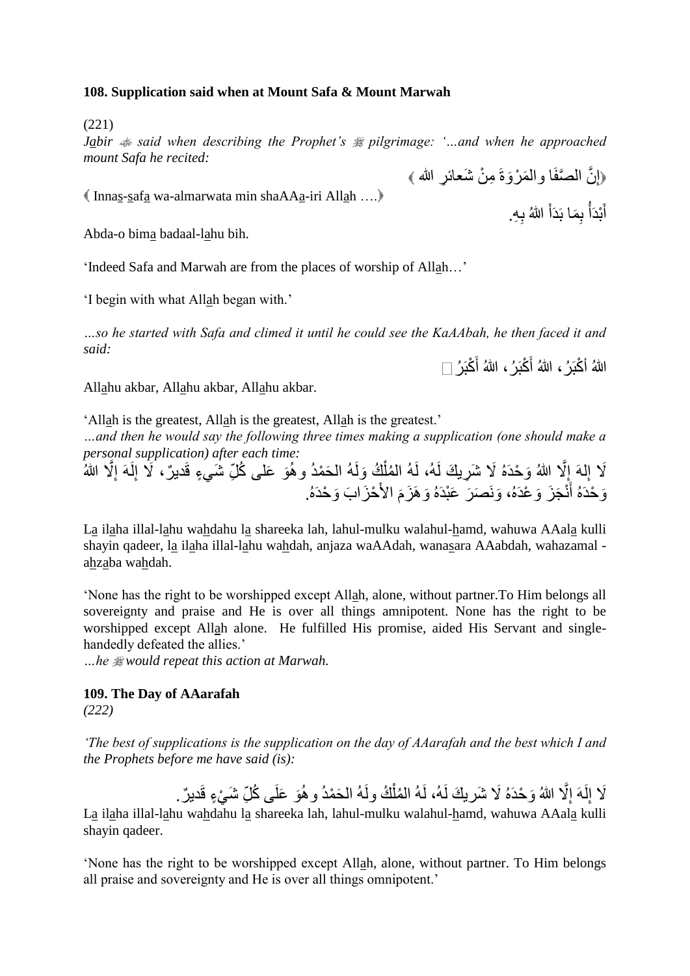#### **108. Supplication said when at Mount Safa & Mount Marwah**

(221)

*Jabir*  $\triangleq$  *said when describing the Prophet's*  $\triangleq$  *pilgrimage: '...and when he approached mount Safa he recited:*

Innas-safa wa-almarwata min shaAAa-iri Allah ….

Abda-o bima badaal-lahu bih.

'Indeed Safa and Marwah are from the places of worship of Allah…'

'I begin with what Allah began with.'

*…so he started with Safa and climed it until he could see the KaAAbah, he then faced it and said:*

اللهُ أَكْبَرُ ، اللهُ أَكْبَرُ ، اللهُ أَكْبَرُ

Allahu akbar, Allahu akbar, Allahu akbar.

'Allah is the greatest, Allah is the greatest, Allah is the greatest.'

*…and then he would say the following three times making a supplication (one should make a personal supplication) after each time:*

لَا إِلهَ إِلَّا اللهُ وَحْدَهُ لَا شَرِيكَ لَهُ، لَهُ المُلْكُ وَلَهُ الحَمْدُ وهُوَ عَلـى كُلِّ شَيءٍ قَديرٌ، لَا إِلَهَ إِلَّا اللهُ  $\frac{1}{2}$ ِ ا<br>ءِ ا<br>ءِ ĺ وَحْدَهُ أَنْجَزَ وَعْدَهُ، وَنَصَرَ عَبْدَهُ وَهَزَمَ الأَحْزَابَ وَحْدَهُ. نَ<br>م َ

La ilaha illal-lahu wahdahu la shareeka lah, lahul-mulku walahul-hamd, wahuwa AAala kulli shayin qadeer, la ilaha illal-lahu wahdah, anjaza waAAdah, wanasara AAabdah, wahazamal ahzaba wahdah.

'None has the right to be worshipped except Allah, alone, without partner.To Him belongs all sovereignty and praise and He is over all things amnipotent. None has the right to be worshipped except Allah alone. He fulfilled His promise, aided His Servant and singlehandedly defeated the allies.'

*…he would repeat this action at Marwah.*

### **109. The Day of AAarafah**

*(222)*

*'The best of supplications is the supplication on the day of AAarafah and the best which I and the Prophets before me have said (is):*

> لَا إِلَهَ إِلَّا اللهُ وَحْدَهُ لَا شَريكَ لَهُ، لَهُ المُلْكُ ولَهُ الحَمْدُ و هُوَ عَلَى كُلِّ شَيْءٍ قَديرٌ . ĺ ِ ِ

La ilaha illal-lahu wahdahu la shareeka lah, lahul-mulku walahul-hamd, wahuwa AAala kulli shayin qadeer.

'None has the right to be worshipped except Allah, alone, without partner. To Him belongs all praise and sovereignty and He is over all things omnipotent.'

أَبْدَأَ بِمَا بَدَأَ اللَّهُ بِهِ. Í ֧ׅ֪ׅ֞֓֓֓֓֡֡֡֡֡֡֡֡֡֟֓֡֡֡֡֝֬֜֓֓֡֡֓֡֟

﴿إِنَّ الْمُتَّفَا وَالْمَرْوَةَ مِنْ شَعَائِرِ الله ﴾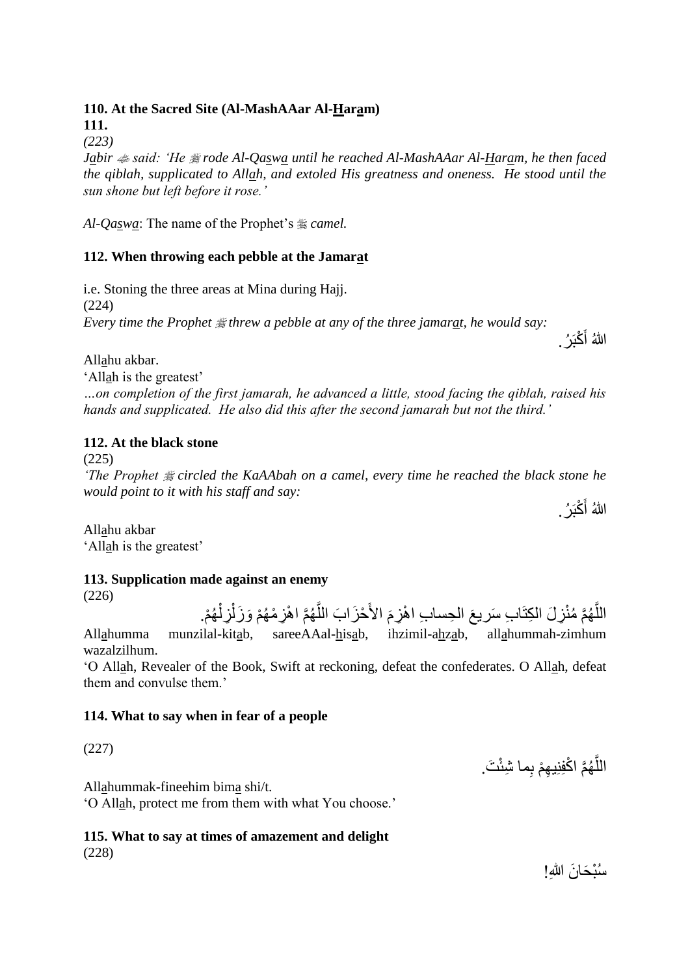# **110. At the Sacred Site (Al-MashAAar Al-Haram)**

**111.**  *(223)* 

*Jabir said: 'He rode Al-Qaswa until he reached Al-MashAAar Al-Haram, he then faced the qiblah, supplicated to Allah, and extoled His greatness and oneness. He stood until the sun shone but left before it rose.'*

*Al-Qaswa*: The name of the Prophet's *camel.*

# **112. When throwing each pebble at the Jamarat**

i.e. Stoning the three areas at Mina during Hajj. (224) *Every time the Prophet*  $\frac{1}{26}$  *threw a pebble at any of the three jamarat, he would say:* اللّٰهُ أَكْبَرُ .

Allahu akbar.

'Allah is the greatest'

*…on completion of the first jamarah, he advanced a little, stood facing the qiblah, raised his hands and supplicated. He also did this after the second jamarah but not the third.'*

### **112. At the black stone**

(225)

*'The Prophet circled the KaAAbah on a camel, every time he reached the black stone he would point to it with his staff and say:*

اللهُ أَكْبَرُ .

Allahu akbar 'Allah is the greatest'

### **113. Supplication made against an enemy**

(226)

اللَّهُمَّ مُنْزِلَ الكِتَابِ سَريعَ الْحِسابِ اهْزِمَ الأَحْزَابَ اللَّهُمَّ اهْزِمْهُمْ وَزَلْزِلْهُمْ. ĺ í َّ نَ<br>م َّ Allahumma munzilal-kitab, sareeAAal-hisab, ihzimil-ahzab, allahummah-zimhum wazalzilhum.

'O Allah, Revealer of the Book, Swift at reckoning, defeat the confederates. O Allah, defeat them and convulse them.'

### **114. What to say when in fear of a people**

(227)

اللَّهُمَّ اكْفِنِيهِمْ بِما شِئْتَ. َّ

Allahummak-fineehim bima shi/t.

'O Allah, protect me from them with what You choose.'

#### **115. What to say at times of amazement and delight** (228)

سُبْحَانَ اللهِ!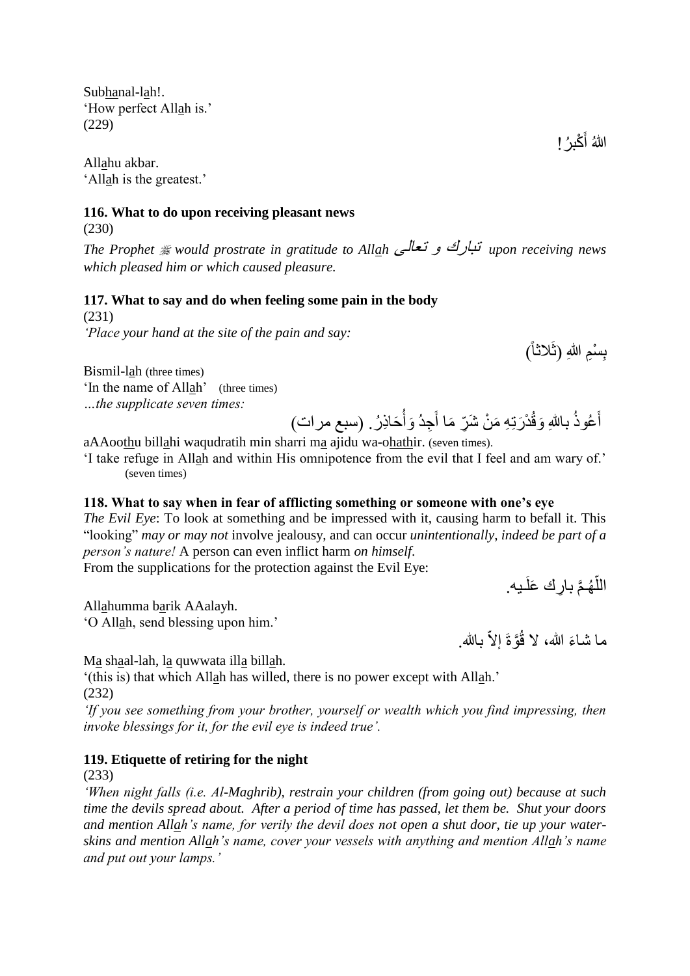Subhanal-lah!. 'How perfect Allah is.' (229)

Allahu akbar. 'Allah is the greatest.'

#### **116. What to do upon receiving pleasant news**

(230)

*The Prophet would prostrate in gratitude to Allah* تعالى و تبارك *upon receiving news which pleased him or which caused pleasure.* 

#### **117. What to say and do when feeling some pain in the body**

(231) *'Place your hand at the site of the pain and say:*

Bismil-lah (three times) 'In the name of Allah' (three times) *…the supplicate seven times:*

َحاِذ ر. )سبع مرات( َوأ ِجد َ د َرتِ ِه َم ن َشِّر َما أ َوق باهللِ عوذ َ أ

aAAoothu billahi waqudratih min sharri ma ajidu wa-ohathir. (seven times).

'I take refuge in Allah and within His omnipotence from the evil that I feel and am wary of.' (seven times)

### **118. What to say when in fear of afflicting something or someone with one's eye**

*The Evil Eye*: To look at something and be impressed with it, causing harm to befall it. This "looking" *may or may not* involve jealousy, and can occur *unintentionally*, *indeed be part of a person's nature!* A person can even inflict harm *on himself*.

From the supplications for the protection against the Evil Eye:

اللَّهُمَّ بارِك عَلَـيه. ا<br>ا

Allahumma barik AAalayh. 'O Allah, send blessing upon him.'

ما شاءَ الله، لا قُوَّةَ إلاَّ بـالله.

Ma shaal-lah, la quwwata illa billah.

'(this is) that which Allah has willed, there is no power except with Allah.' (232)

*'If you see something from your brother, yourself or wealth which you find impressing, then invoke blessings for it, for the evil eye is indeed true'.*

### **119. Etiquette of retiring for the night**

(233)

*'When night falls (i.e. Al-Maghrib), restrain your children (from going out) because at such time the devils spread about. After a period of time has passed, let them be. Shut your doors and mention Allah's name, for verily the devil does not open a shut door, tie up your waterskins and mention Allah's name, cover your vessels with anything and mention Allah's name and put out your lamps.'*

اللهُ أَكْبِرُ !

بِسْمِ اللهِ (ثَلاثاً) **ِ**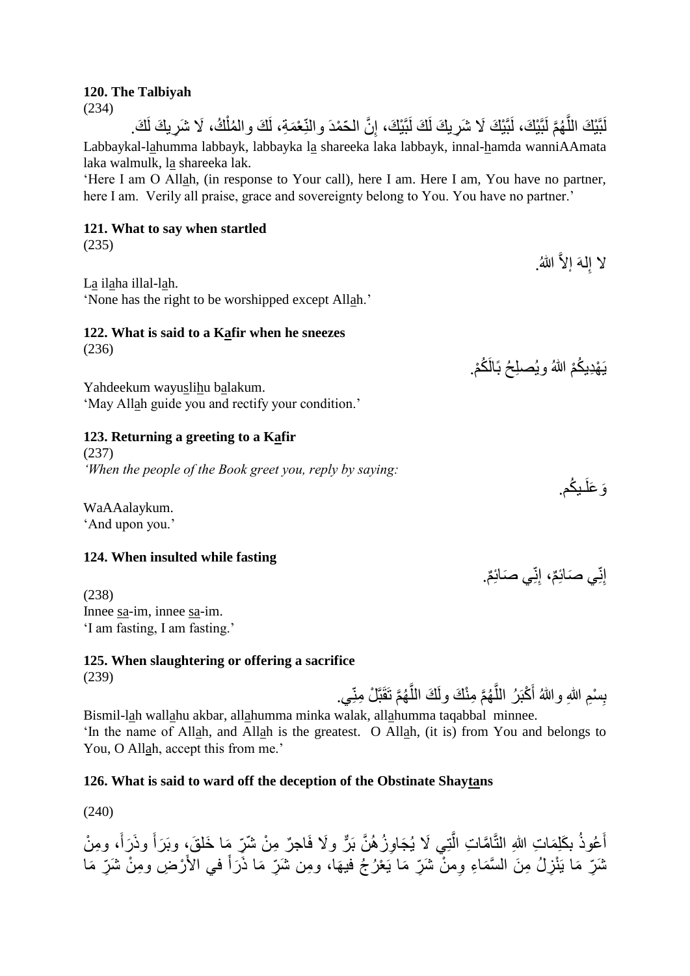#### **120. The Talbiyah**

(234)

لَّبَيْكَ اللَّهُمَّ لَبَّيْكَ، لَبَّيْكَ لَا شَرِيكَ لَكَ لَبَّيْكَ، إِنَّ الْحَمْدَ والنِّعْمَةِ، لَكَ والمُلْكُ، لَا شَرِيكَ لَكَ. ِ َّ ĺ Labbaykal-lahumma labbayk, labbayka la shareeka laka labbayk, innal-hamda wanniAAmata laka walmulk, la shareeka lak.

'Here I am O Allah, (in response to Your call), here I am. Here I am, You have no partner, here I am. Verily all praise, grace and sovereignty belong to You. You have no partner.'

# **121. What to say when startled**

(235)

La ilaha illal-lah.

'None has the right to be worshipped except Allah.'

# **122. What is said to a Kafir when he sneezes**

(236)

Yahdeekum wayuslihu balakum. 'May Allah guide you and rectify your condition.'

# **123. Returning a greeting to a Kafir**

(237) *'When the people of the Book greet you, reply by saying:*

WaAAalaykum. 'And upon you.'

# **124. When insulted while fasting**

(238) Innee sa-im, innee sa-im. 'I am fasting, I am fasting.'

#### **125. When slaughtering or offering a sacrifice** (239)

بِسْمِ اللهِ واللهُ أَكْبَرُ اللَّهُمَّ مِنْكَ ولَكَ اللَّهُمَّ تَقَبَّلْ مِنِّي. َّ َّ **∣** Bismil-lah wallahu akbar, allahumma minka walak, allahumma taqabbal minnee.

'In the name of Allah, and Allah is the greatest. O Allah, (it is) from You and belongs to You, O Allah, accept this from me.'

# **126. What is said to ward off the deception of the Obstinate Shaytans**

(240)

أَعُوذُ بكَلِمَاتِ اللهِ النَّامَّاتِ الَّتِي لَا يُجَاوِزُ هُنَّ بَرٌّ ولَا فَاجِرٌ مِنْ شَرِّ مِا خَلقَ، وبَرَأَ وذَرَأَ، ومِنْ اُ َ نْمَرِّ مَا يَنْزِلُ مِنَ السَّمَاءِ ومنْ شَرِّ مَا يَعْرُجُ فيهَا، ومِن شَرِّ مَا ذَرَأَ في الأَرْضِ ومِنْ شَرِّ مَا َ

وَ عَلَـٰدِكُم.

إِنِّي صَائِمٌ، إِنِّي صَائِمٌ.

لا إِلهَ إلاَّ اللهُ. ِ

يَهْدِيكُمْ اللهُ ويُصلِحُ بَالَكُمْ.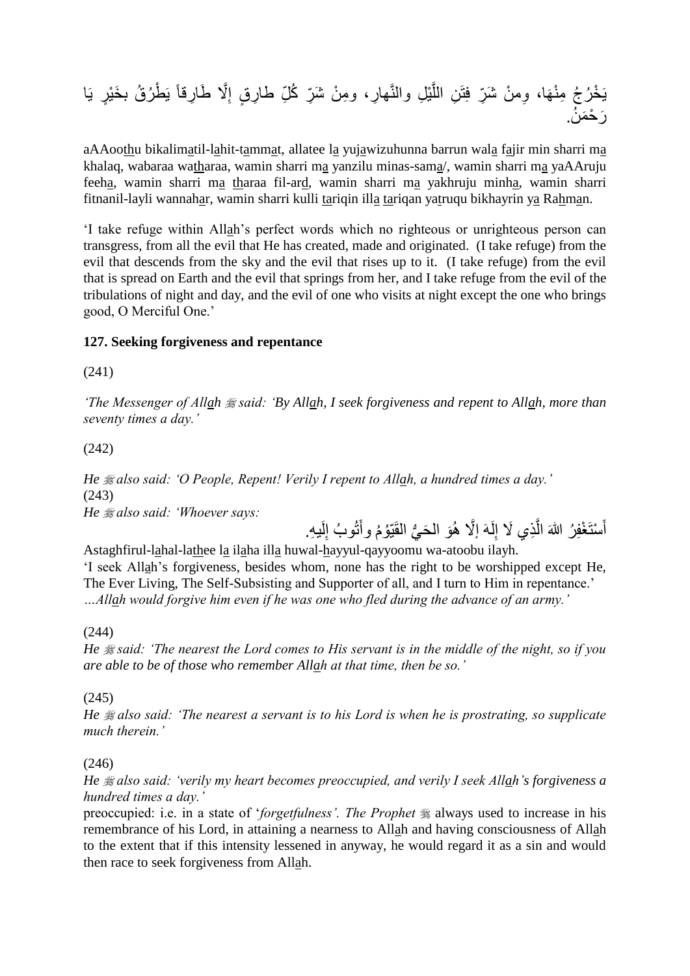َّال َطا ِ ِر ٍق إ ِر، و ِم ن َشِّر ك ّلِ طا ِل والنَّها ي َّ ِن الل ِوم ن َشِّر فِتَ َها، ط يَ ر ق ب َخ يٍر يَا خ ر ج ِم ن يَ ِرقاً َر ح َم ن.

aAAoothu bikalimatil-lahit-tammat, allatee la yujawizuhunna barrun wala fajir min sharri ma khalaq, wabaraa watharaa, wamin sharri ma yanzilu minas-sama/, wamin sharri ma yaAAruju feeha, wamin sharri ma tharaa fil-ard, wamin sharri ma yakhruju minha, wamin sharri fitnanil-layli wannahar, wamin sharri kulli tariqin illa tariqan yatruqu bikhayrin ya Rahman.

'I take refuge within Allah's perfect words which no righteous or unrighteous person can transgress, from all the evil that He has created, made and originated. (I take refuge) from the evil that descends from the sky and the evil that rises up to it. (I take refuge) from the evil that is spread on Earth and the evil that springs from her, and I take refuge from the evil of the tribulations of night and day, and the evil of one who visits at night except the one who brings good, O Merciful One.'

#### **127. Seeking forgiveness and repentance**

(241)

*'The Messenger of Allah said: 'By Allah, I seek forgiveness and repent to Allah, more than seventy times a day.'*

#### (242)

*He also said: 'O People, Repent! Verily I repent to Allah, a hundred times a day.'* (243) *He also said: 'Whoever says:*

أَسْتَغْفِرُ اللهَ الَّذِي لَا إِلَهَ إلَّا هُوَ الْحَيُّ الْقَيْوُمُ وأَنُوبُ إِلَيهِ. لَ ا<br>ءِ َ ِ اُ َ

Astaghfirul-lahal-lathee la ilaha illa huwal-hayyul-qayyoomu wa-atoobu ilayh. 'I seek Allah's forgiveness, besides whom, none has the right to be worshipped except He, The Ever Living, The Self-Subsisting and Supporter of all, and I turn to Him in repentance.' *…Allah would forgive him even if he was one who fled during the advance of an army.'*

#### (244)

*He said: 'The nearest the Lord comes to His servant is in the middle of the night, so if you are able to be of those who remember Allah at that time, then be so.'*

#### (245)

*He also said: 'The nearest a servant is to his Lord is when he is prostrating, so supplicate much therein.'*

#### (246)

*He also said: 'verily my heart becomes preoccupied, and verily I seek Allah's forgiveness a hundred times a day.'*

preoccupied: i.e. in a state of '*forgetfulness'*. The Prophet  $*$  always used to increase in his remembrance of his Lord, in attaining a nearness to Allah and having consciousness of Allah to the extent that if this intensity lessened in anyway, he would regard it as a sin and would then race to seek forgiveness from Allah.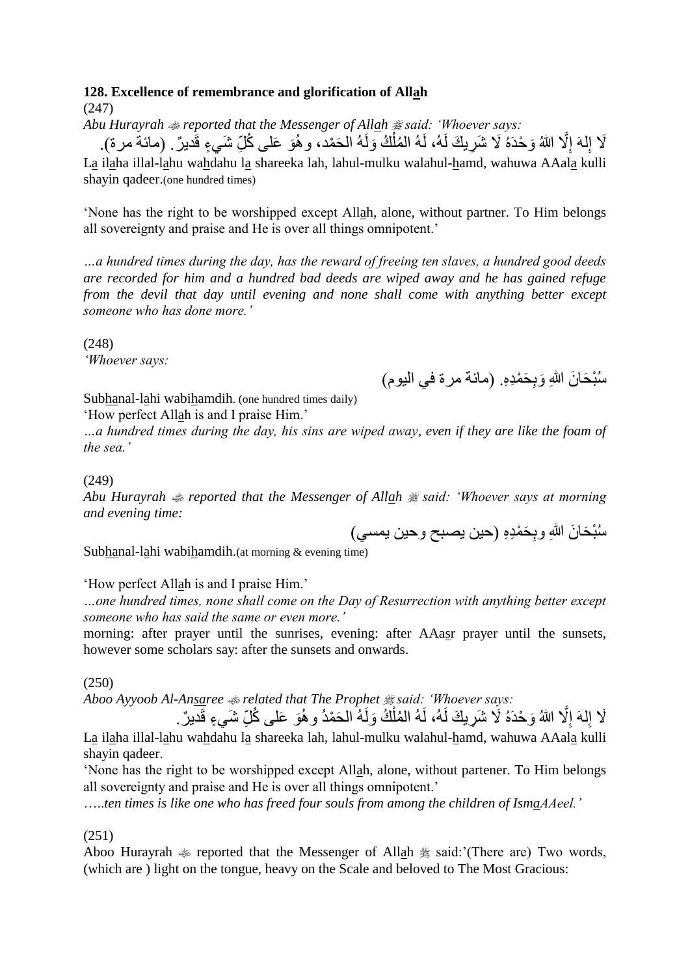#### **128. Excellence of remembrance and glorification of Allah**

(247)

Abu Hurayrah  $\triangleq$  reported that the Messenger of Allah  $\triangleq$  said: 'Whoever says:

لَا إِلَهَ إِلَّا اللهُ وَحْدَهُ لَا شَرِيكَ لَهُ، لَهُ المُلْكُ وَلَهُ الحَمْد، و هُوَ عَلـى كُلِّ شَيءٍ قَديرٌ . (مائـة مرـة). ĺ ِ ِ La ilaha illal-lahu wahdahu la shareeka lah, lahul-mulku walahul-hamd, wahuwa AAala kulli shayin qadeer.(one hundred times)

'None has the right to be worshipped except Allah, alone, without partner. To Him belongs all sovereignty and praise and He is over all things omnipotent.'

*…a hundred times during the day, has the reward of freeing ten slaves, a hundred good deeds are recorded for him and a hundred bad deeds are wiped away and he has gained refuge from the devil that day until evening and none shall come with anything better except someone who has done more.'*

(248) *'Whoever says:*

سُبْحَانَ اللهِ وَبِحَمْدِهِ. (مائـة مر ة فـي اليوم)

Subhanal-lahi wabihamdih. (one hundred times daily)

'How perfect Allah is and I praise Him.'

*…a hundred times during the day, his sins are wiped away, even if they are like the foam of the sea.'*

(249)

*Abu Hurayrah reported that the Messenger of Allah said: 'Whoever says at morning and evening time:*

سُبْحَانَ اللهِ وبِحَمْدِهِ (حين يصبح وحين يمسي)

Subhanal-lahi wabihamdih.(at morning & evening time)

'How perfect Allah is and I praise Him.'

*…one hundred times, none shall come on the Day of Resurrection with anything better except someone who has said the same or even more.'*

morning: after prayer until the sunrises, evening: after AAasr prayer until the sunsets, however some scholars say: after the sunsets and onwards.

(250)

*Aboo Ayyoob Al-Ansaree related that The Prophet said: 'Whoever says:*

لَا إِلَهَ إِلَّا اللهُ وَحْدَهُ لَا شَرِيكَ لَهُ، لَهُ المُلْكُ وَلَهُ الحَمْدُ و هُوَ عَلـى كُلِّ شَيءٍ قَديرٌ . ĺ ِ ِ La ilaha illal-lahu wahdahu la shareeka lah, lahul-mulku walahul-hamd, wahuwa AAala kulli shayin qadeer.

'None has the right to be worshipped except Allah, alone, without partener. To Him belongs all sovereignty and praise and He is over all things omnipotent.'

…..*ten times is like one who has freed four souls from among the children of IsmaAAeel.'*

(251)

Aboo Hurayrah  $\approx$  reported that the Messenger of Allah  $\approx$  said:'(There are) Two words, (which are ) light on the tongue, heavy on the Scale and beloved to The Most Gracious: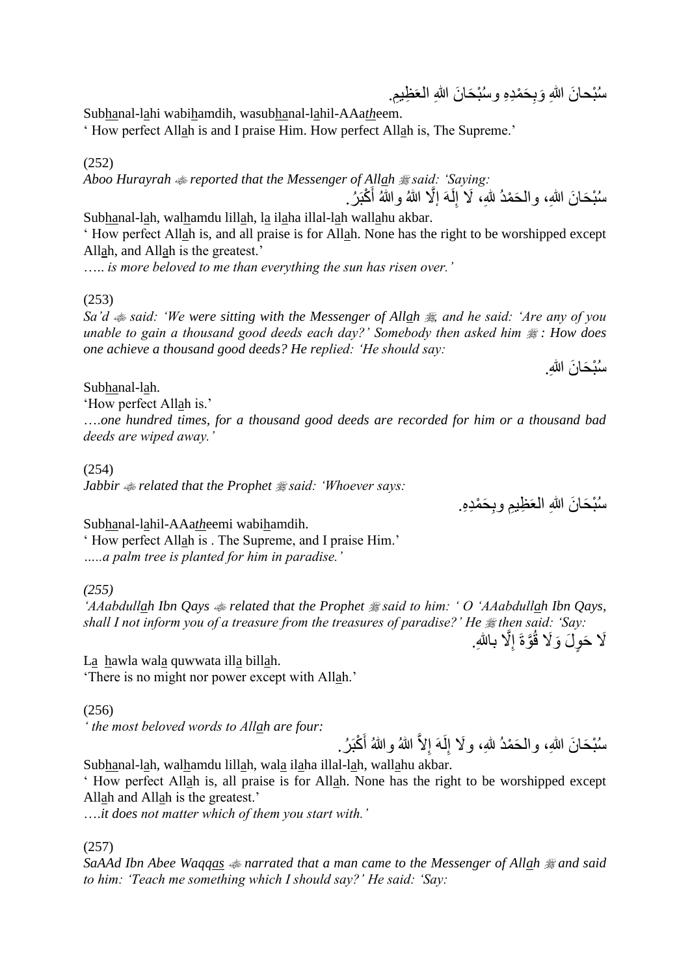َسُبْحَانَ اللهِ وَبِحَمْدِهِ وَسُبْحَانَ اللهِ الْعَظِيمِ.

Subhanal-lahi wabihamdih, wasubhanal-lahil-AAa*th*eem.

' How perfect Allah is and I praise Him. How perfect Allah is, The Supreme.'

(252)

*Aboo Hurayrah reported that the Messenger of Allah said: 'Saying:*

سُبْحَانَ اللهِ، والْحَمْدُ للهِ، لَا إِلَـهَ إلَّا اللهُ واللهُ أَكْبَرُ . ِ Subhanal-lah, walhamdu lillah, la ilaha illal-lah wallahu akbar.

' How perfect Allah is, and all praise is for Allah. None has the right to be worshipped except Allah, and Allah is the greatest.'

….. *is more beloved to me than everything the sun has risen over.'*

(253)

*Sa'd*  $\triangleq$  *said: 'We were sitting with the Messenger of Allah*  $\triangleq$  *and he said: 'Are any of you unable to gain a thousand good deeds each day?' Somebody then asked him*  $\frac{1}{2}$  *: How does one achieve a thousand good deeds? He replied: 'He should say:*

سُبْحَانَ الله.ِ

Subhanal-lah.

'How perfect Allah is.'

….*one hundred times, for a thousand good deeds are recorded for him or a thousand bad deeds are wiped away.'*

(254)

*Jabbir related that the Prophet said: 'Whoever says:*

سُبْحَانَ اللهِ الْعَظِيمِ وبِحَمْدِهِ.

Subhanal-lahil-AAa*th*eemi wabihamdih.

' How perfect Allah is . The Supreme, and I praise Him.' *…..a palm tree is planted for him in paradise.'*

*(255)* 

*'AAabdullah Ibn Qays related that the Prophet said to him: ' O 'AAabdullah Ibn Qays, shall I not inform you of a treasure from the treasures of paradise?' He then said: 'Say:*

َلَا حَوِلَ وَلَا قُوَّةَ إِلَّا بِاللهِ. ِ

La hawla wala quwwata illa billah. 'There is no might nor power except with Allah.'

(256)

*' the most beloved words to Allah are four:*

سُنْحَانَ اللهِ، والْحَمْدُ للهِ، ولَا إِلَـهَ إِلاَّ اللهُ واللهُ أَكْبَرُ ل ِ

Subhanal-lah, walhamdu lillah, wala ilaha illal-lah, wallahu akbar.

' How perfect Allah is, all praise is for Allah. None has the right to be worshipped except Allah and Allah is the greatest.'

….*it does not matter which of them you start with.'*

(257)

*SaAAd Ibn Abee Waqqas narrated that a man came to the Messenger of Allah and said to him: 'Teach me something which I should say?' He said: 'Say:*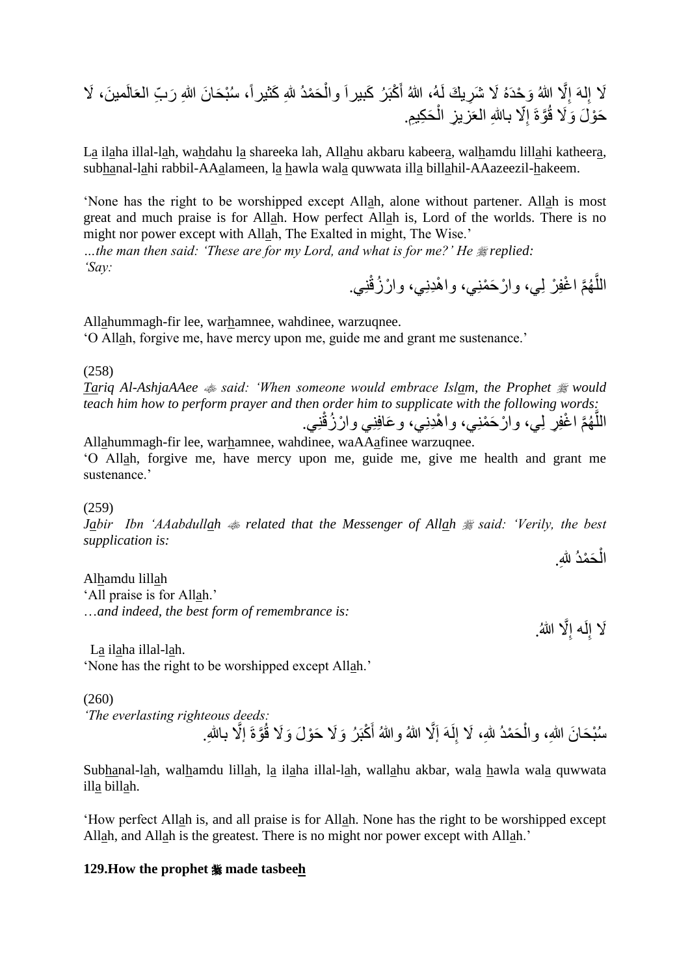َكثيرا،ً س ب َحا َن هللاِ َر ِّب العَا َح مد هللِ َ كبَ ر َكبيراَ وال َال َشِري َك لَه ، هللا أ َو حدَه َّال هللا ِ لهَ إ لَمي َن َال إ ، َال ِ َح ِكيِم. ِز ال ّال باهللِ العَزي ِ َّوةَ إ َح و َل َوَال ق

La ilaha illal-lah, wahdahu la shareeka lah, Allahu akbaru kabeera, walhamdu lillahi katheera, subhanal-lahi rabbil-AAalameen, la hawla wala quwwata illa billahil-AAazeezil-hakeem.

'None has the right to be worshipped except Allah, alone without partener. Allah is most great and much praise is for Allah. How perfect Allah is, Lord of the worlds. There is no might nor power except with Allah, The Exalted in might, The Wise.'

*…the man then said: 'These are for my Lord, and what is for me?' He replied: 'Say:*

اللَّهُمَّ اغْفِرْ لِي، وارْحَمْنِي، واهْدِنِي، وارْزُقْنِي. َّ

Allahummagh-fir lee, warhamnee, wahdinee, warzuqnee. 'O Allah, forgive me, have mercy upon me, guide me and grant me sustenance.'

(258)

*Tariq Al-AshjaAAee said: 'When someone would embrace Islam, the Prophet would teach him how to perform prayer and then order him to supplicate with the following words:* اللَّهُمَّ اغْفِرِ لِي، وارْحَمْنِي، واهْدِنِي، وعَافِنِي وارْزُقْنِي. َّ

Allahummagh-fir lee, warhamnee, wahdinee, waAAafinee warzuqnee. 'O Allah, forgive me, have mercy upon me, guide me, give me health and grant me sustenance.'

(259)

*Jabir Ibn 'AAabdullah*  $\triangleq$  *related that the Messenger of Allah*  $\triangleq$  *said: 'Verily, the best supplication is:*

الْحَمْدُ لِلَّهِ. Ĺ

Alhamdu lillah 'All praise is for Allah.' …*and indeed, the best form of remembrance is:*

َلَا إِلَه إِلَّا اللهُ. ا<br>پ ِ

La ilaha illal-lah. 'None has the right to be worshipped except Allah.'

(260)

*'The everlasting righteous deeds:* سُبْحَانَ اللهِ، والْحَمْدُ للهِ، لَا إِلَـهَ إَلَّا اللهُ واللهُ أَكْبَرُ وَلَا حَوْلَ وَلَا فُوَّةَ إلَّا بـاللهِ. ِ Ĺ

Subhanal-lah, walhamdu lillah, la ilaha illal-lah, wallahu akbar, wala hawla wala quwwata illa billah.

'How perfect Allah is, and all praise is for Allah. None has the right to be worshipped except Allah, and Allah is the greatest. There is no might nor power except with Allah.'

#### **129.How the prophet \* made tasbeeh**